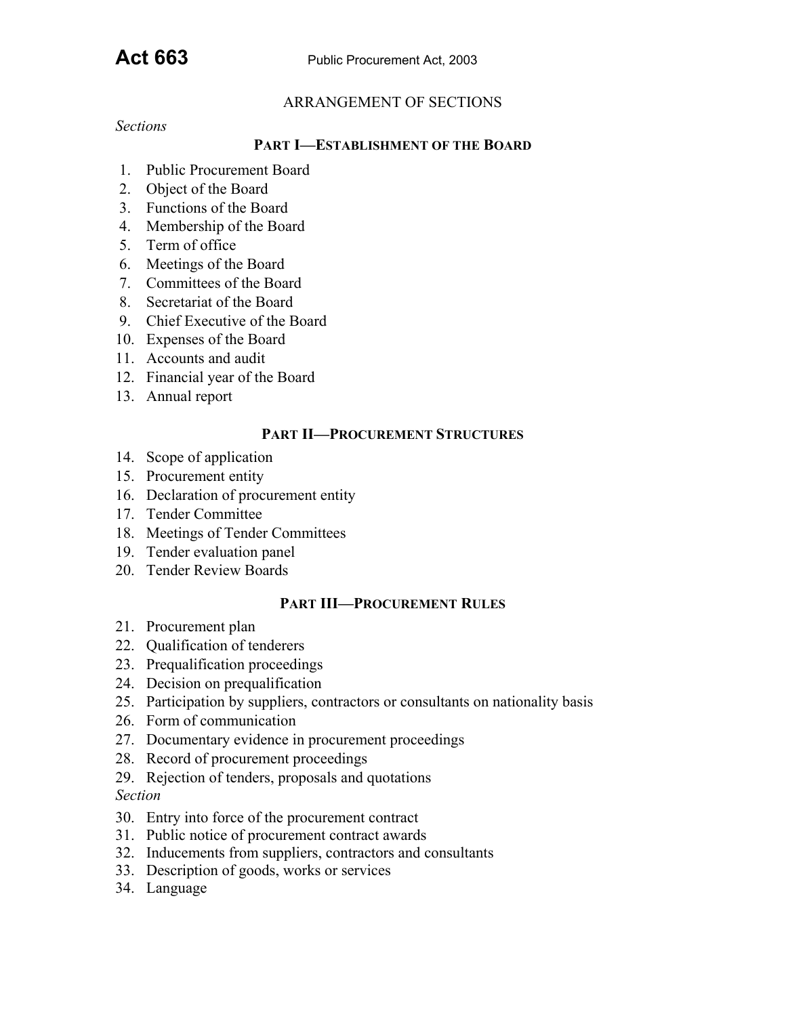#### ARRANGEMENT OF SECTIONS

*Sections*

#### **PART I—ESTABLISHMENT OF THE BOARD**

- 1. Public Procurement Board
- 2. Object of the Board
- 3. Functions of the Board
- 4. Membership of the Board
- 5. Term of office
- 6. Meetings of the Board
- 7. Committees of the Board
- 8. Secretariat of the Board
- 9. Chief Executive of the Board
- 10. Expenses of the Board
- 11. Accounts and audit
- 12. Financial year of the Board
- 13. Annual report

#### **PART II—PROCUREMENT STRUCTURES**

- 14. Scope of application
- 15. Procurement entity
- 16. Declaration of procurement entity
- 17. Tender Committee
- 18. Meetings of Tender Committees
- 19. Tender evaluation panel
- 20. Tender Review Boards

#### **PART III—PROCUREMENT RULES**

- 21. Procurement plan
- 22. Qualification of tenderers
- 23. Prequalification proceedings
- 24. Decision on prequalification
- 25. Participation by suppliers, contractors or consultants on nationality basis
- 26. Form of communication
- 27. Documentary evidence in procurement proceedings
- 28. Record of procurement proceedings
- 29. Rejection of tenders, proposals and quotations

### *Section*

- 30. Entry into force of the procurement contract
- 31. Public notice of procurement contract awards
- 32. Inducements from suppliers, contractors and consultants
- 33. Description of goods, works or services
- 34. Language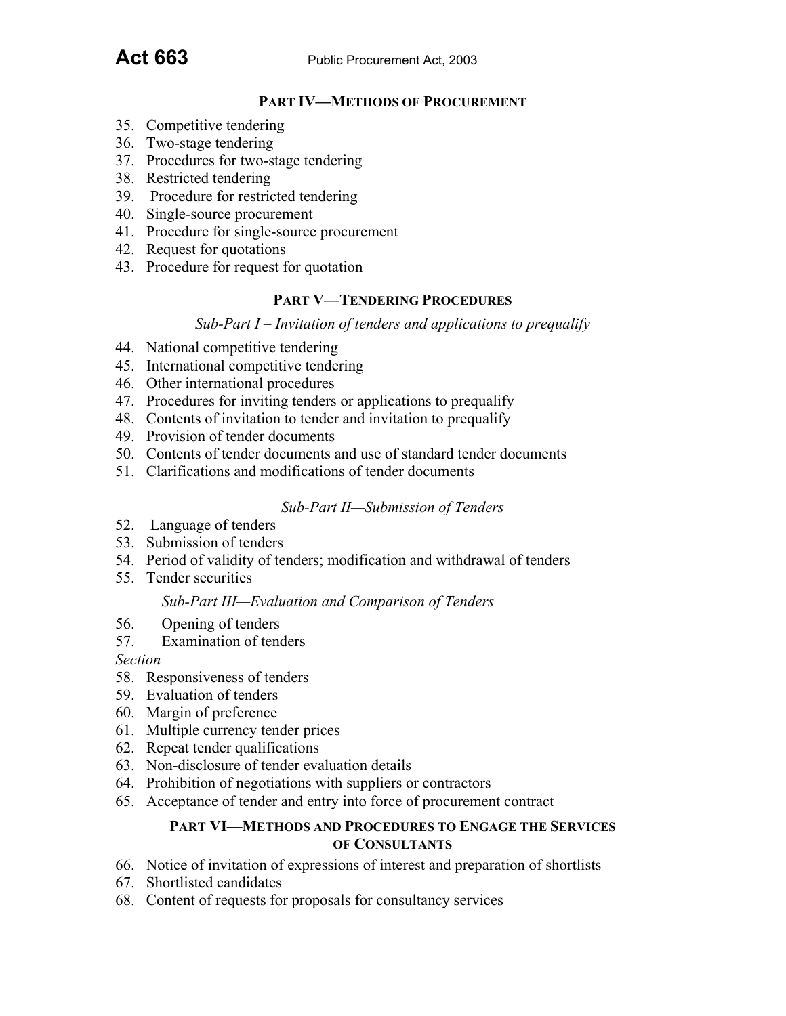#### **PART IV—METHODS OF PROCUREMENT**

- 35. Competitive tendering
- 36. Two-stage tendering
- 37. Procedures for two-stage tendering
- 38. Restricted tendering
- 39. Procedure for restricted tendering
- 40. Single-source procurement
- 41. Procedure for single-source procurement
- 42. Request for quotations
- 43. Procedure for request for quotation

#### **PART V—TENDERING PROCEDURES**

*Sub-Part I – Invitation of tenders and applications to prequalify*

- 44. National competitive tendering
- 45. International competitive tendering
- 46. Other international procedures
- 47. Procedures for inviting tenders or applications to prequalify
- 48. Contents of invitation to tender and invitation to prequalify
- 49. Provision of tender documents
- 50. Contents of tender documents and use of standard tender documents
- 51. Clarifications and modifications of tender documents

#### *Sub-Part II—Submission of Tenders*

- 52. Language of tenders
- 53. Submission of tenders
- 54. Period of validity of tenders; modification and withdrawal of tenders
- 55. Tender securities

#### *Sub-Part III—Evaluation and Comparison of Tenders*

- 56. Opening of tenders
- 57. Examination of tenders

*Section*

- 58. Responsiveness of tenders
- 59. Evaluation of tenders
- 60. Margin of preference
- 61. Multiple currency tender prices
- 62. Repeat tender qualifications
- 63. Non-disclosure of tender evaluation details
- 64. Prohibition of negotiations with suppliers or contractors
- 65. Acceptance of tender and entry into force of procurement contract

#### **PART VI—METHODS AND PROCEDURES TO ENGAGE THE SERVICES OF CONSULTANTS**

- 66. Notice of invitation of expressions of interest and preparation of shortlists
- 67. Shortlisted candidates
- 68. Content of requests for proposals for consultancy services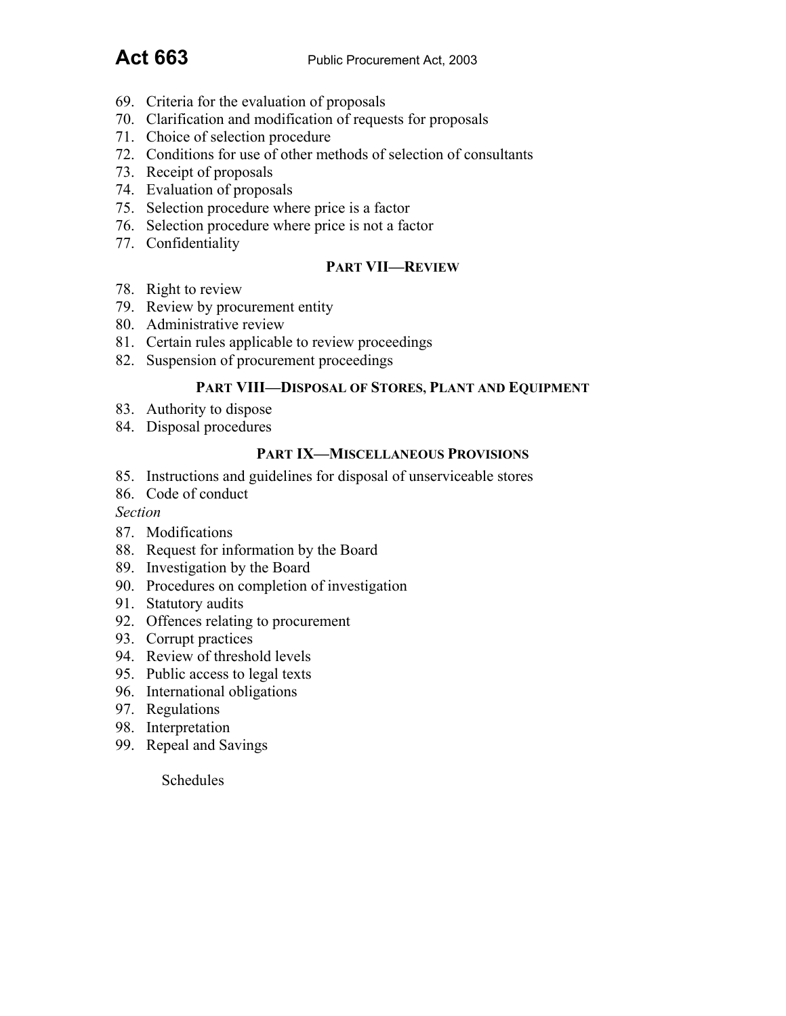- 69. Criteria for the evaluation of proposals
- 70. Clarification and modification of requests for proposals
- 71. Choice of selection procedure
- 72. Conditions for use of other methods of selection of consultants
- 73. Receipt of proposals
- 74. Evaluation of proposals
- 75. Selection procedure where price is a factor
- 76. Selection procedure where price is not a factor
- 77. Confidentiality

## **PART VII—REVIEW**

- 78. Right to review
- 79. Review by procurement entity
- 80. Administrative review
- 81. Certain rules applicable to review proceedings
- 82. Suspension of procurement proceedings

#### **PART VIII—DISPOSAL OF STORES, PLANT AND EQUIPMENT**

- 83. Authority to dispose
- 84. Disposal procedures

#### **PART IX—MISCELLANEOUS PROVISIONS**

- 85. Instructions and guidelines for disposal of unserviceable stores
- 86. Code of conduct

*Section*

- 87. Modifications
- 88. Request for information by the Board
- 89. Investigation by the Board
- 90. Procedures on completion of investigation
- 91. Statutory audits
- 92. Offences relating to procurement
- 93. Corrupt practices
- 94. Review of threshold levels
- 95. Public access to legal texts
- 96. International obligations
- 97. Regulations
- 98. Interpretation
- 99. Repeal and Savings

Schedules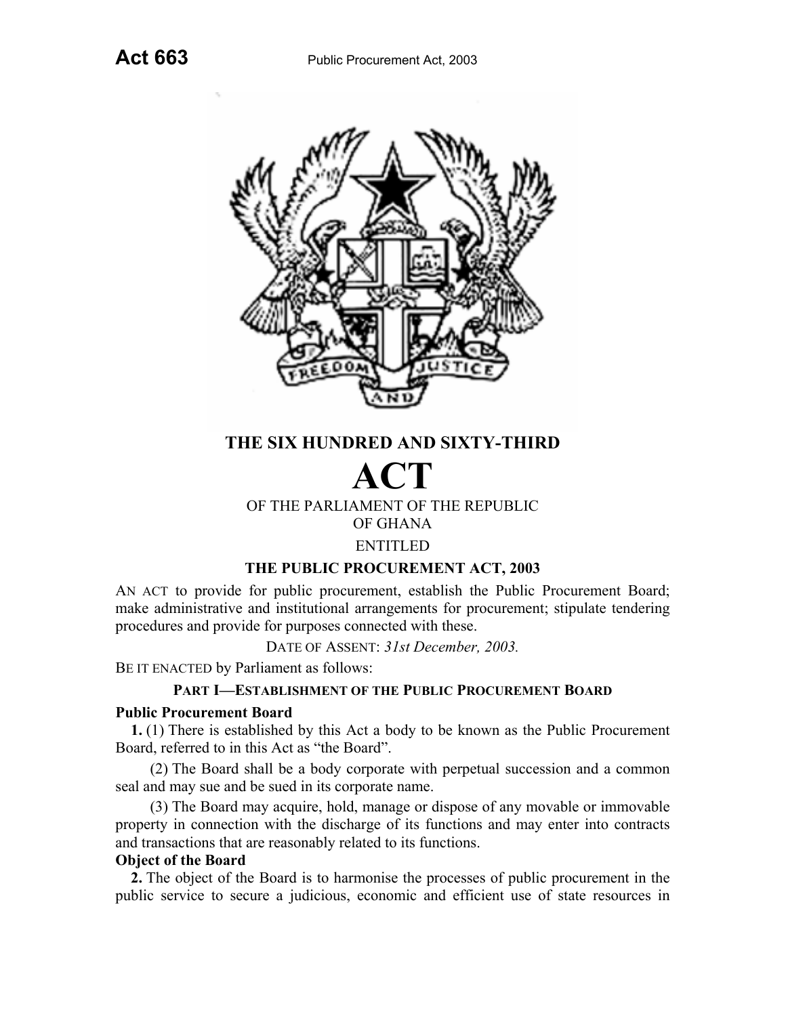

# **THE SIX HUNDRED AND SIXTY-THIRD**

# **ACT** OF THE PARLIAMENT OF THE REPUBLIC OF GHANA

# ENTITLED

## **THE PUBLIC PROCUREMENT ACT, 2003**

AN ACT to provide for public procurement, establish the Public Procurement Board; make administrative and institutional arrangements for procurement; stipulate tendering procedures and provide for purposes connected with these.

DATE OF ASSENT: *31st December, 2003.*

BE IT ENACTED by Parliament as follows:

## **PART I—ESTABLISHMENT OF THE PUBLIC PROCUREMENT BOARD**

#### **Public Procurement Board**

**1.** (1) There is established by this Act a body to be known as the Public Procurement Board, referred to in this Act as "the Board".

(2) The Board shall be a body corporate with perpetual succession and a common seal and may sue and be sued in its corporate name.

(3) The Board may acquire, hold, manage or dispose of any movable or immovable property in connection with the discharge of its functions and may enter into contracts and transactions that are reasonably related to its functions.

## **Object of the Board**

**2.** The object of the Board is to harmonise the processes of public procurement in the public service to secure a judicious, economic and efficient use of state resources in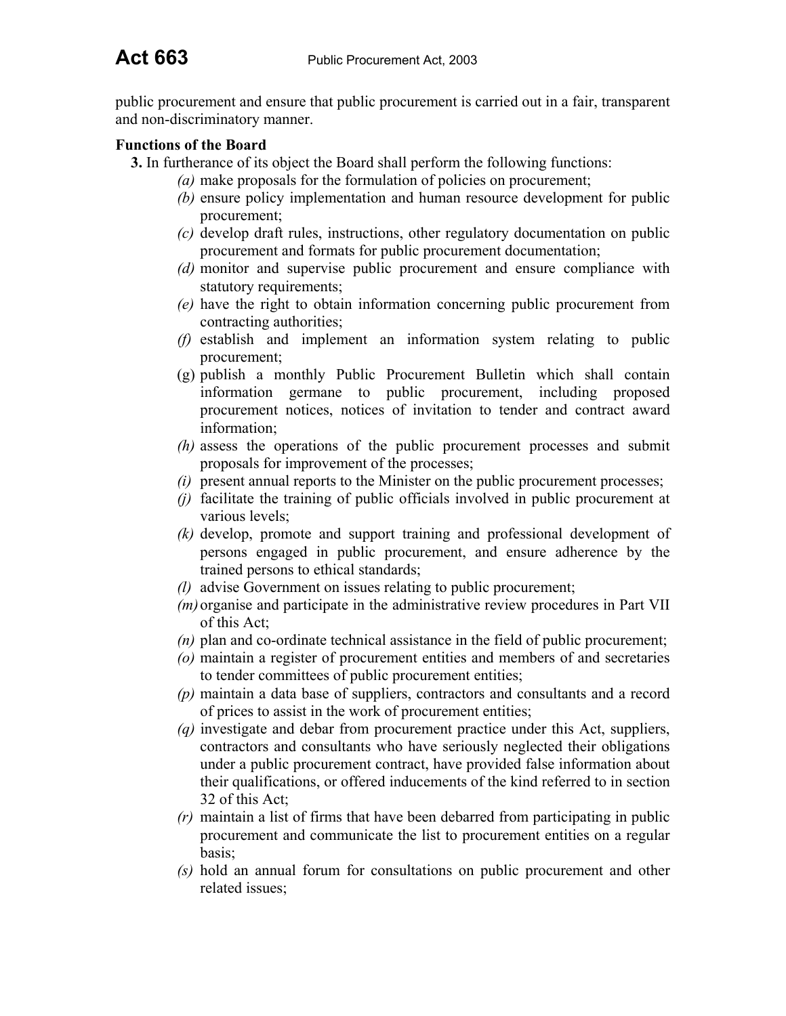public procurement and ensure that public procurement is carried out in a fair, transparent and non-discriminatory manner.

## **Functions of the Board**

- **3.** In furtherance of its object the Board shall perform the following functions:
	- *(a)* make proposals for the formulation of policies on procurement;
	- *(b)* ensure policy implementation and human resource development for public procurement;
	- *(c)* develop draft rules, instructions, other regulatory documentation on public procurement and formats for public procurement documentation;
	- *(d)* monitor and supervise public procurement and ensure compliance with statutory requirements;
	- *(e)* have the right to obtain information concerning public procurement from contracting authorities;
	- *(f)* establish and implement an information system relating to public procurement;
	- (g) publish a monthly Public Procurement Bulletin which shall contain information germane to public procurement, including proposed procurement notices, notices of invitation to tender and contract award information;
	- *(h)* assess the operations of the public procurement processes and submit proposals for improvement of the processes;
	- *(i)* present annual reports to the Minister on the public procurement processes;
	- *(j)* facilitate the training of public officials involved in public procurement at various levels;
	- *(k)* develop, promote and support training and professional development of persons engaged in public procurement, and ensure adherence by the trained persons to ethical standards;
	- *(l)* advise Government on issues relating to public procurement;
	- *(m)* organise and participate in the administrative review procedures in Part VII of this Act;
	- *(n)* plan and co-ordinate technical assistance in the field of public procurement;
	- *(o)* maintain a register of procurement entities and members of and secretaries to tender committees of public procurement entities;
	- *(p)* maintain a data base of suppliers, contractors and consultants and a record of prices to assist in the work of procurement entities;
	- *(q)* investigate and debar from procurement practice under this Act, suppliers, contractors and consultants who have seriously neglected their obligations under a public procurement contract, have provided false information about their qualifications, or offered inducements of the kind referred to in section 32 of this Act;
	- *(r)* maintain a list of firms that have been debarred from participating in public procurement and communicate the list to procurement entities on a regular basis;
	- *(s)* hold an annual forum for consultations on public procurement and other related issues;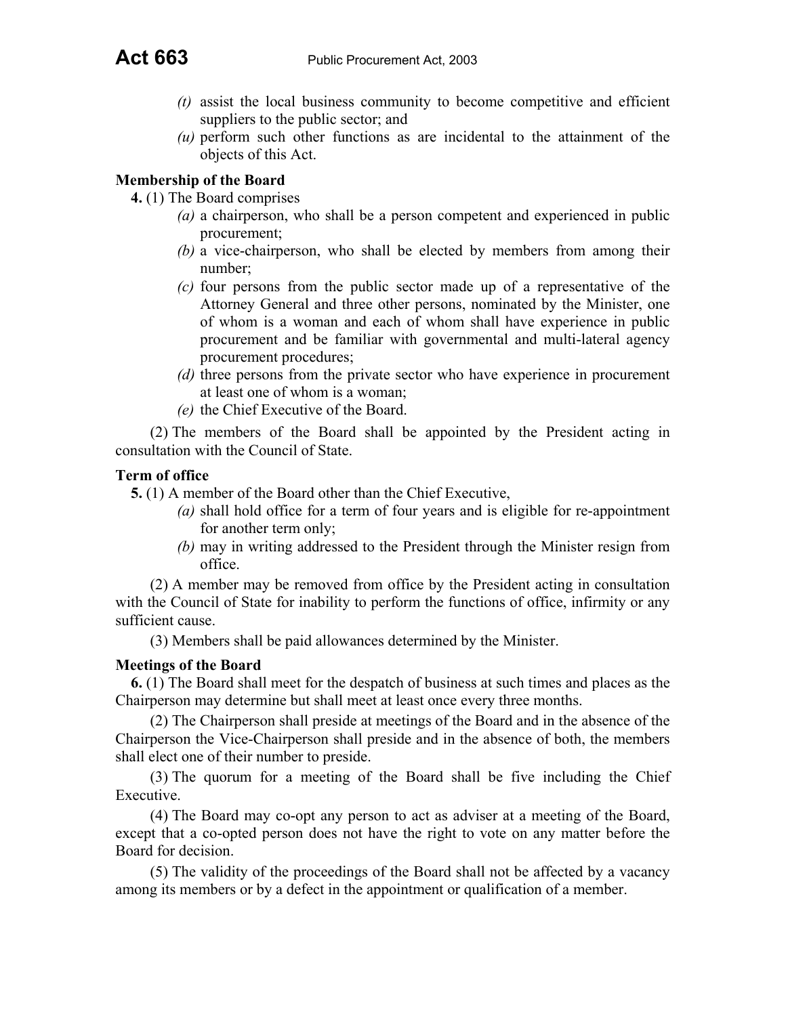- *(t)* assist the local business community to become competitive and efficient suppliers to the public sector; and
- *(u)* perform such other functions as are incidental to the attainment of the objects of this Act.

## **Membership of the Board**

**4.** (1) The Board comprises

- *(a)* a chairperson, who shall be a person competent and experienced in public procurement;
- *(b)* a vice-chairperson, who shall be elected by members from among their number;
- *(c)* four persons from the public sector made up of a representative of the Attorney General and three other persons, nominated by the Minister, one of whom is a woman and each of whom shall have experience in public procurement and be familiar with governmental and multi-lateral agency procurement procedures;
- *(d)* three persons from the private sector who have experience in procurement at least one of whom is a woman;
- *(e)* the Chief Executive of the Board.

(2) The members of the Board shall be appointed by the President acting in consultation with the Council of State.

#### **Term of office**

**5.** (1) A member of the Board other than the Chief Executive,

- *(a)* shall hold office for a term of four years and is eligible for re-appointment for another term only;
- *(b)* may in writing addressed to the President through the Minister resign from office.

(2) A member may be removed from office by the President acting in consultation with the Council of State for inability to perform the functions of office, infirmity or any sufficient cause.

(3) Members shall be paid allowances determined by the Minister.

## **Meetings of the Board**

**6.** (1) The Board shall meet for the despatch of business at such times and places as the Chairperson may determine but shall meet at least once every three months.

(2) The Chairperson shall preside at meetings of the Board and in the absence of the Chairperson the Vice-Chairperson shall preside and in the absence of both, the members shall elect one of their number to preside.

(3) The quorum for a meeting of the Board shall be five including the Chief Executive.

(4) The Board may co-opt any person to act as adviser at a meeting of the Board, except that a co-opted person does not have the right to vote on any matter before the Board for decision.

(5) The validity of the proceedings of the Board shall not be affected by a vacancy among its members or by a defect in the appointment or qualification of a member.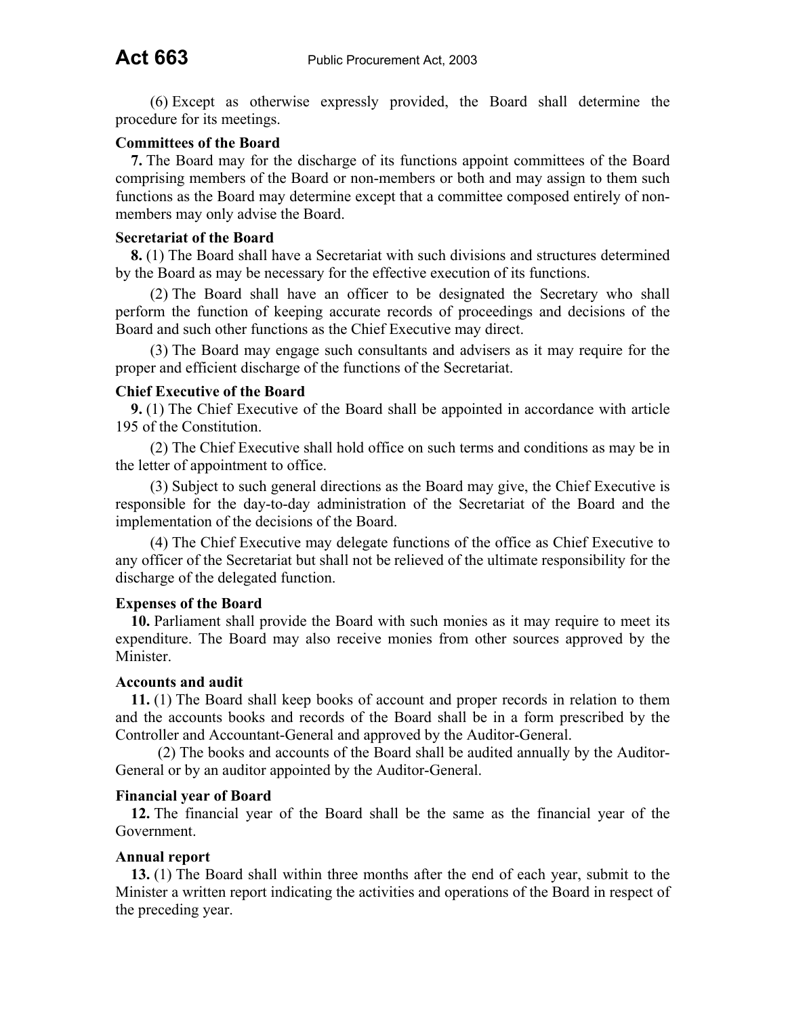(6) Except as otherwise expressly provided, the Board shall determine the procedure for its meetings.

#### **Committees of the Board**

**7.** The Board may for the discharge of its functions appoint committees of the Board comprising members of the Board or non-members or both and may assign to them such functions as the Board may determine except that a committee composed entirely of nonmembers may only advise the Board.

#### **Secretariat of the Board**

**8.** (1) The Board shall have a Secretariat with such divisions and structures determined by the Board as may be necessary for the effective execution of its functions.

(2) The Board shall have an officer to be designated the Secretary who shall perform the function of keeping accurate records of proceedings and decisions of the Board and such other functions as the Chief Executive may direct.

(3) The Board may engage such consultants and advisers as it may require for the proper and efficient discharge of the functions of the Secretariat.

#### **Chief Executive of the Board**

**9.** (1) The Chief Executive of the Board shall be appointed in accordance with article 195 of the Constitution.

(2) The Chief Executive shall hold office on such terms and conditions as may be in the letter of appointment to office.

(3) Subject to such general directions as the Board may give, the Chief Executive is responsible for the day-to-day administration of the Secretariat of the Board and the implementation of the decisions of the Board.

(4) The Chief Executive may delegate functions of the office as Chief Executive to any officer of the Secretariat but shall not be relieved of the ultimate responsibility for the discharge of the delegated function.

#### **Expenses of the Board**

**10.** Parliament shall provide the Board with such monies as it may require to meet its expenditure. The Board may also receive monies from other sources approved by the Minister.

#### **Accounts and audit**

**11.** (1) The Board shall keep books of account and proper records in relation to them and the accounts books and records of the Board shall be in a form prescribed by the Controller and Accountant-General and approved by the Auditor-General.

(2) The books and accounts of the Board shall be audited annually by the Auditor-General or by an auditor appointed by the Auditor-General.

#### **Financial year of Board**

**12.** The financial year of the Board shall be the same as the financial year of the Government.

#### **Annual report**

**13.** (1) The Board shall within three months after the end of each year, submit to the Minister a written report indicating the activities and operations of the Board in respect of the preceding year.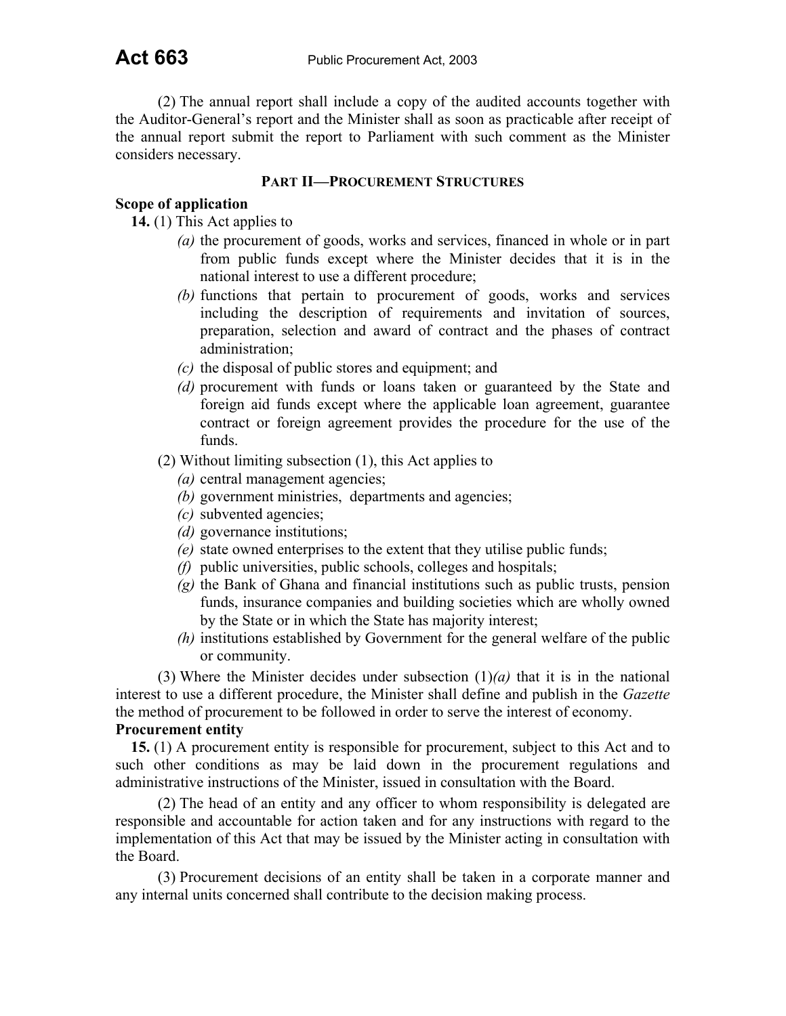(2) The annual report shall include a copy of the audited accounts together with the Auditor-General's report and the Minister shall as soon as practicable after receipt of the annual report submit the report to Parliament with such comment as the Minister considers necessary.

## **PART II—PROCUREMENT STRUCTURES**

### **Scope of application**

**14.** (1) This Act applies to

- *(a)* the procurement of goods, works and services, financed in whole or in part from public funds except where the Minister decides that it is in the national interest to use a different procedure;
- *(b)* functions that pertain to procurement of goods, works and services including the description of requirements and invitation of sources, preparation, selection and award of contract and the phases of contract administration;
- *(c)* the disposal of public stores and equipment; and
- *(d)* procurement with funds or loans taken or guaranteed by the State and foreign aid funds except where the applicable loan agreement, guarantee contract or foreign agreement provides the procedure for the use of the funds.
- (2) Without limiting subsection (1), this Act applies to
	- *(a)* central management agencies;
	- *(b)* government ministries, departments and agencies;
	- *(c)* subvented agencies;
	- *(d)* governance institutions;
	- *(e)* state owned enterprises to the extent that they utilise public funds;
	- *(f)* public universities, public schools, colleges and hospitals;
	- *(g)* the Bank of Ghana and financial institutions such as public trusts, pension funds, insurance companies and building societies which are wholly owned by the State or in which the State has majority interest;
	- *(h)* institutions established by Government for the general welfare of the public or community.

(3) Where the Minister decides under subsection (1)*(a)* that it is in the national interest to use a different procedure, the Minister shall define and publish in the *Gazette*  the method of procurement to be followed in order to serve the interest of economy.

#### **Procurement entity**

**15.** (1) A procurement entity is responsible for procurement, subject to this Act and to such other conditions as may be laid down in the procurement regulations and administrative instructions of the Minister, issued in consultation with the Board.

(2) The head of an entity and any officer to whom responsibility is delegated are responsible and accountable for action taken and for any instructions with regard to the implementation of this Act that may be issued by the Minister acting in consultation with the Board.

(3) Procurement decisions of an entity shall be taken in a corporate manner and any internal units concerned shall contribute to the decision making process.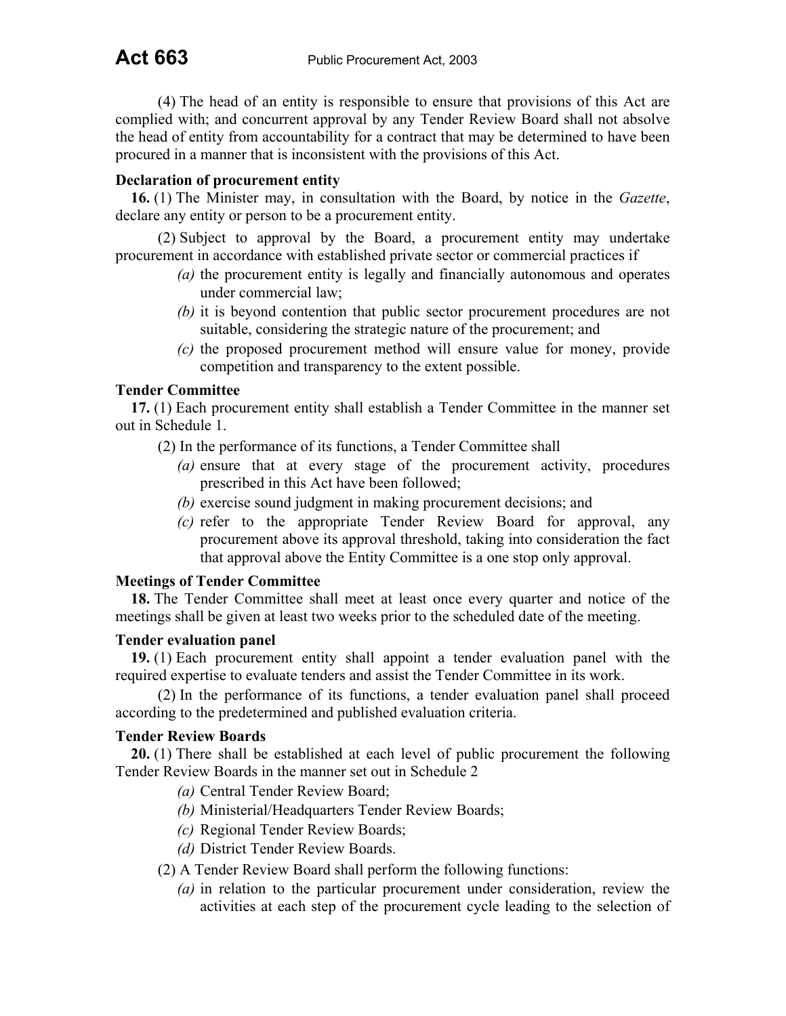(4) The head of an entity is responsible to ensure that provisions of this Act are complied with; and concurrent approval by any Tender Review Board shall not absolve the head of entity from accountability for a contract that may be determined to have been procured in a manner that is inconsistent with the provisions of this Act.

## **Declaration of procurement entity**

**16.** (1) The Minister may, in consultation with the Board, by notice in the *Gazette*, declare any entity or person to be a procurement entity.

(2) Subject to approval by the Board, a procurement entity may undertake procurement in accordance with established private sector or commercial practices if

- *(a)* the procurement entity is legally and financially autonomous and operates under commercial law;
- *(b)* it is beyond contention that public sector procurement procedures are not suitable, considering the strategic nature of the procurement; and
- *(c)* the proposed procurement method will ensure value for money, provide competition and transparency to the extent possible.

#### **Tender Committee**

**17.** (1) Each procurement entity shall establish a Tender Committee in the manner set out in Schedule 1.

(2) In the performance of its functions, a Tender Committee shall

- *(a)* ensure that at every stage of the procurement activity, procedures prescribed in this Act have been followed;
- *(b)* exercise sound judgment in making procurement decisions; and
- *(c)* refer to the appropriate Tender Review Board for approval, any procurement above its approval threshold, taking into consideration the fact that approval above the Entity Committee is a one stop only approval.

#### **Meetings of Tender Committee**

**18.** The Tender Committee shall meet at least once every quarter and notice of the meetings shall be given at least two weeks prior to the scheduled date of the meeting.

#### **Tender evaluation panel**

**19.** (1) Each procurement entity shall appoint a tender evaluation panel with the required expertise to evaluate tenders and assist the Tender Committee in its work.

(2) In the performance of its functions, a tender evaluation panel shall proceed according to the predetermined and published evaluation criteria.

#### **Tender Review Boards**

**20.** (1) There shall be established at each level of public procurement the following Tender Review Boards in the manner set out in Schedule 2

- *(a)* Central Tender Review Board;
- *(b)* Ministerial/Headquarters Tender Review Boards;
- *(c)* Regional Tender Review Boards;
- *(d)* District Tender Review Boards.
- (2) A Tender Review Board shall perform the following functions:
	- *(a)* in relation to the particular procurement under consideration, review the activities at each step of the procurement cycle leading to the selection of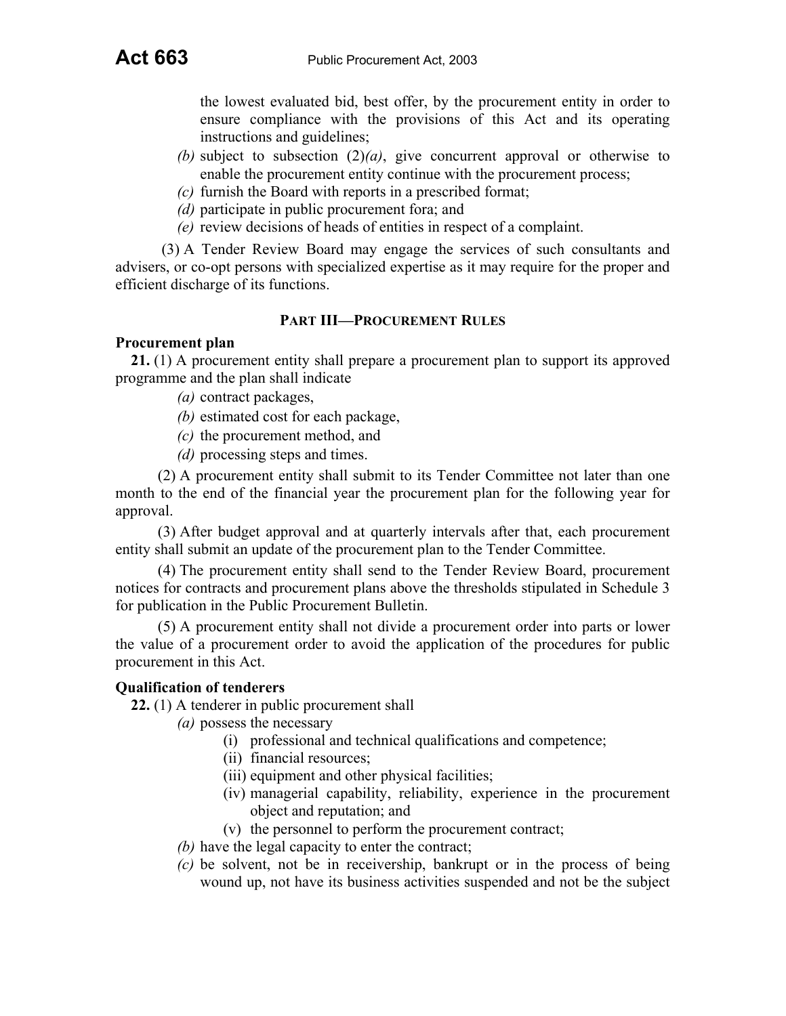the lowest evaluated bid, best offer, by the procurement entity in order to ensure compliance with the provisions of this Act and its operating instructions and guidelines;

- *(b)* subject to subsection (2)*(a)*, give concurrent approval or otherwise to enable the procurement entity continue with the procurement process;
- *(c)* furnish the Board with reports in a prescribed format;
- *(d)* participate in public procurement fora; and
- *(e)* review decisions of heads of entities in respect of a complaint.

(3) A Tender Review Board may engage the services of such consultants and advisers, or co-opt persons with specialized expertise as it may require for the proper and efficient discharge of its functions.

## **PART III—PROCUREMENT RULES**

## **Procurement plan**

**21.** (1) A procurement entity shall prepare a procurement plan to support its approved programme and the plan shall indicate

- *(a)* contract packages,
- *(b)* estimated cost for each package,
- *(c)* the procurement method, and
- *(d)* processing steps and times.

(2) A procurement entity shall submit to its Tender Committee not later than one month to the end of the financial year the procurement plan for the following year for approval.

(3) After budget approval and at quarterly intervals after that, each procurement entity shall submit an update of the procurement plan to the Tender Committee.

(4) The procurement entity shall send to the Tender Review Board, procurement notices for contracts and procurement plans above the thresholds stipulated in Schedule 3 for publication in the Public Procurement Bulletin.

(5) A procurement entity shall not divide a procurement order into parts or lower the value of a procurement order to avoid the application of the procedures for public procurement in this Act.

## **Qualification of tenderers**

**22.** (1) A tenderer in public procurement shall

- *(a)* possess the necessary
	- (i) professional and technical qualifications and competence;
	- (ii) financial resources;
	- (iii) equipment and other physical facilities;
	- (iv) managerial capability, reliability, experience in the procurement object and reputation; and
	- (v) the personnel to perform the procurement contract;
- *(b)* have the legal capacity to enter the contract;
- *(c)* be solvent, not be in receivership, bankrupt or in the process of being wound up, not have its business activities suspended and not be the subject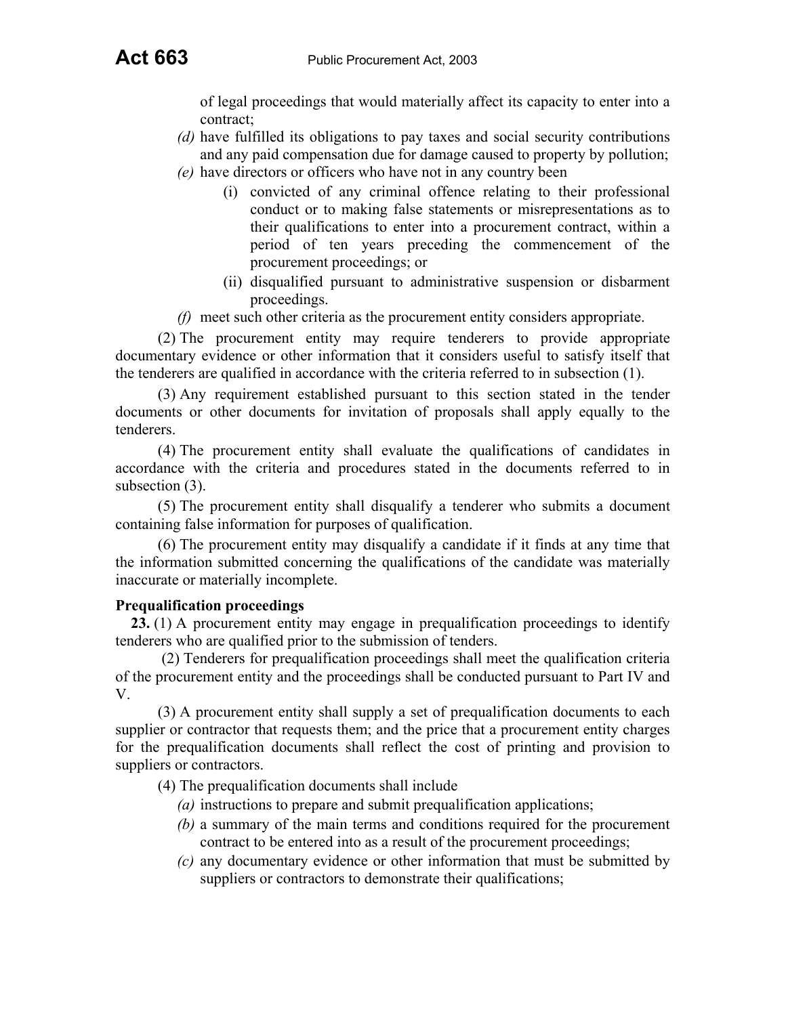of legal proceedings that would materially affect its capacity to enter into a contract;

- *(d)* have fulfilled its obligations to pay taxes and social security contributions and any paid compensation due for damage caused to property by pollution;
- *(e)* have directors or officers who have not in any country been
	- (i) convicted of any criminal offence relating to their professional conduct or to making false statements or misrepresentations as to their qualifications to enter into a procurement contract, within a period of ten years preceding the commencement of the procurement proceedings; or
	- (ii) disqualified pursuant to administrative suspension or disbarment proceedings.
- *(f)* meet such other criteria as the procurement entity considers appropriate.

(2) The procurement entity may require tenderers to provide appropriate documentary evidence or other information that it considers useful to satisfy itself that the tenderers are qualified in accordance with the criteria referred to in subsection (1).

(3) Any requirement established pursuant to this section stated in the tender documents or other documents for invitation of proposals shall apply equally to the tenderers.

(4) The procurement entity shall evaluate the qualifications of candidates in accordance with the criteria and procedures stated in the documents referred to in subsection  $(3)$ .

(5) The procurement entity shall disqualify a tenderer who submits a document containing false information for purposes of qualification.

(6) The procurement entity may disqualify a candidate if it finds at any time that the information submitted concerning the qualifications of the candidate was materially inaccurate or materially incomplete.

## **Prequalification proceedings**

**23.** (1) A procurement entity may engage in prequalification proceedings to identify tenderers who are qualified prior to the submission of tenders.

(2) Tenderers for prequalification proceedings shall meet the qualification criteria of the procurement entity and the proceedings shall be conducted pursuant to Part IV and V.

(3) A procurement entity shall supply a set of prequalification documents to each supplier or contractor that requests them; and the price that a procurement entity charges for the prequalification documents shall reflect the cost of printing and provision to suppliers or contractors.

(4) The prequalification documents shall include

- *(a)* instructions to prepare and submit prequalification applications;
- *(b)* a summary of the main terms and conditions required for the procurement contract to be entered into as a result of the procurement proceedings;
- *(c)* any documentary evidence or other information that must be submitted by suppliers or contractors to demonstrate their qualifications;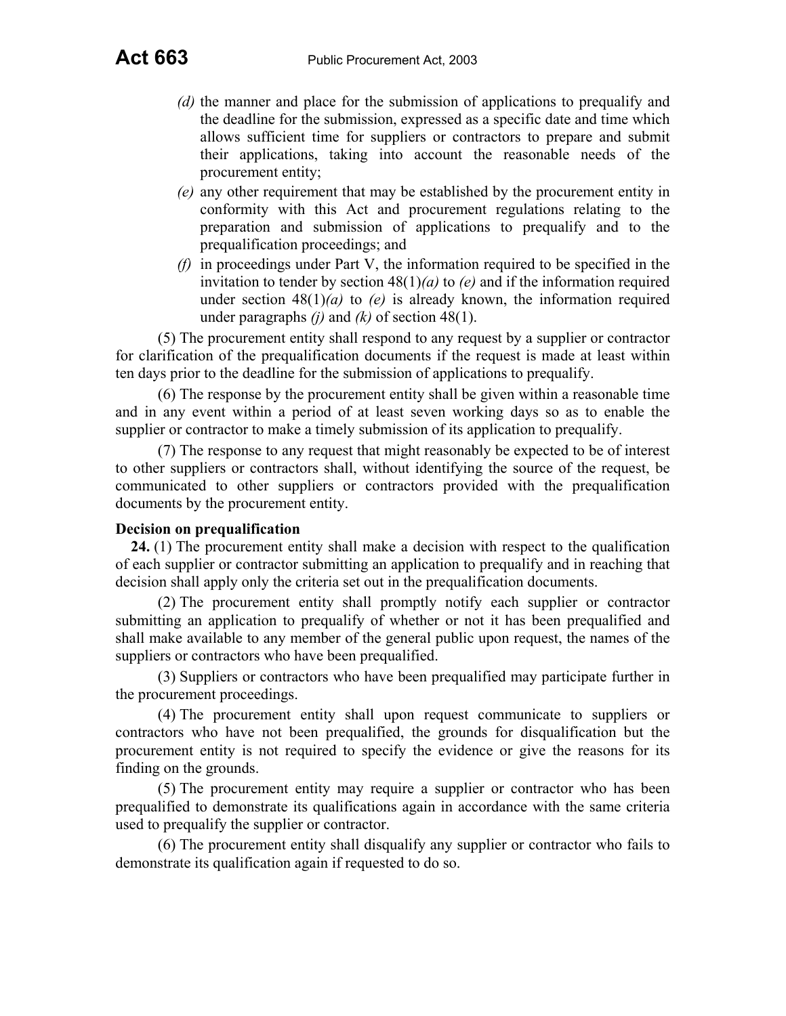- *(d)* the manner and place for the submission of applications to prequalify and the deadline for the submission, expressed as a specific date and time which allows sufficient time for suppliers or contractors to prepare and submit their applications, taking into account the reasonable needs of the procurement entity;
- *(e)* any other requirement that may be established by the procurement entity in conformity with this Act and procurement regulations relating to the preparation and submission of applications to prequalify and to the prequalification proceedings; and
- *(f)* in proceedings under Part V, the information required to be specified in the invitation to tender by section 48(1)*(a)* to *(e)* and if the information required under section  $48(1)(a)$  to *(e)* is already known, the information required under paragraphs *(j)* and *(k)* of section 48(1).

(5) The procurement entity shall respond to any request by a supplier or contractor for clarification of the prequalification documents if the request is made at least within ten days prior to the deadline for the submission of applications to prequalify.

(6) The response by the procurement entity shall be given within a reasonable time and in any event within a period of at least seven working days so as to enable the supplier or contractor to make a timely submission of its application to prequalify.

(7) The response to any request that might reasonably be expected to be of interest to other suppliers or contractors shall, without identifying the source of the request, be communicated to other suppliers or contractors provided with the prequalification documents by the procurement entity.

## **Decision on prequalification**

**24.** (1) The procurement entity shall make a decision with respect to the qualification of each supplier or contractor submitting an application to prequalify and in reaching that decision shall apply only the criteria set out in the prequalification documents.

(2) The procurement entity shall promptly notify each supplier or contractor submitting an application to prequalify of whether or not it has been prequalified and shall make available to any member of the general public upon request, the names of the suppliers or contractors who have been prequalified.

(3) Suppliers or contractors who have been prequalified may participate further in the procurement proceedings.

(4) The procurement entity shall upon request communicate to suppliers or contractors who have not been prequalified, the grounds for disqualification but the procurement entity is not required to specify the evidence or give the reasons for its finding on the grounds.

(5) The procurement entity may require a supplier or contractor who has been prequalified to demonstrate its qualifications again in accordance with the same criteria used to prequalify the supplier or contractor.

(6) The procurement entity shall disqualify any supplier or contractor who fails to demonstrate its qualification again if requested to do so.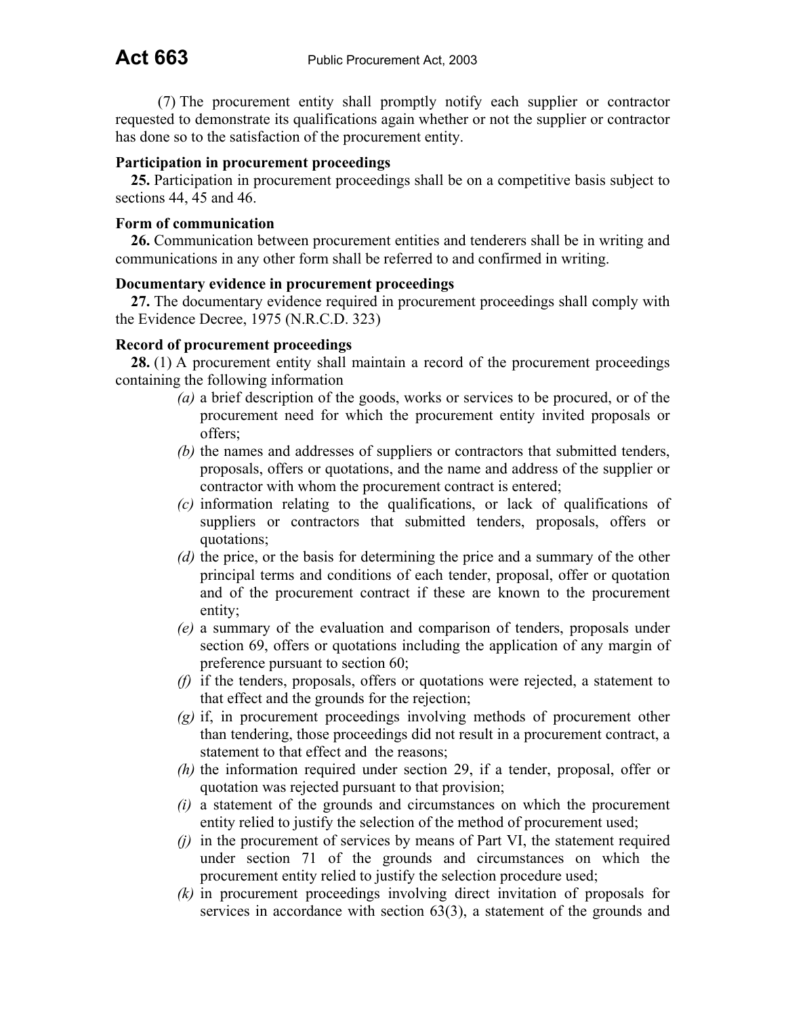(7) The procurement entity shall promptly notify each supplier or contractor requested to demonstrate its qualifications again whether or not the supplier or contractor has done so to the satisfaction of the procurement entity.

## **Participation in procurement proceedings**

**25.** Participation in procurement proceedings shall be on a competitive basis subject to sections 44, 45 and 46.

### **Form of communication**

**26.** Communication between procurement entities and tenderers shall be in writing and communications in any other form shall be referred to and confirmed in writing.

#### **Documentary evidence in procurement proceedings**

**27.** The documentary evidence required in procurement proceedings shall comply with the Evidence Decree, 1975 (N.R.C.D. 323)

## **Record of procurement proceedings**

**28.** (1) A procurement entity shall maintain a record of the procurement proceedings containing the following information

- *(a)* a brief description of the goods, works or services to be procured, or of the procurement need for which the procurement entity invited proposals or offers;
- *(b)* the names and addresses of suppliers or contractors that submitted tenders, proposals, offers or quotations, and the name and address of the supplier or contractor with whom the procurement contract is entered;
- *(c)* information relating to the qualifications, or lack of qualifications of suppliers or contractors that submitted tenders, proposals, offers or quotations;
- *(d)* the price, or the basis for determining the price and a summary of the other principal terms and conditions of each tender, proposal, offer or quotation and of the procurement contract if these are known to the procurement entity;
- *(e)* a summary of the evaluation and comparison of tenders, proposals under section 69, offers or quotations including the application of any margin of preference pursuant to section 60;
- *(f)* if the tenders, proposals, offers or quotations were rejected, a statement to that effect and the grounds for the rejection;
- *(g)* if, in procurement proceedings involving methods of procurement other than tendering, those proceedings did not result in a procurement contract, a statement to that effect and the reasons;
- *(h)* the information required under section 29, if a tender, proposal, offer or quotation was rejected pursuant to that provision;
- *(i)* a statement of the grounds and circumstances on which the procurement entity relied to justify the selection of the method of procurement used;
- *(j)* in the procurement of services by means of Part VI, the statement required under section 71 of the grounds and circumstances on which the procurement entity relied to justify the selection procedure used;
- *(k)* in procurement proceedings involving direct invitation of proposals for services in accordance with section 63(3), a statement of the grounds and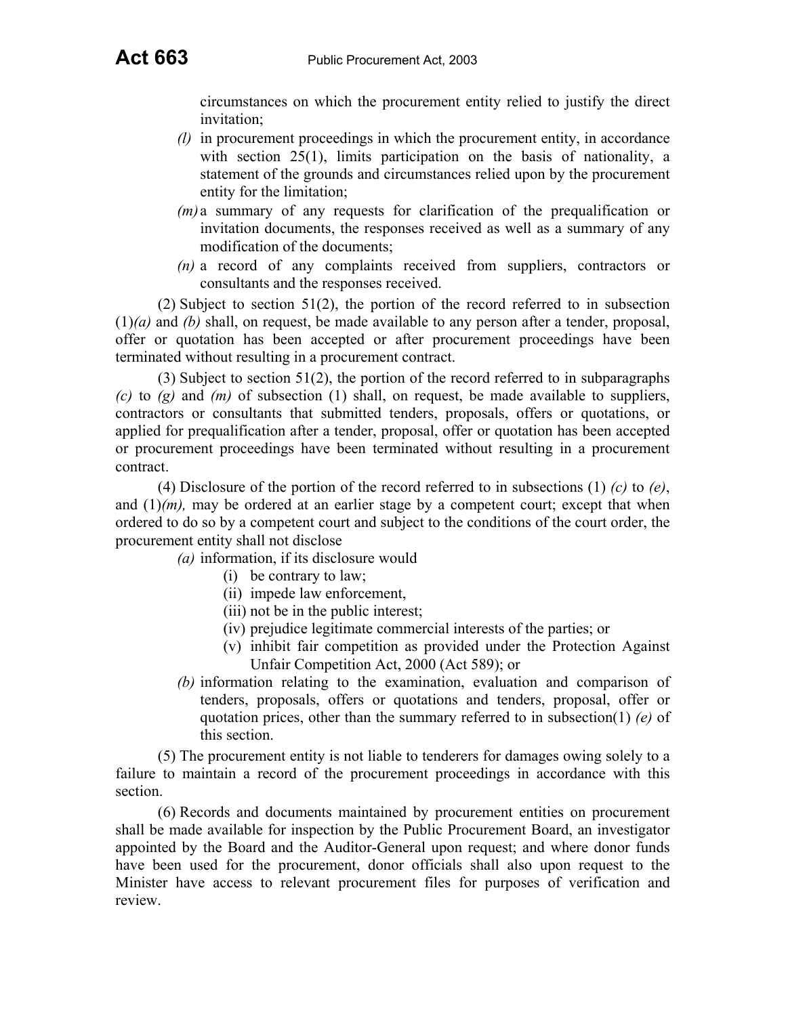circumstances on which the procurement entity relied to justify the direct invitation;

- *(l)* in procurement proceedings in which the procurement entity, in accordance with section 25(1), limits participation on the basis of nationality, a statement of the grounds and circumstances relied upon by the procurement entity for the limitation;
- *(m)* a summary of any requests for clarification of the prequalification or invitation documents, the responses received as well as a summary of any modification of the documents;
- *(n)* a record of any complaints received from suppliers, contractors or consultants and the responses received.

(2) Subject to section 51(2), the portion of the record referred to in subsection (1)*(a)* and *(b)* shall, on request, be made available to any person after a tender, proposal, offer or quotation has been accepted or after procurement proceedings have been terminated without resulting in a procurement contract.

(3) Subject to section 51(2), the portion of the record referred to in subparagraphs  $(c)$  to  $(g)$  and  $(m)$  of subsection (1) shall, on request, be made available to suppliers, contractors or consultants that submitted tenders, proposals, offers or quotations, or applied for prequalification after a tender, proposal, offer or quotation has been accepted or procurement proceedings have been terminated without resulting in a procurement contract.

(4) Disclosure of the portion of the record referred to in subsections (1) *(c)* to *(e)*, and  $(1)/(m)$ , may be ordered at an earlier stage by a competent court; except that when ordered to do so by a competent court and subject to the conditions of the court order, the procurement entity shall not disclose

*(a)* information, if its disclosure would

- (i) be contrary to law;
- (ii) impede law enforcement,
- (iii) not be in the public interest;
- (iv) prejudice legitimate commercial interests of the parties; or
- (v) inhibit fair competition as provided under the Protection Against Unfair Competition Act, 2000 (Act 589); or
- *(b)* information relating to the examination, evaluation and comparison of tenders, proposals, offers or quotations and tenders, proposal, offer or quotation prices, other than the summary referred to in subsection(1) *(e)* of this section.

(5) The procurement entity is not liable to tenderers for damages owing solely to a failure to maintain a record of the procurement proceedings in accordance with this section.

(6) Records and documents maintained by procurement entities on procurement shall be made available for inspection by the Public Procurement Board, an investigator appointed by the Board and the Auditor-General upon request; and where donor funds have been used for the procurement, donor officials shall also upon request to the Minister have access to relevant procurement files for purposes of verification and review.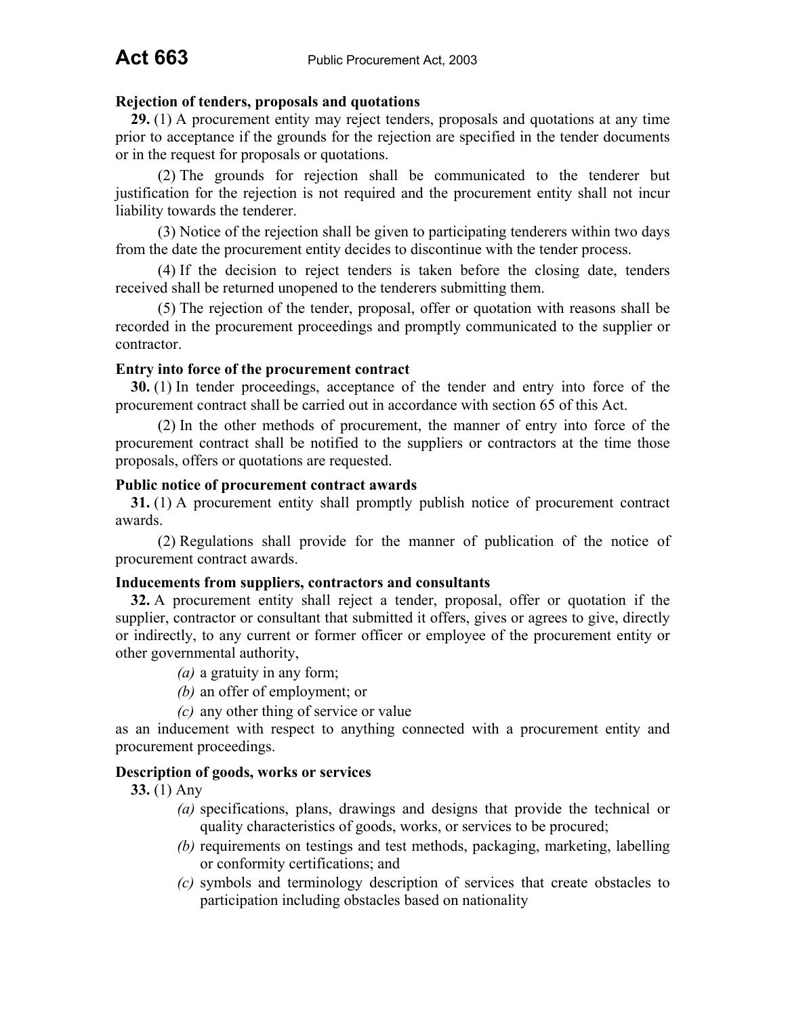## **Rejection of tenders, proposals and quotations**

**29.** (1) A procurement entity may reject tenders, proposals and quotations at any time prior to acceptance if the grounds for the rejection are specified in the tender documents or in the request for proposals or quotations.

(2) The grounds for rejection shall be communicated to the tenderer but justification for the rejection is not required and the procurement entity shall not incur liability towards the tenderer.

(3) Notice of the rejection shall be given to participating tenderers within two days from the date the procurement entity decides to discontinue with the tender process.

(4) If the decision to reject tenders is taken before the closing date, tenders received shall be returned unopened to the tenderers submitting them.

(5) The rejection of the tender, proposal, offer or quotation with reasons shall be recorded in the procurement proceedings and promptly communicated to the supplier or contractor.

#### **Entry into force of the procurement contract**

**30.** (1) In tender proceedings, acceptance of the tender and entry into force of the procurement contract shall be carried out in accordance with section 65 of this Act.

(2) In the other methods of procurement, the manner of entry into force of the procurement contract shall be notified to the suppliers or contractors at the time those proposals, offers or quotations are requested.

#### **Public notice of procurement contract awards**

**31.** (1) A procurement entity shall promptly publish notice of procurement contract awards.

(2) Regulations shall provide for the manner of publication of the notice of procurement contract awards.

#### **Inducements from suppliers, contractors and consultants**

**32.** A procurement entity shall reject a tender, proposal, offer or quotation if the supplier, contractor or consultant that submitted it offers, gives or agrees to give, directly or indirectly, to any current or former officer or employee of the procurement entity or other governmental authority,

- *(a)* a gratuity in any form;
- *(b)* an offer of employment; or
- *(c)* any other thing of service or value

as an inducement with respect to anything connected with a procurement entity and procurement proceedings.

#### **Description of goods, works or services**

**33.** (1) Any

- *(a)* specifications, plans, drawings and designs that provide the technical or quality characteristics of goods, works, or services to be procured;
- *(b)* requirements on testings and test methods, packaging, marketing, labelling or conformity certifications; and
- *(c)* symbols and terminology description of services that create obstacles to participation including obstacles based on nationality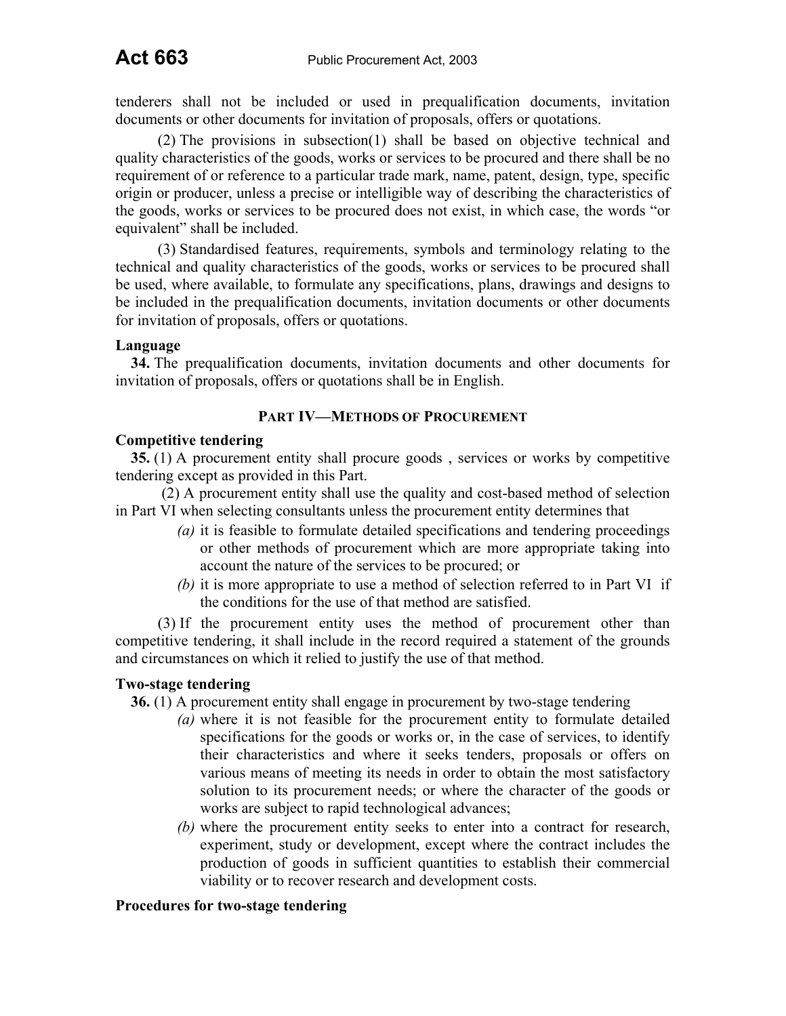tenderers shall not be included or used in prequalification documents, invitation documents or other documents for invitation of proposals, offers or quotations.

(2) The provisions in subsection(1) shall be based on objective technical and quality characteristics of the goods, works or services to be procured and there shall be no requirement of or reference to a particular trade mark, name, patent, design, type, specific origin or producer, unless a precise or intelligible way of describing the characteristics of the goods, works or services to be procured does not exist, in which case, the words "or equivalent" shall be included.

(3) Standardised features, requirements, symbols and terminology relating to the technical and quality characteristics of the goods, works or services to be procured shall be used, where available, to formulate any specifications, plans, drawings and designs to be included in the prequalification documents, invitation documents or other documents for invitation of proposals, offers or quotations.

## **Language**

**34.** The prequalification documents, invitation documents and other documents for invitation of proposals, offers or quotations shall be in English.

## **PART IV—METHODS OF PROCUREMENT**

## **Competitive tendering**

**35.** (1) A procurement entity shall procure goods , services or works by competitive tendering except as provided in this Part.

(2) A procurement entity shall use the quality and cost-based method of selection in Part VI when selecting consultants unless the procurement entity determines that

- *(a)* it is feasible to formulate detailed specifications and tendering proceedings or other methods of procurement which are more appropriate taking into account the nature of the services to be procured; or
- *(b)* it is more appropriate to use a method of selection referred to in Part VI if the conditions for the use of that method are satisfied.

(3) If the procurement entity uses the method of procurement other than competitive tendering, it shall include in the record required a statement of the grounds and circumstances on which it relied to justify the use of that method.

## **Two-stage tendering**

**36.** (1) A procurement entity shall engage in procurement by two-stage tendering

- *(a)* where it is not feasible for the procurement entity to formulate detailed specifications for the goods or works or, in the case of services, to identify their characteristics and where it seeks tenders, proposals or offers on various means of meeting its needs in order to obtain the most satisfactory solution to its procurement needs; or where the character of the goods or works are subject to rapid technological advances;
- *(b)* where the procurement entity seeks to enter into a contract for research, experiment, study or development, except where the contract includes the production of goods in sufficient quantities to establish their commercial viability or to recover research and development costs.

#### **Procedures for two-stage tendering**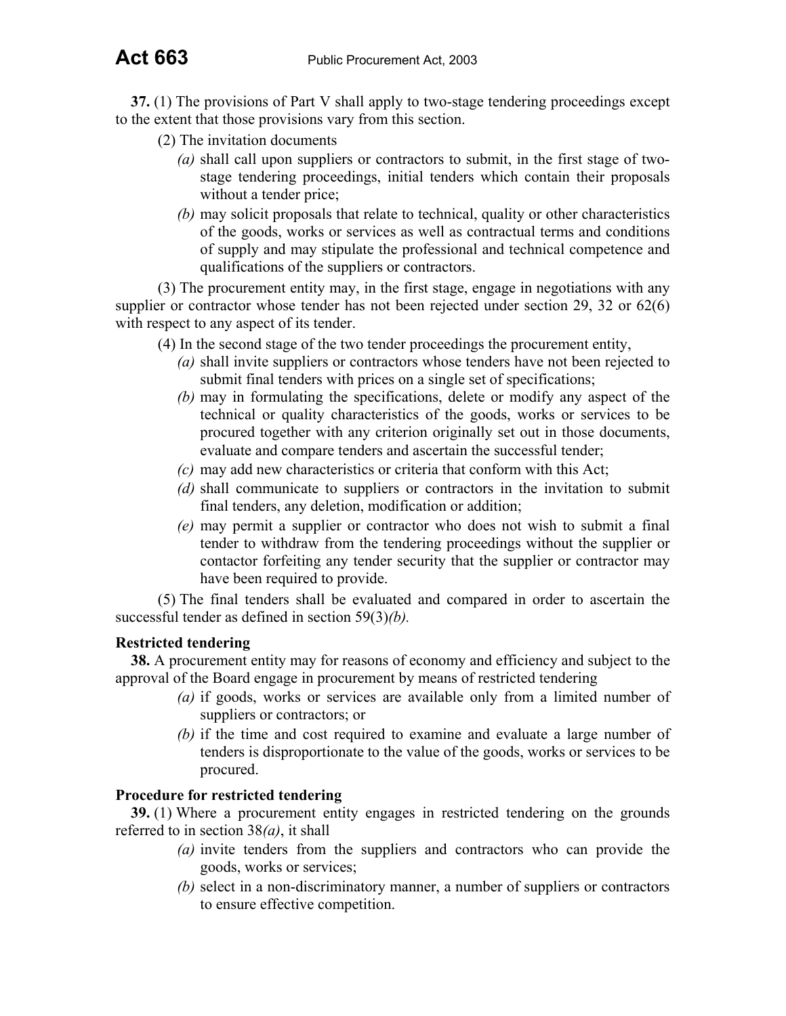**37.** (1) The provisions of Part V shall apply to two-stage tendering proceedings except to the extent that those provisions vary from this section.

- (2) The invitation documents
	- *(a)* shall call upon suppliers or contractors to submit, in the first stage of twostage tendering proceedings, initial tenders which contain their proposals without a tender price;
	- *(b)* may solicit proposals that relate to technical, quality or other characteristics of the goods, works or services as well as contractual terms and conditions of supply and may stipulate the professional and technical competence and qualifications of the suppliers or contractors.

(3) The procurement entity may, in the first stage, engage in negotiations with any supplier or contractor whose tender has not been rejected under section 29, 32 or 62(6) with respect to any aspect of its tender.

(4) In the second stage of the two tender proceedings the procurement entity,

- *(a)* shall invite suppliers or contractors whose tenders have not been rejected to submit final tenders with prices on a single set of specifications;
- *(b)* may in formulating the specifications, delete or modify any aspect of the technical or quality characteristics of the goods, works or services to be procured together with any criterion originally set out in those documents, evaluate and compare tenders and ascertain the successful tender;
- *(c)* may add new characteristics or criteria that conform with this Act;
- *(d)* shall communicate to suppliers or contractors in the invitation to submit final tenders, any deletion, modification or addition;
- *(e)* may permit a supplier or contractor who does not wish to submit a final tender to withdraw from the tendering proceedings without the supplier or contactor forfeiting any tender security that the supplier or contractor may have been required to provide.

(5) The final tenders shall be evaluated and compared in order to ascertain the successful tender as defined in section 59(3)*(b).*

## **Restricted tendering**

**38.** A procurement entity may for reasons of economy and efficiency and subject to the approval of the Board engage in procurement by means of restricted tendering

- *(a)* if goods, works or services are available only from a limited number of suppliers or contractors; or
- *(b)* if the time and cost required to examine and evaluate a large number of tenders is disproportionate to the value of the goods, works or services to be procured.

## **Procedure for restricted tendering**

**39.** (1) Where a procurement entity engages in restricted tendering on the grounds referred to in section 38*(a)*, it shall

- *(a)* invite tenders from the suppliers and contractors who can provide the goods, works or services;
- *(b)* select in a non-discriminatory manner, a number of suppliers or contractors to ensure effective competition.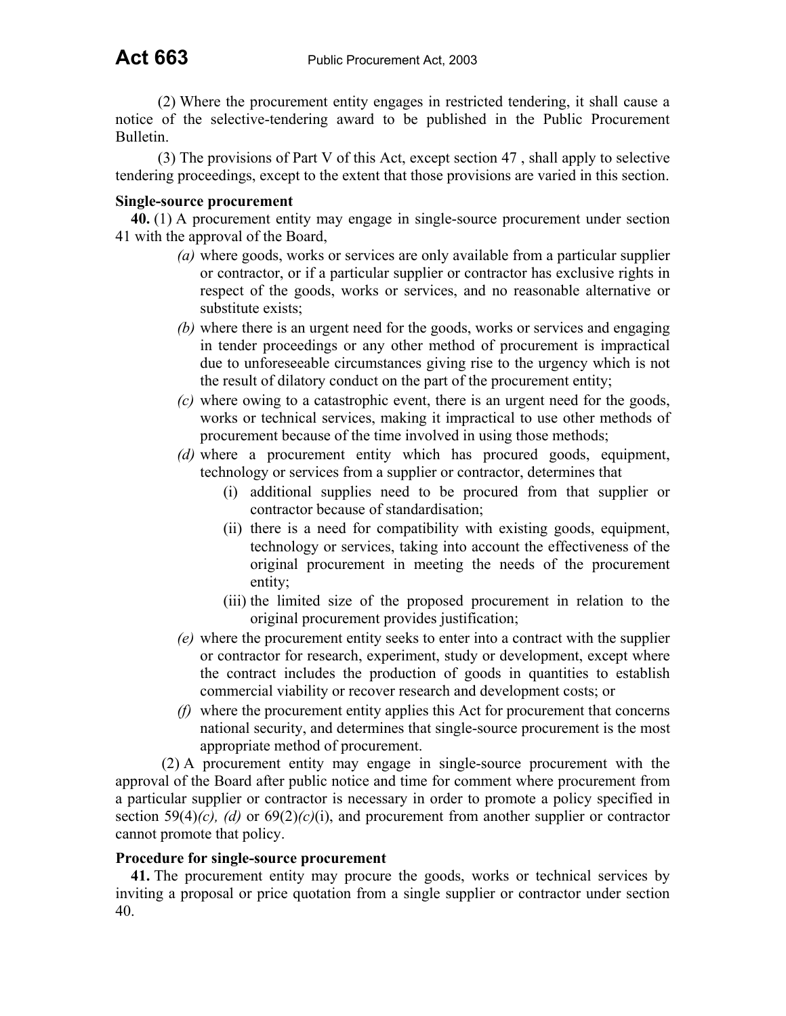(2) Where the procurement entity engages in restricted tendering, it shall cause a notice of the selective-tendering award to be published in the Public Procurement Bulletin.

(3) The provisions of Part V of this Act, except section 47 , shall apply to selective tendering proceedings, except to the extent that those provisions are varied in this section.

## **Single-source procurement**

**40.** (1) A procurement entity may engage in single-source procurement under section 41 with the approval of the Board,

- *(a)* where goods, works or services are only available from a particular supplier or contractor, or if a particular supplier or contractor has exclusive rights in respect of the goods, works or services, and no reasonable alternative or substitute exists;
- *(b)* where there is an urgent need for the goods, works or services and engaging in tender proceedings or any other method of procurement is impractical due to unforeseeable circumstances giving rise to the urgency which is not the result of dilatory conduct on the part of the procurement entity;
- *(c)* where owing to a catastrophic event, there is an urgent need for the goods, works or technical services, making it impractical to use other methods of procurement because of the time involved in using those methods;
- *(d)* where a procurement entity which has procured goods, equipment, technology or services from a supplier or contractor, determines that
	- (i) additional supplies need to be procured from that supplier or contractor because of standardisation;
	- (ii) there is a need for compatibility with existing goods, equipment, technology or services, taking into account the effectiveness of the original procurement in meeting the needs of the procurement entity;
	- (iii) the limited size of the proposed procurement in relation to the original procurement provides justification;
- *(e)* where the procurement entity seeks to enter into a contract with the supplier or contractor for research, experiment, study or development, except where the contract includes the production of goods in quantities to establish commercial viability or recover research and development costs; or
- *(f)* where the procurement entity applies this Act for procurement that concerns national security, and determines that single-source procurement is the most appropriate method of procurement.

(2) A procurement entity may engage in single-source procurement with the approval of the Board after public notice and time for comment where procurement from a particular supplier or contractor is necessary in order to promote a policy specified in section 59(4) $(c)$ ,  $(d)$  or  $69(2)(c)(i)$ , and procurement from another supplier or contractor cannot promote that policy.

## **Procedure for single-source procurement**

**41.** The procurement entity may procure the goods, works or technical services by inviting a proposal or price quotation from a single supplier or contractor under section 40.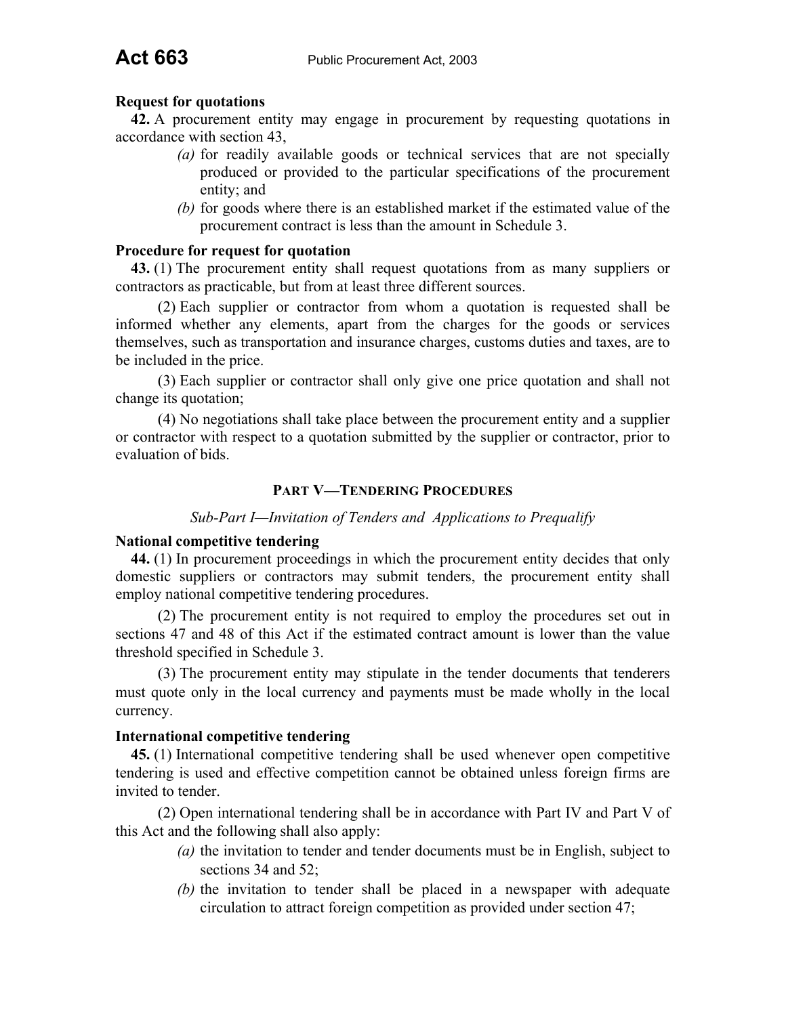#### **Request for quotations**

**42.** A procurement entity may engage in procurement by requesting quotations in accordance with section 43,

- *(a)* for readily available goods or technical services that are not specially produced or provided to the particular specifications of the procurement entity; and
- *(b)* for goods where there is an established market if the estimated value of the procurement contract is less than the amount in Schedule 3.

#### **Procedure for request for quotation**

**43.** (1) The procurement entity shall request quotations from as many suppliers or contractors as practicable, but from at least three different sources.

(2) Each supplier or contractor from whom a quotation is requested shall be informed whether any elements, apart from the charges for the goods or services themselves, such as transportation and insurance charges, customs duties and taxes, are to be included in the price.

(3) Each supplier or contractor shall only give one price quotation and shall not change its quotation;

(4) No negotiations shall take place between the procurement entity and a supplier or contractor with respect to a quotation submitted by the supplier or contractor, prior to evaluation of bids.

#### **PART V—TENDERING PROCEDURES**

#### *Sub-Part I—Invitation of Tenders and Applications to Prequalify*

#### **National competitive tendering**

**44.** (1) In procurement proceedings in which the procurement entity decides that only domestic suppliers or contractors may submit tenders, the procurement entity shall employ national competitive tendering procedures.

(2) The procurement entity is not required to employ the procedures set out in sections 47 and 48 of this Act if the estimated contract amount is lower than the value threshold specified in Schedule 3.

(3) The procurement entity may stipulate in the tender documents that tenderers must quote only in the local currency and payments must be made wholly in the local currency.

#### **International competitive tendering**

**45.** (1) International competitive tendering shall be used whenever open competitive tendering is used and effective competition cannot be obtained unless foreign firms are invited to tender.

(2) Open international tendering shall be in accordance with Part IV and Part V of this Act and the following shall also apply:

- *(a)* the invitation to tender and tender documents must be in English, subject to sections 34 and 52;
- *(b)* the invitation to tender shall be placed in a newspaper with adequate circulation to attract foreign competition as provided under section 47;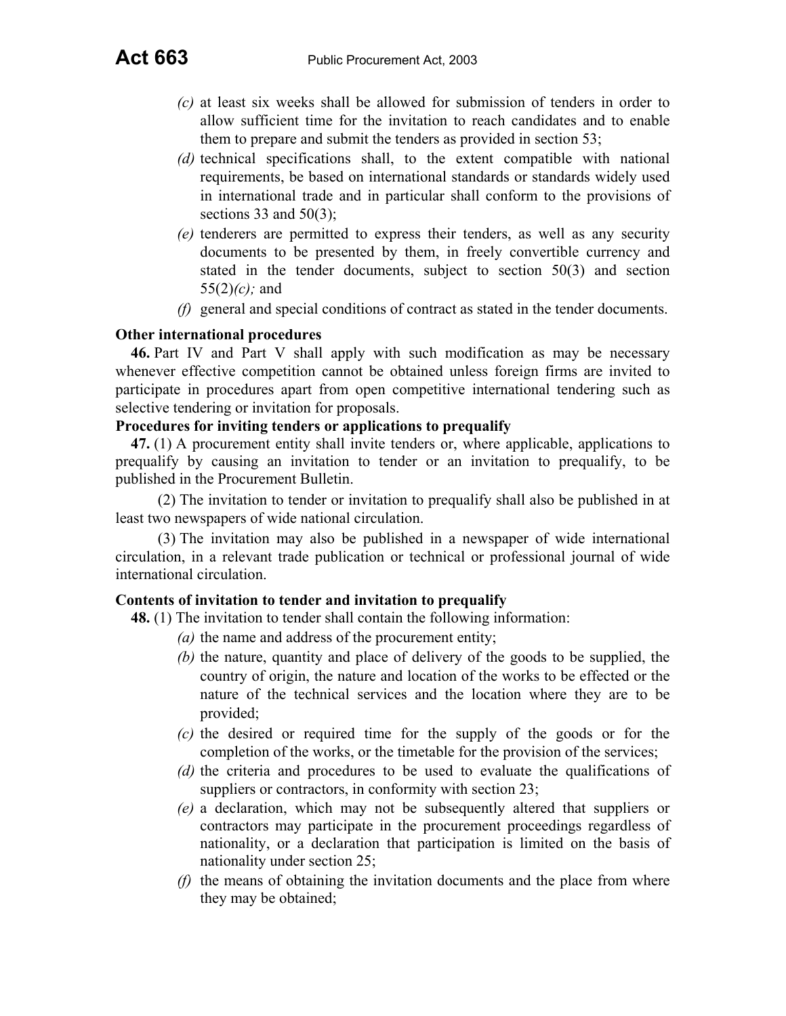- *(c)* at least six weeks shall be allowed for submission of tenders in order to allow sufficient time for the invitation to reach candidates and to enable them to prepare and submit the tenders as provided in section 53;
- *(d)* technical specifications shall, to the extent compatible with national requirements, be based on international standards or standards widely used in international trade and in particular shall conform to the provisions of sections 33 and  $50(3)$ :
- *(e)* tenderers are permitted to express their tenders, as well as any security documents to be presented by them, in freely convertible currency and stated in the tender documents, subject to section 50(3) and section 55(2)*(c);* and
- *(f)* general and special conditions of contract as stated in the tender documents.

## **Other international procedures**

**46.** Part IV and Part V shall apply with such modification as may be necessary whenever effective competition cannot be obtained unless foreign firms are invited to participate in procedures apart from open competitive international tendering such as selective tendering or invitation for proposals.

## **Procedures for inviting tenders or applications to prequalify**

**47.** (1) A procurement entity shall invite tenders or, where applicable, applications to prequalify by causing an invitation to tender or an invitation to prequalify, to be published in the Procurement Bulletin.

(2) The invitation to tender or invitation to prequalify shall also be published in at least two newspapers of wide national circulation.

(3) The invitation may also be published in a newspaper of wide international circulation, in a relevant trade publication or technical or professional journal of wide international circulation.

## **Contents of invitation to tender and invitation to prequalify**

**48.** (1) The invitation to tender shall contain the following information:

- *(a)* the name and address of the procurement entity;
- *(b)* the nature, quantity and place of delivery of the goods to be supplied, the country of origin, the nature and location of the works to be effected or the nature of the technical services and the location where they are to be provided;
- *(c)* the desired or required time for the supply of the goods or for the completion of the works, or the timetable for the provision of the services;
- *(d)* the criteria and procedures to be used to evaluate the qualifications of suppliers or contractors, in conformity with section 23;
- *(e)* a declaration, which may not be subsequently altered that suppliers or contractors may participate in the procurement proceedings regardless of nationality, or a declaration that participation is limited on the basis of nationality under section 25;
- *(f)* the means of obtaining the invitation documents and the place from where they may be obtained;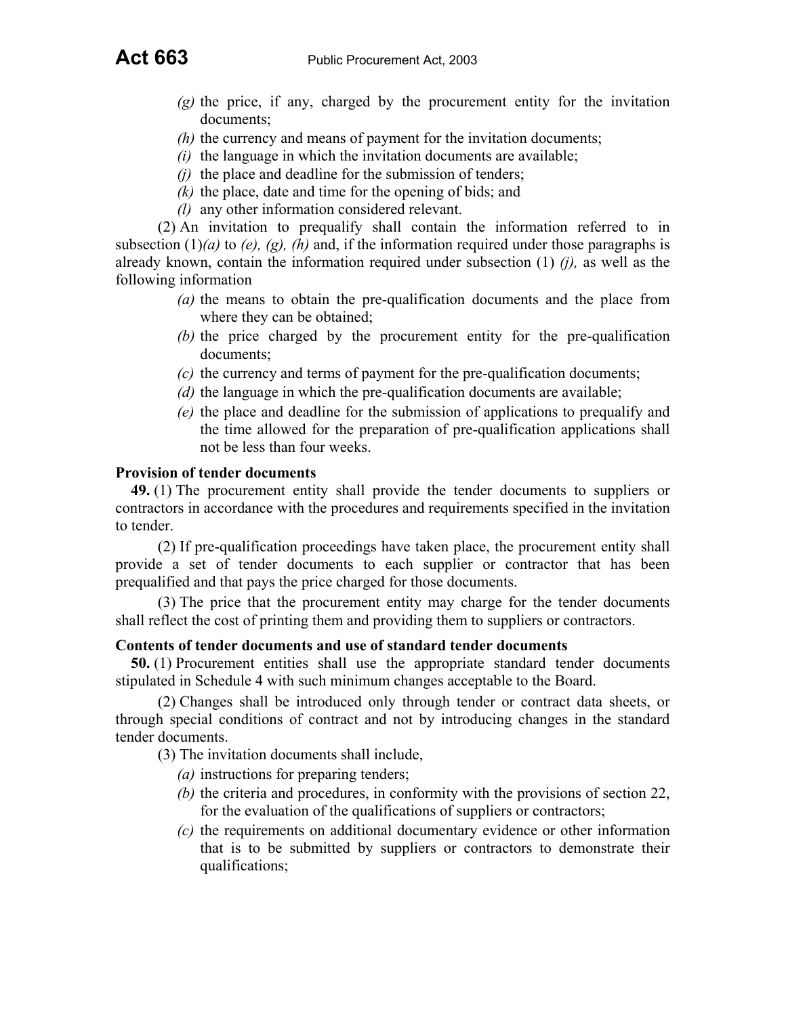- *(g)* the price, if any, charged by the procurement entity for the invitation documents;
- *(h)* the currency and means of payment for the invitation documents;
- *(i)* the language in which the invitation documents are available;
- *(j)* the place and deadline for the submission of tenders;
- *(k)* the place, date and time for the opening of bids; and
- *(l)* any other information considered relevant.

(2) An invitation to prequalify shall contain the information referred to in subsection  $(1)(a)$  to  $(e)$ ,  $(g)$ ,  $(h)$  and, if the information required under those paragraphs is already known, contain the information required under subsection (1) *(j),* as well as the following information

- *(a)* the means to obtain the pre-qualification documents and the place from where they can be obtained;
- *(b)* the price charged by the procurement entity for the pre-qualification documents;
- *(c)* the currency and terms of payment for the pre-qualification documents;
- *(d)* the language in which the pre-qualification documents are available;
- *(e)* the place and deadline for the submission of applications to prequalify and the time allowed for the preparation of pre-qualification applications shall not be less than four weeks.

## **Provision of tender documents**

**49.** (1) The procurement entity shall provide the tender documents to suppliers or contractors in accordance with the procedures and requirements specified in the invitation to tender.

(2) If pre-qualification proceedings have taken place, the procurement entity shall provide a set of tender documents to each supplier or contractor that has been prequalified and that pays the price charged for those documents.

(3) The price that the procurement entity may charge for the tender documents shall reflect the cost of printing them and providing them to suppliers or contractors.

## **Contents of tender documents and use of standard tender documents**

**50.** (1) Procurement entities shall use the appropriate standard tender documents stipulated in Schedule 4 with such minimum changes acceptable to the Board.

(2) Changes shall be introduced only through tender or contract data sheets, or through special conditions of contract and not by introducing changes in the standard tender documents.

(3) The invitation documents shall include,

- *(a)* instructions for preparing tenders;
- *(b)* the criteria and procedures, in conformity with the provisions of section 22, for the evaluation of the qualifications of suppliers or contractors;
- *(c)* the requirements on additional documentary evidence or other information that is to be submitted by suppliers or contractors to demonstrate their qualifications;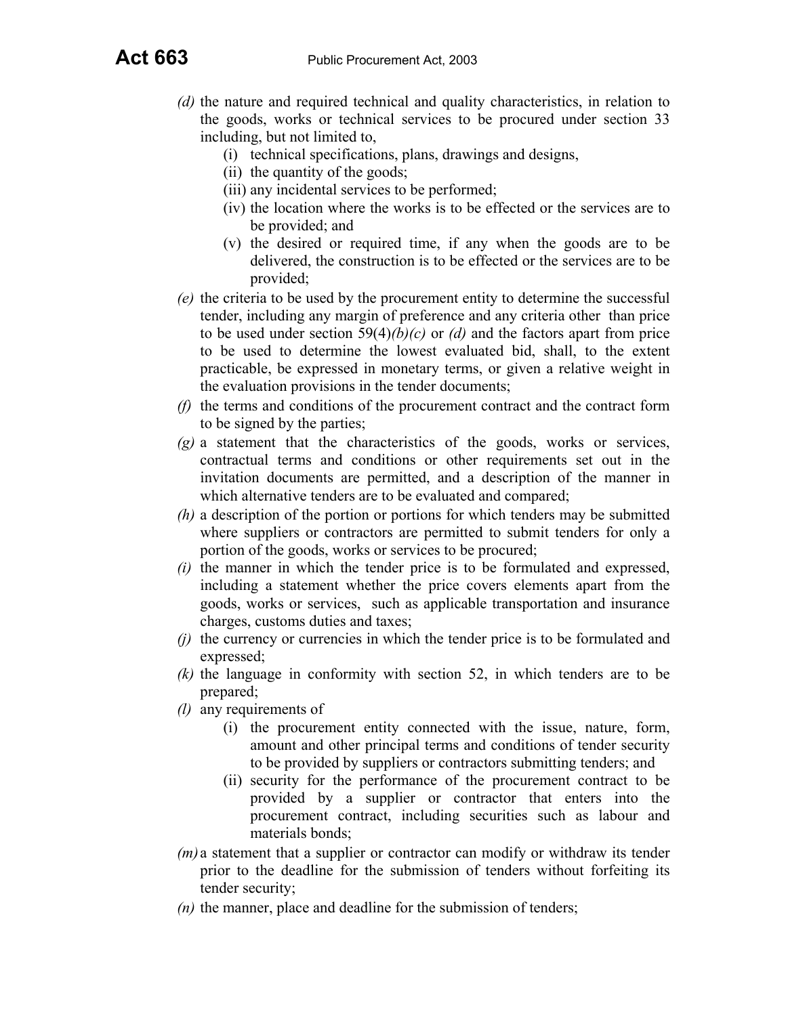- *(d)* the nature and required technical and quality characteristics, in relation to the goods, works or technical services to be procured under section 33 including, but not limited to,
	- (i) technical specifications, plans, drawings and designs,
	- (ii) the quantity of the goods;
	- (iii) any incidental services to be performed;
	- (iv) the location where the works is to be effected or the services are to be provided; and
	- (v) the desired or required time, if any when the goods are to be delivered, the construction is to be effected or the services are to be provided;
- *(e)* the criteria to be used by the procurement entity to determine the successful tender, including any margin of preference and any criteria other than price to be used under section  $59(4)/(b)/(c)$  or *(d)* and the factors apart from price to be used to determine the lowest evaluated bid, shall, to the extent practicable, be expressed in monetary terms, or given a relative weight in the evaluation provisions in the tender documents;
- *(f)* the terms and conditions of the procurement contract and the contract form to be signed by the parties;
- *(g)* a statement that the characteristics of the goods, works or services, contractual terms and conditions or other requirements set out in the invitation documents are permitted, and a description of the manner in which alternative tenders are to be evaluated and compared;
- *(h)* a description of the portion or portions for which tenders may be submitted where suppliers or contractors are permitted to submit tenders for only a portion of the goods, works or services to be procured;
- *(i)* the manner in which the tender price is to be formulated and expressed, including a statement whether the price covers elements apart from the goods, works or services, such as applicable transportation and insurance charges, customs duties and taxes;
- *(j)* the currency or currencies in which the tender price is to be formulated and expressed;
- *(k)* the language in conformity with section 52, in which tenders are to be prepared;
- *(l)* any requirements of
	- (i) the procurement entity connected with the issue, nature, form, amount and other principal terms and conditions of tender security to be provided by suppliers or contractors submitting tenders; and
	- (ii) security for the performance of the procurement contract to be provided by a supplier or contractor that enters into the procurement contract, including securities such as labour and materials bonds;
- *(m)* a statement that a supplier or contractor can modify or withdraw its tender prior to the deadline for the submission of tenders without forfeiting its tender security;
- *(n)* the manner, place and deadline for the submission of tenders;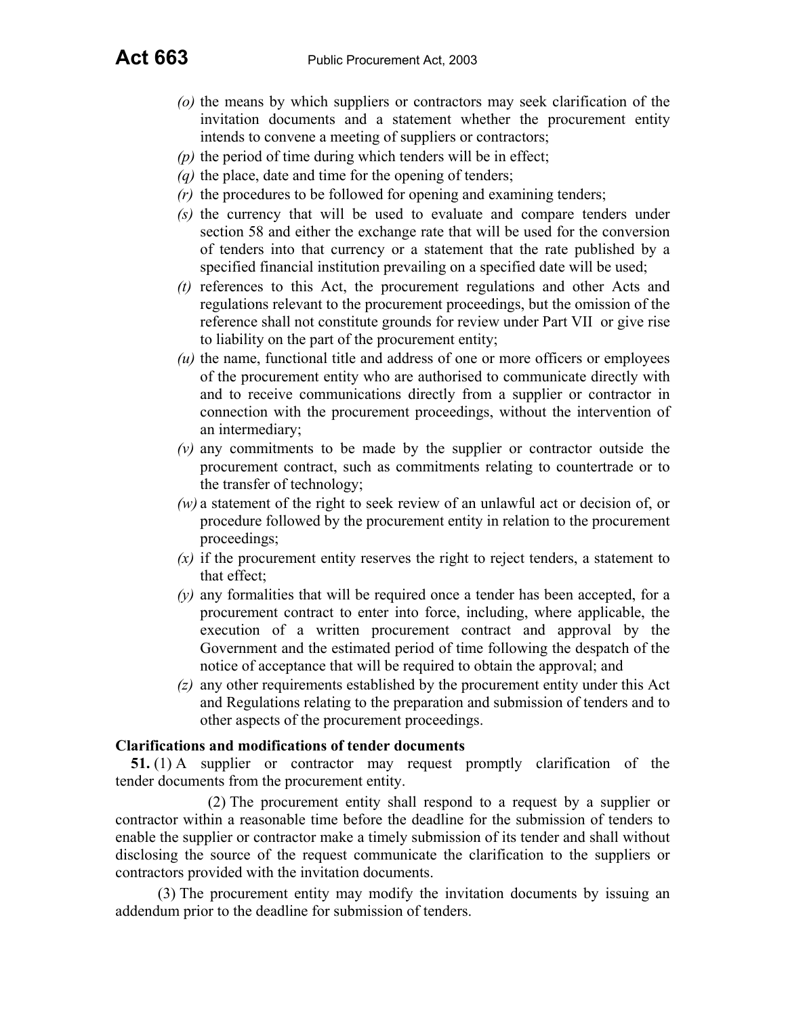- *(o)* the means by which suppliers or contractors may seek clarification of the invitation documents and a statement whether the procurement entity intends to convene a meeting of suppliers or contractors;
- *(p)* the period of time during which tenders will be in effect;
- *(q)* the place, date and time for the opening of tenders;
- *(r)* the procedures to be followed for opening and examining tenders;
- *(s)* the currency that will be used to evaluate and compare tenders under section 58 and either the exchange rate that will be used for the conversion of tenders into that currency or a statement that the rate published by a specified financial institution prevailing on a specified date will be used;
- *(t)* references to this Act, the procurement regulations and other Acts and regulations relevant to the procurement proceedings, but the omission of the reference shall not constitute grounds for review under Part VII or give rise to liability on the part of the procurement entity;
- *(u)* the name, functional title and address of one or more officers or employees of the procurement entity who are authorised to communicate directly with and to receive communications directly from a supplier or contractor in connection with the procurement proceedings, without the intervention of an intermediary;
- *(v)* any commitments to be made by the supplier or contractor outside the procurement contract, such as commitments relating to countertrade or to the transfer of technology;
- *(w)* a statement of the right to seek review of an unlawful act or decision of, or procedure followed by the procurement entity in relation to the procurement proceedings;
- *(x)* if the procurement entity reserves the right to reject tenders, a statement to that effect;
- *(y)* any formalities that will be required once a tender has been accepted, for a procurement contract to enter into force, including, where applicable, the execution of a written procurement contract and approval by the Government and the estimated period of time following the despatch of the notice of acceptance that will be required to obtain the approval; and
- *(z)* any other requirements established by the procurement entity under this Act and Regulations relating to the preparation and submission of tenders and to other aspects of the procurement proceedings.

#### **Clarifications and modifications of tender documents**

**51.** (1) A supplier or contractor may request promptly clarification of the tender documents from the procurement entity.

 (2) The procurement entity shall respond to a request by a supplier or contractor within a reasonable time before the deadline for the submission of tenders to enable the supplier or contractor make a timely submission of its tender and shall without disclosing the source of the request communicate the clarification to the suppliers or contractors provided with the invitation documents.

(3) The procurement entity may modify the invitation documents by issuing an addendum prior to the deadline for submission of tenders.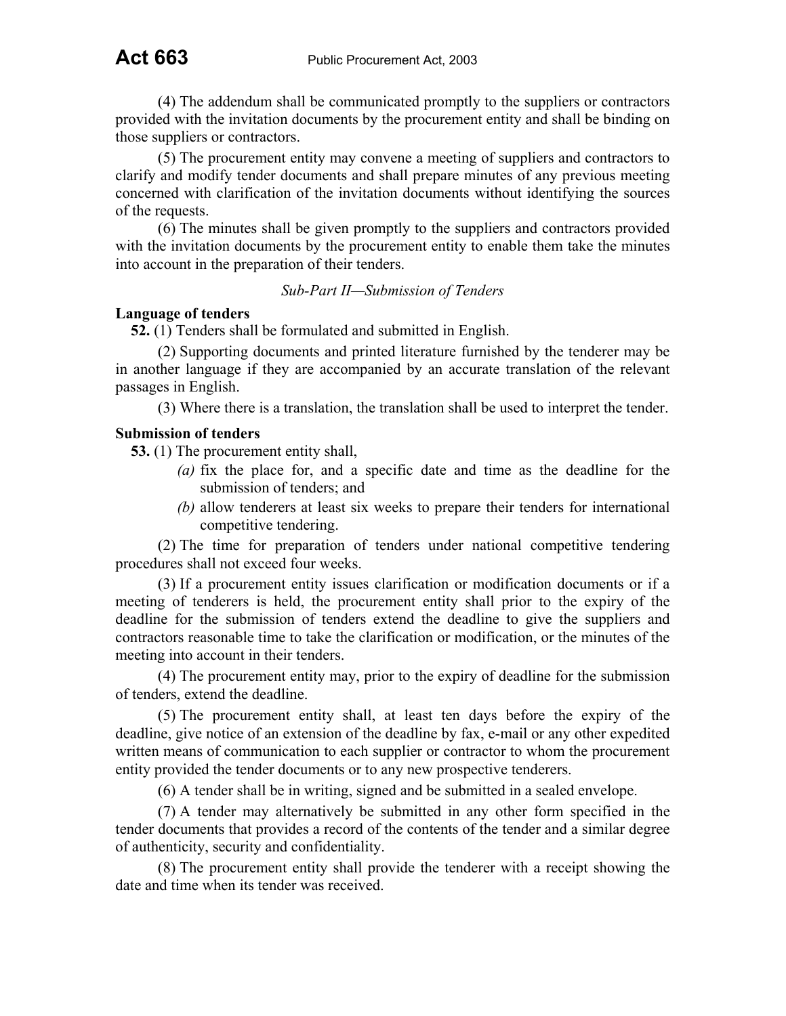(4) The addendum shall be communicated promptly to the suppliers or contractors provided with the invitation documents by the procurement entity and shall be binding on those suppliers or contractors.

(5) The procurement entity may convene a meeting of suppliers and contractors to clarify and modify tender documents and shall prepare minutes of any previous meeting concerned with clarification of the invitation documents without identifying the sources of the requests.

(6) The minutes shall be given promptly to the suppliers and contractors provided with the invitation documents by the procurement entity to enable them take the minutes into account in the preparation of their tenders.

*Sub-Part II—Submission of Tenders*

## **Language of tenders**

**52.** (1) Tenders shall be formulated and submitted in English.

(2) Supporting documents and printed literature furnished by the tenderer may be in another language if they are accompanied by an accurate translation of the relevant passages in English.

(3) Where there is a translation, the translation shall be used to interpret the tender.

## **Submission of tenders**

**53.** (1) The procurement entity shall,

- *(a)* fix the place for, and a specific date and time as the deadline for the submission of tenders; and
- *(b)* allow tenderers at least six weeks to prepare their tenders for international competitive tendering.

(2) The time for preparation of tenders under national competitive tendering procedures shall not exceed four weeks.

(3) If a procurement entity issues clarification or modification documents or if a meeting of tenderers is held, the procurement entity shall prior to the expiry of the deadline for the submission of tenders extend the deadline to give the suppliers and contractors reasonable time to take the clarification or modification, or the minutes of the meeting into account in their tenders.

(4) The procurement entity may, prior to the expiry of deadline for the submission of tenders, extend the deadline.

(5) The procurement entity shall, at least ten days before the expiry of the deadline, give notice of an extension of the deadline by fax, e-mail or any other expedited written means of communication to each supplier or contractor to whom the procurement entity provided the tender documents or to any new prospective tenderers.

(6) A tender shall be in writing, signed and be submitted in a sealed envelope.

(7) A tender may alternatively be submitted in any other form specified in the tender documents that provides a record of the contents of the tender and a similar degree of authenticity, security and confidentiality.

(8) The procurement entity shall provide the tenderer with a receipt showing the date and time when its tender was received.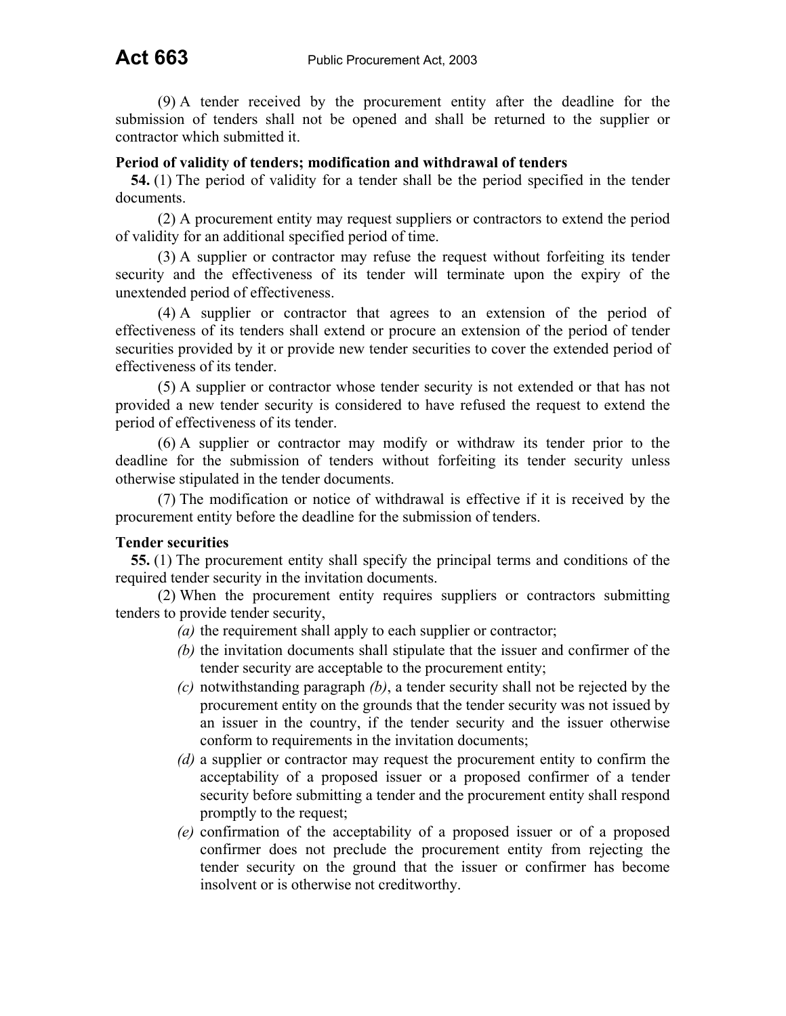(9) A tender received by the procurement entity after the deadline for the submission of tenders shall not be opened and shall be returned to the supplier or contractor which submitted it.

#### **Period of validity of tenders; modification and withdrawal of tenders**

**54.** (1) The period of validity for a tender shall be the period specified in the tender documents.

(2) A procurement entity may request suppliers or contractors to extend the period of validity for an additional specified period of time.

(3) A supplier or contractor may refuse the request without forfeiting its tender security and the effectiveness of its tender will terminate upon the expiry of the unextended period of effectiveness.

(4) A supplier or contractor that agrees to an extension of the period of effectiveness of its tenders shall extend or procure an extension of the period of tender securities provided by it or provide new tender securities to cover the extended period of effectiveness of its tender.

(5) A supplier or contractor whose tender security is not extended or that has not provided a new tender security is considered to have refused the request to extend the period of effectiveness of its tender.

(6) A supplier or contractor may modify or withdraw its tender prior to the deadline for the submission of tenders without forfeiting its tender security unless otherwise stipulated in the tender documents.

(7) The modification or notice of withdrawal is effective if it is received by the procurement entity before the deadline for the submission of tenders.

#### **Tender securities**

**55.** (1) The procurement entity shall specify the principal terms and conditions of the required tender security in the invitation documents.

(2) When the procurement entity requires suppliers or contractors submitting tenders to provide tender security,

- *(a)* the requirement shall apply to each supplier or contractor;
- *(b)* the invitation documents shall stipulate that the issuer and confirmer of the tender security are acceptable to the procurement entity;
- *(c)* notwithstanding paragraph *(b)*, a tender security shall not be rejected by the procurement entity on the grounds that the tender security was not issued by an issuer in the country, if the tender security and the issuer otherwise conform to requirements in the invitation documents;
- *(d)* a supplier or contractor may request the procurement entity to confirm the acceptability of a proposed issuer or a proposed confirmer of a tender security before submitting a tender and the procurement entity shall respond promptly to the request;
- *(e)* confirmation of the acceptability of a proposed issuer or of a proposed confirmer does not preclude the procurement entity from rejecting the tender security on the ground that the issuer or confirmer has become insolvent or is otherwise not creditworthy.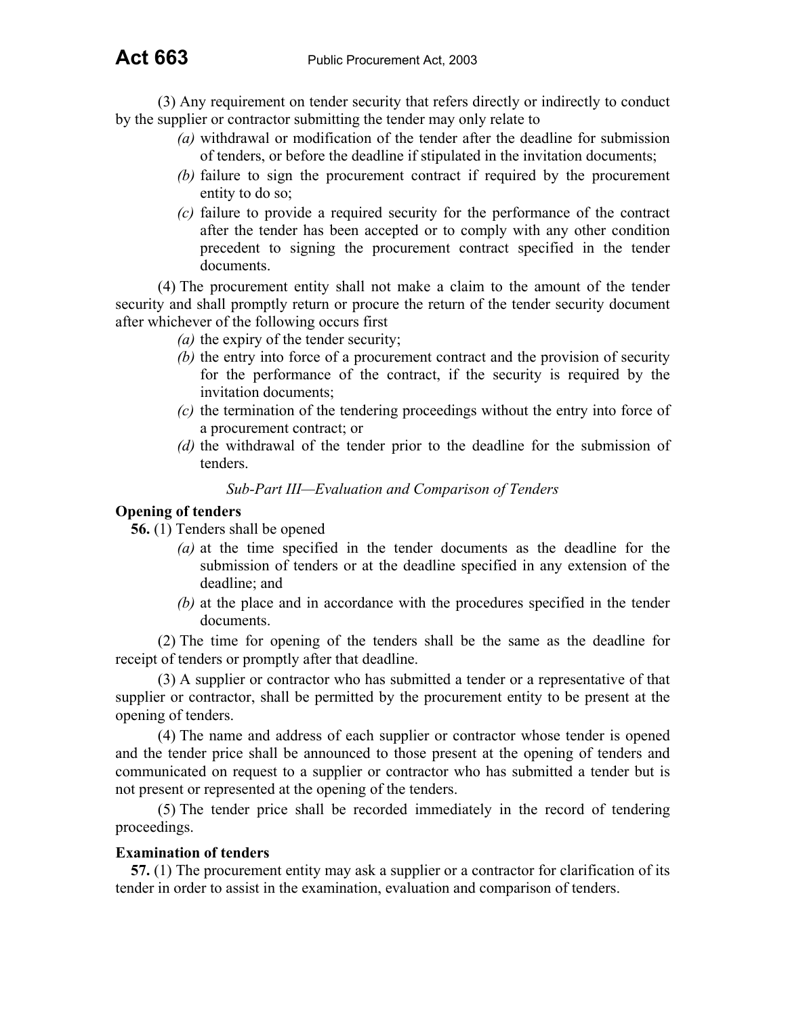(3) Any requirement on tender security that refers directly or indirectly to conduct by the supplier or contractor submitting the tender may only relate to

- *(a)* withdrawal or modification of the tender after the deadline for submission of tenders, or before the deadline if stipulated in the invitation documents;
- *(b)* failure to sign the procurement contract if required by the procurement entity to do so;
- *(c)* failure to provide a required security for the performance of the contract after the tender has been accepted or to comply with any other condition precedent to signing the procurement contract specified in the tender documents.

(4) The procurement entity shall not make a claim to the amount of the tender security and shall promptly return or procure the return of the tender security document after whichever of the following occurs first

- *(a)* the expiry of the tender security;
- *(b)* the entry into force of a procurement contract and the provision of security for the performance of the contract, if the security is required by the invitation documents;
- *(c)* the termination of the tendering proceedings without the entry into force of a procurement contract; or
- *(d)* the withdrawal of the tender prior to the deadline for the submission of tenders.

#### *Sub-Part III—Evaluation and Comparison of Tenders*

### **Opening of tenders**

**56.** (1) Tenders shall be opened

- *(a)* at the time specified in the tender documents as the deadline for the submission of tenders or at the deadline specified in any extension of the deadline; and
- *(b)* at the place and in accordance with the procedures specified in the tender documents.

(2) The time for opening of the tenders shall be the same as the deadline for receipt of tenders or promptly after that deadline.

(3) A supplier or contractor who has submitted a tender or a representative of that supplier or contractor, shall be permitted by the procurement entity to be present at the opening of tenders.

(4) The name and address of each supplier or contractor whose tender is opened and the tender price shall be announced to those present at the opening of tenders and communicated on request to a supplier or contractor who has submitted a tender but is not present or represented at the opening of the tenders.

(5) The tender price shall be recorded immediately in the record of tendering proceedings.

#### **Examination of tenders**

**57.** (1) The procurement entity may ask a supplier or a contractor for clarification of its tender in order to assist in the examination, evaluation and comparison of tenders.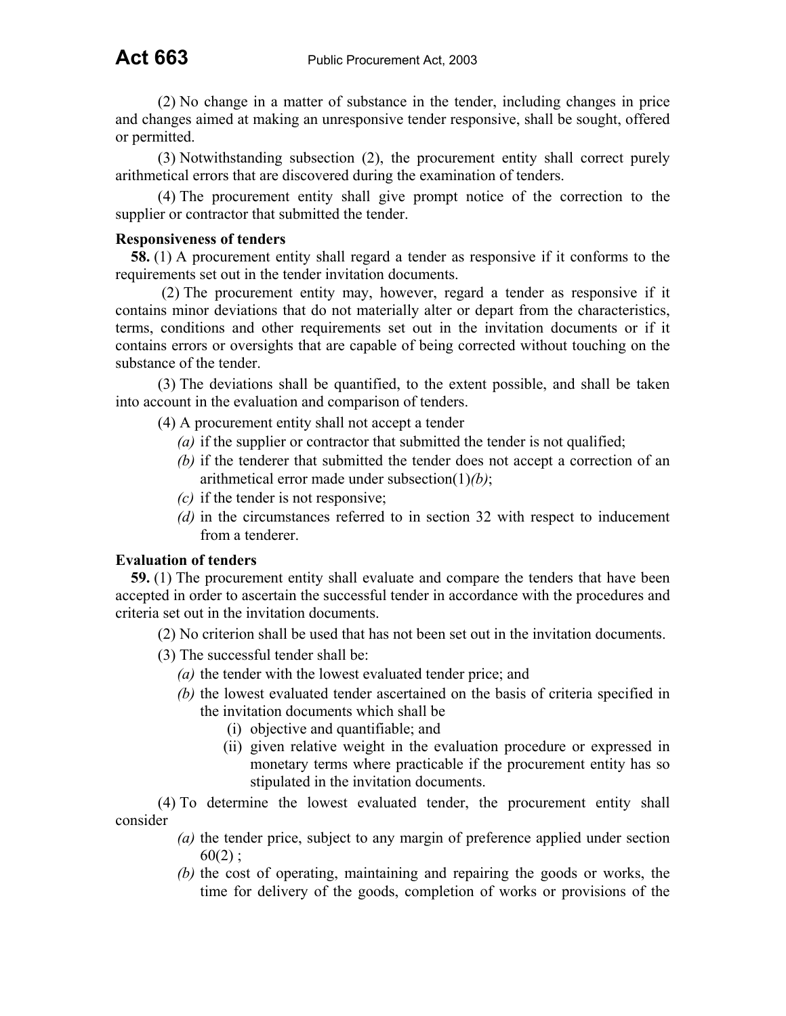(2) No change in a matter of substance in the tender, including changes in price and changes aimed at making an unresponsive tender responsive, shall be sought, offered or permitted.

(3) Notwithstanding subsection (2), the procurement entity shall correct purely arithmetical errors that are discovered during the examination of tenders.

(4) The procurement entity shall give prompt notice of the correction to the supplier or contractor that submitted the tender.

#### **Responsiveness of tenders**

**58.** (1) A procurement entity shall regard a tender as responsive if it conforms to the requirements set out in the tender invitation documents.

(2) The procurement entity may, however, regard a tender as responsive if it contains minor deviations that do not materially alter or depart from the characteristics, terms, conditions and other requirements set out in the invitation documents or if it contains errors or oversights that are capable of being corrected without touching on the substance of the tender.

(3) The deviations shall be quantified, to the extent possible, and shall be taken into account in the evaluation and comparison of tenders.

(4) A procurement entity shall not accept a tender

- *(a)* if the supplier or contractor that submitted the tender is not qualified;
- *(b)* if the tenderer that submitted the tender does not accept a correction of an arithmetical error made under subsection(1)*(b)*;
- *(c)* if the tender is not responsive;
- *(d)* in the circumstances referred to in section 32 with respect to inducement from a tenderer.

## **Evaluation of tenders**

**59.** (1) The procurement entity shall evaluate and compare the tenders that have been accepted in order to ascertain the successful tender in accordance with the procedures and criteria set out in the invitation documents.

(2) No criterion shall be used that has not been set out in the invitation documents.

- (3) The successful tender shall be:
	- *(a)* the tender with the lowest evaluated tender price; and
	- *(b)* the lowest evaluated tender ascertained on the basis of criteria specified in the invitation documents which shall be
		- (i) objective and quantifiable; and
		- (ii) given relative weight in the evaluation procedure or expressed in monetary terms where practicable if the procurement entity has so stipulated in the invitation documents.

(4) To determine the lowest evaluated tender, the procurement entity shall consider

- *(a)* the tender price, subject to any margin of preference applied under section  $60(2)$  ;
- *(b)* the cost of operating, maintaining and repairing the goods or works, the time for delivery of the goods, completion of works or provisions of the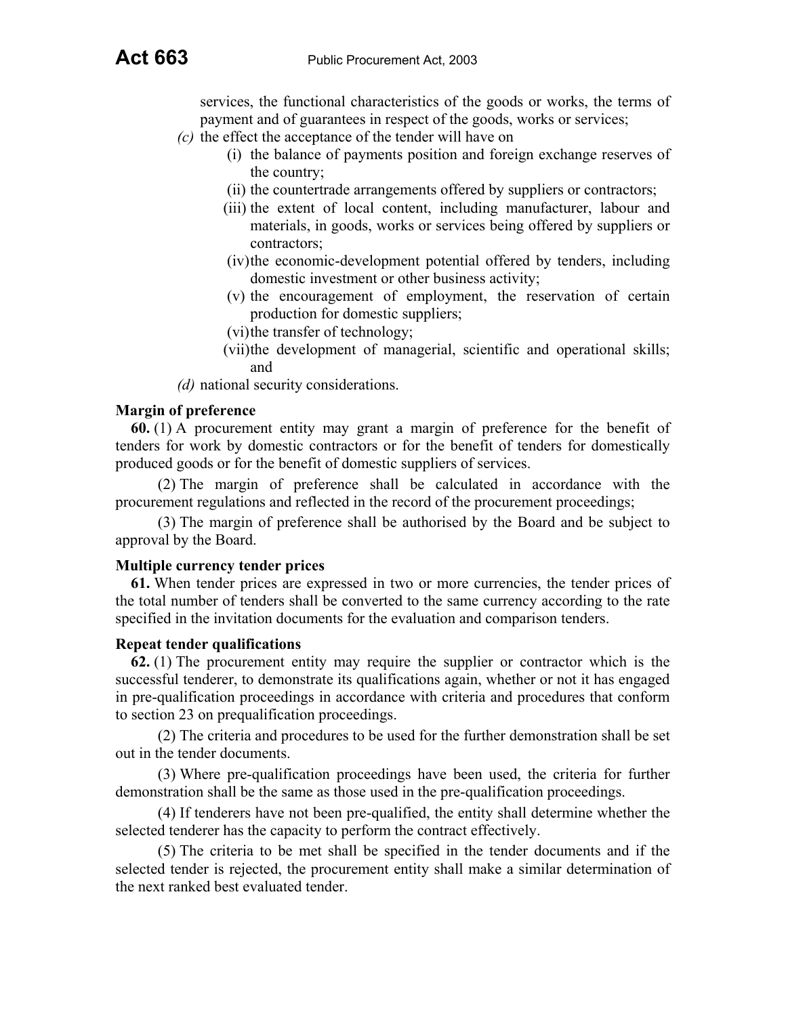services, the functional characteristics of the goods or works, the terms of payment and of guarantees in respect of the goods, works or services;

- *(c)* the effect the acceptance of the tender will have on
	- (i) the balance of payments position and foreign exchange reserves of the country;
	- (ii) the countertrade arrangements offered by suppliers or contractors;
	- (iii) the extent of local content, including manufacturer, labour and materials, in goods, works or services being offered by suppliers or contractors;
	- (iv) the economic-development potential offered by tenders, including domestic investment or other business activity;
	- (v) the encouragement of employment, the reservation of certain production for domestic suppliers;
	- (vi) the transfer of technology;
	- (vii) the development of managerial, scientific and operational skills; and

*(d)* national security considerations.

## **Margin of preference**

**60.** (1) A procurement entity may grant a margin of preference for the benefit of tenders for work by domestic contractors or for the benefit of tenders for domestically produced goods or for the benefit of domestic suppliers of services.

(2) The margin of preference shall be calculated in accordance with the procurement regulations and reflected in the record of the procurement proceedings;

(3) The margin of preference shall be authorised by the Board and be subject to approval by the Board.

#### **Multiple currency tender prices**

**61.** When tender prices are expressed in two or more currencies, the tender prices of the total number of tenders shall be converted to the same currency according to the rate specified in the invitation documents for the evaluation and comparison tenders.

#### **Repeat tender qualifications**

**62.** (1) The procurement entity may require the supplier or contractor which is the successful tenderer, to demonstrate its qualifications again, whether or not it has engaged in pre-qualification proceedings in accordance with criteria and procedures that conform to section 23 on prequalification proceedings.

(2) The criteria and procedures to be used for the further demonstration shall be set out in the tender documents.

(3) Where pre-qualification proceedings have been used, the criteria for further demonstration shall be the same as those used in the pre-qualification proceedings.

(4) If tenderers have not been pre-qualified, the entity shall determine whether the selected tenderer has the capacity to perform the contract effectively.

(5) The criteria to be met shall be specified in the tender documents and if the selected tender is rejected, the procurement entity shall make a similar determination of the next ranked best evaluated tender.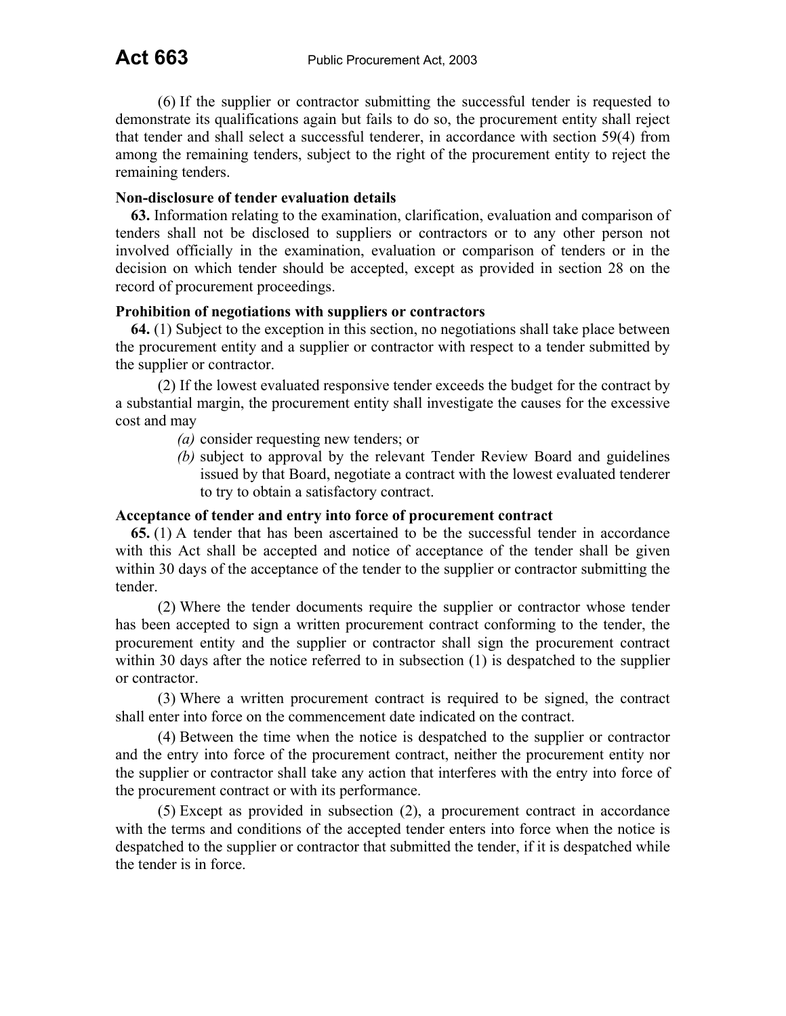(6) If the supplier or contractor submitting the successful tender is requested to demonstrate its qualifications again but fails to do so, the procurement entity shall reject that tender and shall select a successful tenderer, in accordance with section 59(4) from among the remaining tenders, subject to the right of the procurement entity to reject the remaining tenders.

## **Non-disclosure of tender evaluation details**

**63.** Information relating to the examination, clarification, evaluation and comparison of tenders shall not be disclosed to suppliers or contractors or to any other person not involved officially in the examination, evaluation or comparison of tenders or in the decision on which tender should be accepted, except as provided in section 28 on the record of procurement proceedings.

## **Prohibition of negotiations with suppliers or contractors**

**64.** (1) Subject to the exception in this section, no negotiations shall take place between the procurement entity and a supplier or contractor with respect to a tender submitted by the supplier or contractor.

(2) If the lowest evaluated responsive tender exceeds the budget for the contract by a substantial margin, the procurement entity shall investigate the causes for the excessive cost and may

- *(a)* consider requesting new tenders; or
- *(b)* subject to approval by the relevant Tender Review Board and guidelines issued by that Board, negotiate a contract with the lowest evaluated tenderer to try to obtain a satisfactory contract.

## **Acceptance of tender and entry into force of procurement contract**

**65.** (1) A tender that has been ascertained to be the successful tender in accordance with this Act shall be accepted and notice of acceptance of the tender shall be given within 30 days of the acceptance of the tender to the supplier or contractor submitting the tender.

(2) Where the tender documents require the supplier or contractor whose tender has been accepted to sign a written procurement contract conforming to the tender, the procurement entity and the supplier or contractor shall sign the procurement contract within 30 days after the notice referred to in subsection (1) is despatched to the supplier or contractor.

(3) Where a written procurement contract is required to be signed, the contract shall enter into force on the commencement date indicated on the contract.

(4) Between the time when the notice is despatched to the supplier or contractor and the entry into force of the procurement contract, neither the procurement entity nor the supplier or contractor shall take any action that interferes with the entry into force of the procurement contract or with its performance.

(5) Except as provided in subsection (2), a procurement contract in accordance with the terms and conditions of the accepted tender enters into force when the notice is despatched to the supplier or contractor that submitted the tender, if it is despatched while the tender is in force.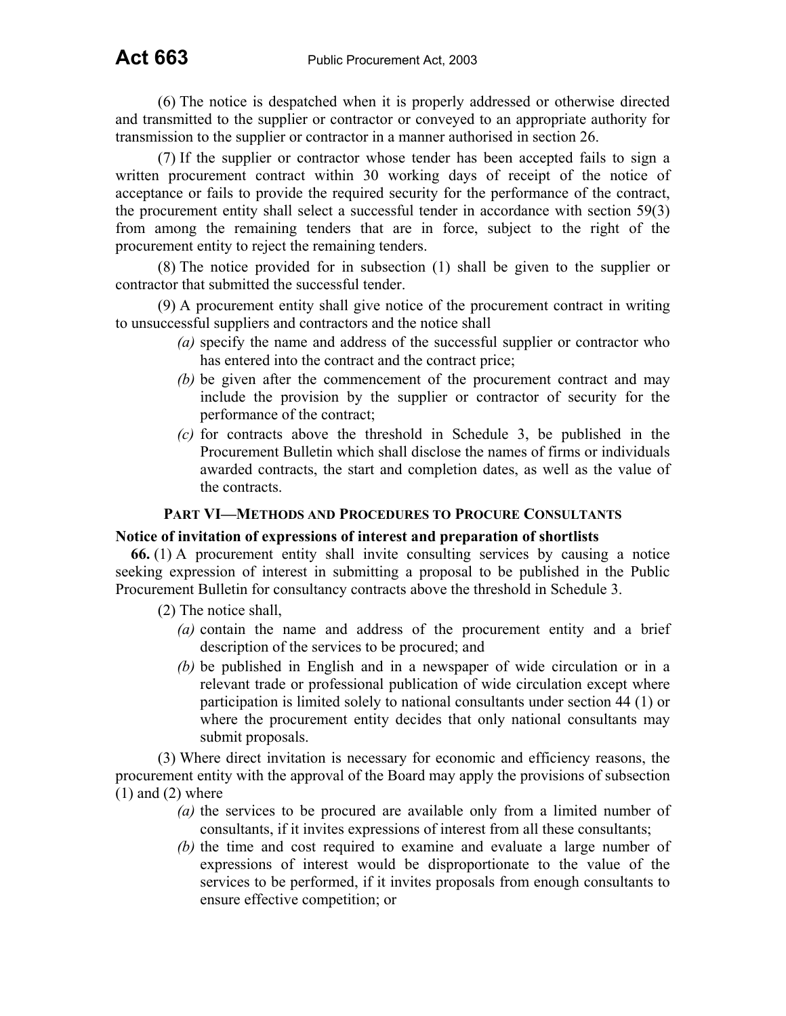(6) The notice is despatched when it is properly addressed or otherwise directed and transmitted to the supplier or contractor or conveyed to an appropriate authority for transmission to the supplier or contractor in a manner authorised in section 26.

(7) If the supplier or contractor whose tender has been accepted fails to sign a written procurement contract within 30 working days of receipt of the notice of acceptance or fails to provide the required security for the performance of the contract, the procurement entity shall select a successful tender in accordance with section 59(3) from among the remaining tenders that are in force, subject to the right of the procurement entity to reject the remaining tenders.

(8) The notice provided for in subsection (1) shall be given to the supplier or contractor that submitted the successful tender.

(9) A procurement entity shall give notice of the procurement contract in writing to unsuccessful suppliers and contractors and the notice shall

- *(a)* specify the name and address of the successful supplier or contractor who has entered into the contract and the contract price;
- *(b)* be given after the commencement of the procurement contract and may include the provision by the supplier or contractor of security for the performance of the contract;
- *(c)* for contracts above the threshold in Schedule 3, be published in the Procurement Bulletin which shall disclose the names of firms or individuals awarded contracts, the start and completion dates, as well as the value of the contracts.

## **PART VI—METHODS AND PROCEDURES TO PROCURE CONSULTANTS**

#### **Notice of invitation of expressions of interest and preparation of shortlists**

**66.** (1) A procurement entity shall invite consulting services by causing a notice seeking expression of interest in submitting a proposal to be published in the Public Procurement Bulletin for consultancy contracts above the threshold in Schedule 3.

- (2) The notice shall,
	- *(a)* contain the name and address of the procurement entity and a brief description of the services to be procured; and
	- *(b)* be published in English and in a newspaper of wide circulation or in a relevant trade or professional publication of wide circulation except where participation is limited solely to national consultants under section 44 (1) or where the procurement entity decides that only national consultants may submit proposals.

(3) Where direct invitation is necessary for economic and efficiency reasons, the procurement entity with the approval of the Board may apply the provisions of subsection  $(1)$  and  $(2)$  where

- *(a)* the services to be procured are available only from a limited number of consultants, if it invites expressions of interest from all these consultants;
- *(b)* the time and cost required to examine and evaluate a large number of expressions of interest would be disproportionate to the value of the services to be performed, if it invites proposals from enough consultants to ensure effective competition; or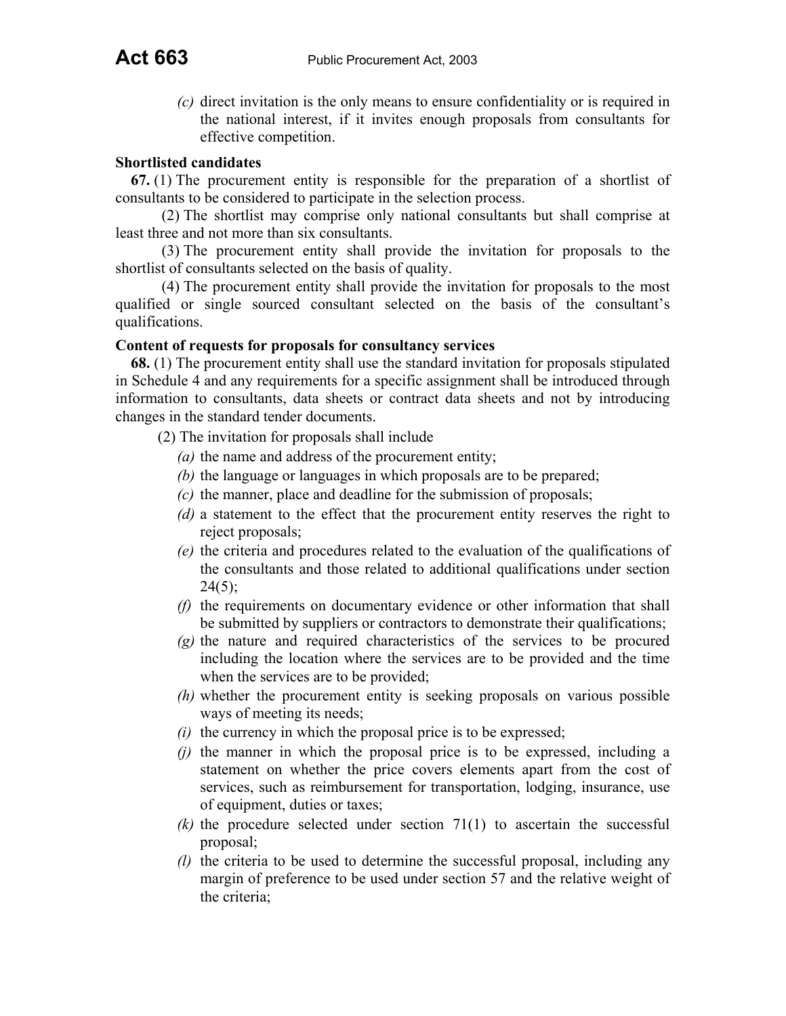*(c)* direct invitation is the only means to ensure confidentiality or is required in the national interest, if it invites enough proposals from consultants for effective competition.

#### **Shortlisted candidates**

**67.** (1) The procurement entity is responsible for the preparation of a shortlist of consultants to be considered to participate in the selection process.

(2) The shortlist may comprise only national consultants but shall comprise at least three and not more than six consultants.

 (3) The procurement entity shall provide the invitation for proposals to the shortlist of consultants selected on the basis of quality.

(4) The procurement entity shall provide the invitation for proposals to the most qualified or single sourced consultant selected on the basis of the consultant's qualifications.

#### **Content of requests for proposals for consultancy services**

**68.** (1) The procurement entity shall use the standard invitation for proposals stipulated in Schedule 4 and any requirements for a specific assignment shall be introduced through information to consultants, data sheets or contract data sheets and not by introducing changes in the standard tender documents.

- (2) The invitation for proposals shall include
	- *(a)* the name and address of the procurement entity;
	- *(b)* the language or languages in which proposals are to be prepared;
	- *(c)* the manner, place and deadline for the submission of proposals;
	- *(d)* a statement to the effect that the procurement entity reserves the right to reject proposals;
	- *(e)* the criteria and procedures related to the evaluation of the qualifications of the consultants and those related to additional qualifications under section  $24(5)$ ;
	- *(f)* the requirements on documentary evidence or other information that shall be submitted by suppliers or contractors to demonstrate their qualifications;
	- *(g)* the nature and required characteristics of the services to be procured including the location where the services are to be provided and the time when the services are to be provided;
	- *(h)* whether the procurement entity is seeking proposals on various possible ways of meeting its needs;
	- *(i)* the currency in which the proposal price is to be expressed;
	- *(j)* the manner in which the proposal price is to be expressed, including a statement on whether the price covers elements apart from the cost of services, such as reimbursement for transportation, lodging, insurance, use of equipment, duties or taxes;
	- *(k)* the procedure selected under section 71(1) to ascertain the successful proposal;
	- *(l)* the criteria to be used to determine the successful proposal, including any margin of preference to be used under section 57 and the relative weight of the criteria;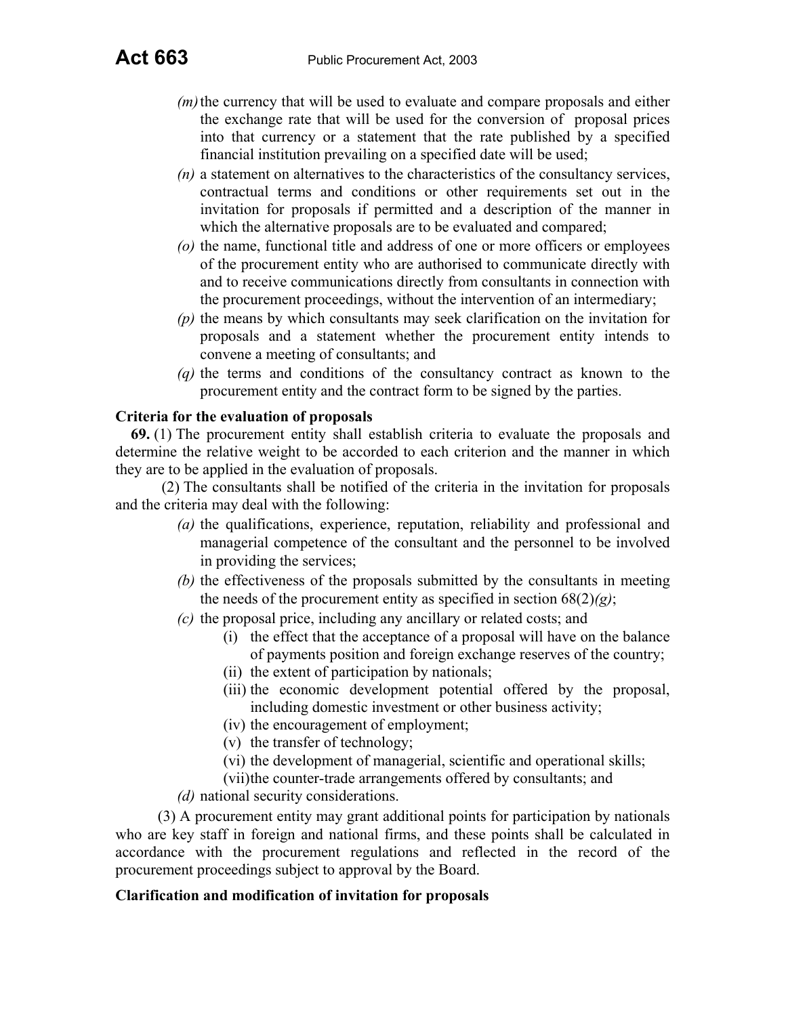- *(m)* the currency that will be used to evaluate and compare proposals and either the exchange rate that will be used for the conversion of proposal prices into that currency or a statement that the rate published by a specified financial institution prevailing on a specified date will be used;
- *(n)* a statement on alternatives to the characteristics of the consultancy services, contractual terms and conditions or other requirements set out in the invitation for proposals if permitted and a description of the manner in which the alternative proposals are to be evaluated and compared;
- *(o)* the name, functional title and address of one or more officers or employees of the procurement entity who are authorised to communicate directly with and to receive communications directly from consultants in connection with the procurement proceedings, without the intervention of an intermediary;
- *(p)* the means by which consultants may seek clarification on the invitation for proposals and a statement whether the procurement entity intends to convene a meeting of consultants; and
- *(q)* the terms and conditions of the consultancy contract as known to the procurement entity and the contract form to be signed by the parties.

## **Criteria for the evaluation of proposals**

**69.** (1) The procurement entity shall establish criteria to evaluate the proposals and determine the relative weight to be accorded to each criterion and the manner in which they are to be applied in the evaluation of proposals.

(2) The consultants shall be notified of the criteria in the invitation for proposals and the criteria may deal with the following:

- *(a)* the qualifications, experience, reputation, reliability and professional and managerial competence of the consultant and the personnel to be involved in providing the services;
- *(b)* the effectiveness of the proposals submitted by the consultants in meeting the needs of the procurement entity as specified in section  $68(2)(g)$ ;
- *(c)* the proposal price, including any ancillary or related costs; and
	- (i) the effect that the acceptance of a proposal will have on the balance of payments position and foreign exchange reserves of the country;
	- (ii) the extent of participation by nationals;
	- (iii) the economic development potential offered by the proposal, including domestic investment or other business activity;
	- (iv) the encouragement of employment;
	- (v) the transfer of technology;
	- (vi) the development of managerial, scientific and operational skills;
	- (vii) the counter-trade arrangements offered by consultants; and
- *(d)* national security considerations.

(3) A procurement entity may grant additional points for participation by nationals who are key staff in foreign and national firms, and these points shall be calculated in accordance with the procurement regulations and reflected in the record of the procurement proceedings subject to approval by the Board.

## **Clarification and modification of invitation for proposals**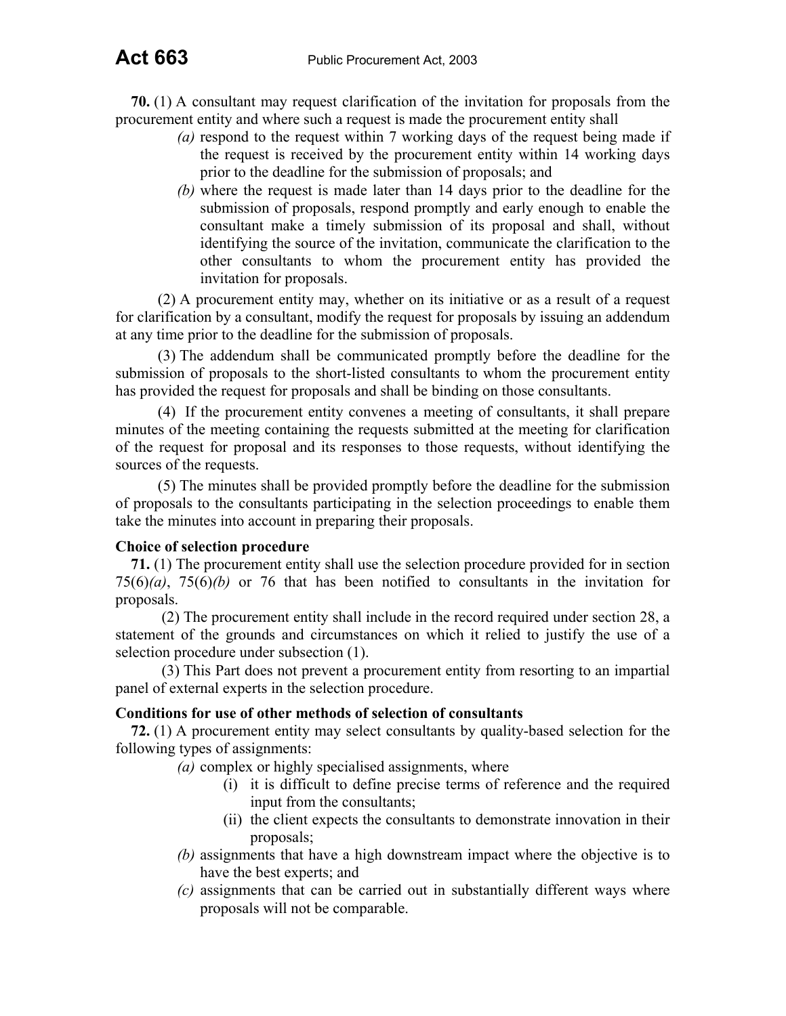**70.** (1) A consultant may request clarification of the invitation for proposals from the procurement entity and where such a request is made the procurement entity shall

- *(a)* respond to the request within 7 working days of the request being made if the request is received by the procurement entity within 14 working days prior to the deadline for the submission of proposals; and
- *(b)* where the request is made later than 14 days prior to the deadline for the submission of proposals, respond promptly and early enough to enable the consultant make a timely submission of its proposal and shall, without identifying the source of the invitation, communicate the clarification to the other consultants to whom the procurement entity has provided the invitation for proposals.

(2) A procurement entity may, whether on its initiative or as a result of a request for clarification by a consultant, modify the request for proposals by issuing an addendum at any time prior to the deadline for the submission of proposals.

(3) The addendum shall be communicated promptly before the deadline for the submission of proposals to the short-listed consultants to whom the procurement entity has provided the request for proposals and shall be binding on those consultants.

(4) If the procurement entity convenes a meeting of consultants, it shall prepare minutes of the meeting containing the requests submitted at the meeting for clarification of the request for proposal and its responses to those requests, without identifying the sources of the requests.

(5) The minutes shall be provided promptly before the deadline for the submission of proposals to the consultants participating in the selection proceedings to enable them take the minutes into account in preparing their proposals.

#### **Choice of selection procedure**

**71.** (1) The procurement entity shall use the selection procedure provided for in section 75(6)*(a)*, 75(6)*(b)* or 76 that has been notified to consultants in the invitation for proposals.

(2) The procurement entity shall include in the record required under section 28, a statement of the grounds and circumstances on which it relied to justify the use of a selection procedure under subsection (1).

(3) This Part does not prevent a procurement entity from resorting to an impartial panel of external experts in the selection procedure.

#### **Conditions for use of other methods of selection of consultants**

**72.** (1) A procurement entity may select consultants by quality-based selection for the following types of assignments:

*(a)* complex or highly specialised assignments, where

- (i) it is difficult to define precise terms of reference and the required input from the consultants;
- (ii) the client expects the consultants to demonstrate innovation in their proposals;
- *(b)* assignments that have a high downstream impact where the objective is to have the best experts; and
- *(c)* assignments that can be carried out in substantially different ways where proposals will not be comparable.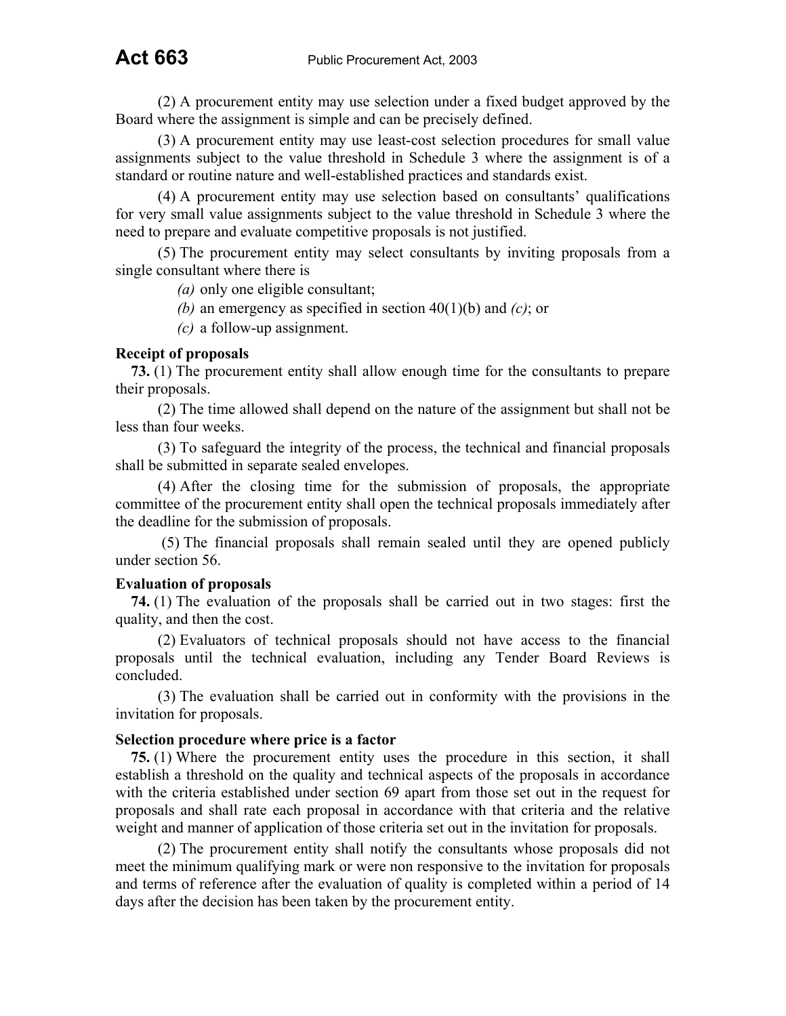(2) A procurement entity may use selection under a fixed budget approved by the Board where the assignment is simple and can be precisely defined.

(3) A procurement entity may use least-cost selection procedures for small value assignments subject to the value threshold in Schedule 3 where the assignment is of a standard or routine nature and well-established practices and standards exist.

(4) A procurement entity may use selection based on consultants' qualifications for very small value assignments subject to the value threshold in Schedule 3 where the need to prepare and evaluate competitive proposals is not justified.

(5) The procurement entity may select consultants by inviting proposals from a single consultant where there is

*(a)* only one eligible consultant;

*(b)* an emergency as specified in section 40(1)(b) and *(c)*; or

*(c)* a follow-up assignment.

## **Receipt of proposals**

**73.** (1) The procurement entity shall allow enough time for the consultants to prepare their proposals.

(2) The time allowed shall depend on the nature of the assignment but shall not be less than four weeks.

(3) To safeguard the integrity of the process, the technical and financial proposals shall be submitted in separate sealed envelopes.

(4) After the closing time for the submission of proposals, the appropriate committee of the procurement entity shall open the technical proposals immediately after the deadline for the submission of proposals.

(5) The financial proposals shall remain sealed until they are opened publicly under section 56.

## **Evaluation of proposals**

**74.** (1) The evaluation of the proposals shall be carried out in two stages: first the quality, and then the cost.

(2) Evaluators of technical proposals should not have access to the financial proposals until the technical evaluation, including any Tender Board Reviews is concluded.

(3) The evaluation shall be carried out in conformity with the provisions in the invitation for proposals.

#### **Selection procedure where price is a factor**

**75.** (1) Where the procurement entity uses the procedure in this section, it shall establish a threshold on the quality and technical aspects of the proposals in accordance with the criteria established under section 69 apart from those set out in the request for proposals and shall rate each proposal in accordance with that criteria and the relative weight and manner of application of those criteria set out in the invitation for proposals.

(2) The procurement entity shall notify the consultants whose proposals did not meet the minimum qualifying mark or were non responsive to the invitation for proposals and terms of reference after the evaluation of quality is completed within a period of 14 days after the decision has been taken by the procurement entity.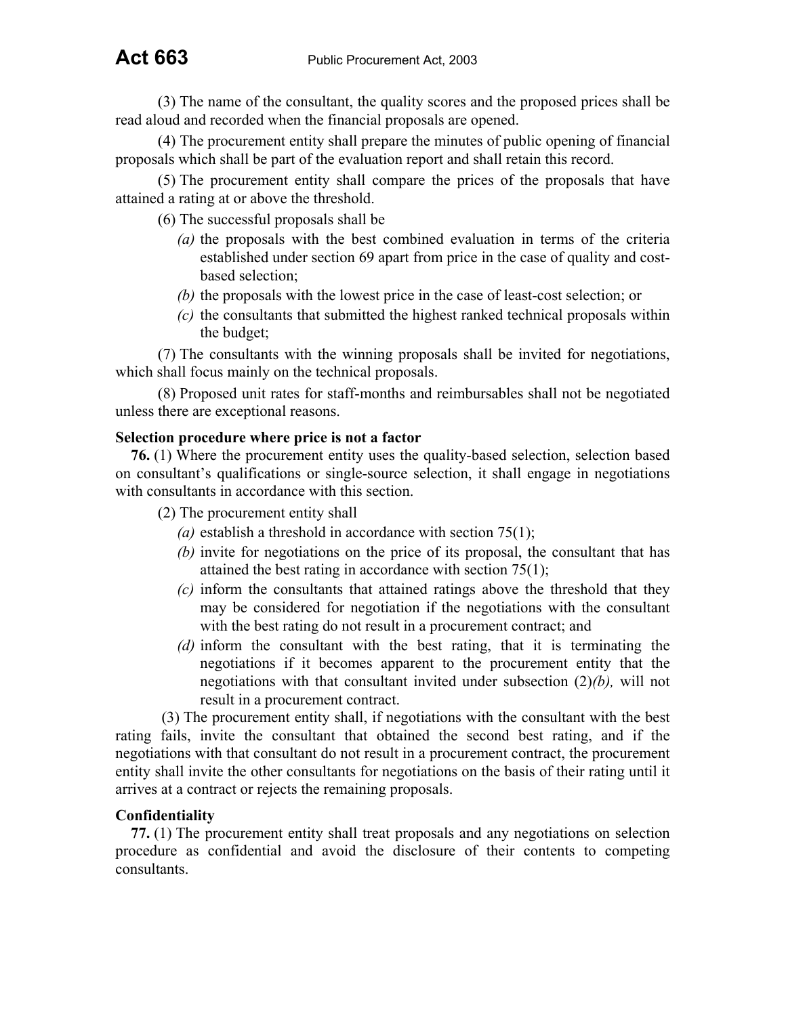(3) The name of the consultant, the quality scores and the proposed prices shall be read aloud and recorded when the financial proposals are opened.

(4) The procurement entity shall prepare the minutes of public opening of financial proposals which shall be part of the evaluation report and shall retain this record.

(5) The procurement entity shall compare the prices of the proposals that have attained a rating at or above the threshold.

(6) The successful proposals shall be

- *(a)* the proposals with the best combined evaluation in terms of the criteria established under section 69 apart from price in the case of quality and costbased selection;
- *(b)* the proposals with the lowest price in the case of least-cost selection; or
- *(c)* the consultants that submitted the highest ranked technical proposals within the budget;

(7) The consultants with the winning proposals shall be invited for negotiations, which shall focus mainly on the technical proposals.

(8) Proposed unit rates for staff-months and reimbursables shall not be negotiated unless there are exceptional reasons.

## **Selection procedure where price is not a factor**

**76.** (1) Where the procurement entity uses the quality-based selection, selection based on consultant's qualifications or single-source selection, it shall engage in negotiations with consultants in accordance with this section.

(2) The procurement entity shall

- *(a)* establish a threshold in accordance with section 75(1);
- *(b)* invite for negotiations on the price of its proposal, the consultant that has attained the best rating in accordance with section 75(1);
- *(c)* inform the consultants that attained ratings above the threshold that they may be considered for negotiation if the negotiations with the consultant with the best rating do not result in a procurement contract; and
- *(d)* inform the consultant with the best rating, that it is terminating the negotiations if it becomes apparent to the procurement entity that the negotiations with that consultant invited under subsection (2)*(b),* will not result in a procurement contract.

(3) The procurement entity shall, if negotiations with the consultant with the best rating fails, invite the consultant that obtained the second best rating, and if the negotiations with that consultant do not result in a procurement contract, the procurement entity shall invite the other consultants for negotiations on the basis of their rating until it arrives at a contract or rejects the remaining proposals.

## **Confidentiality**

**77.** (1) The procurement entity shall treat proposals and any negotiations on selection procedure as confidential and avoid the disclosure of their contents to competing consultants.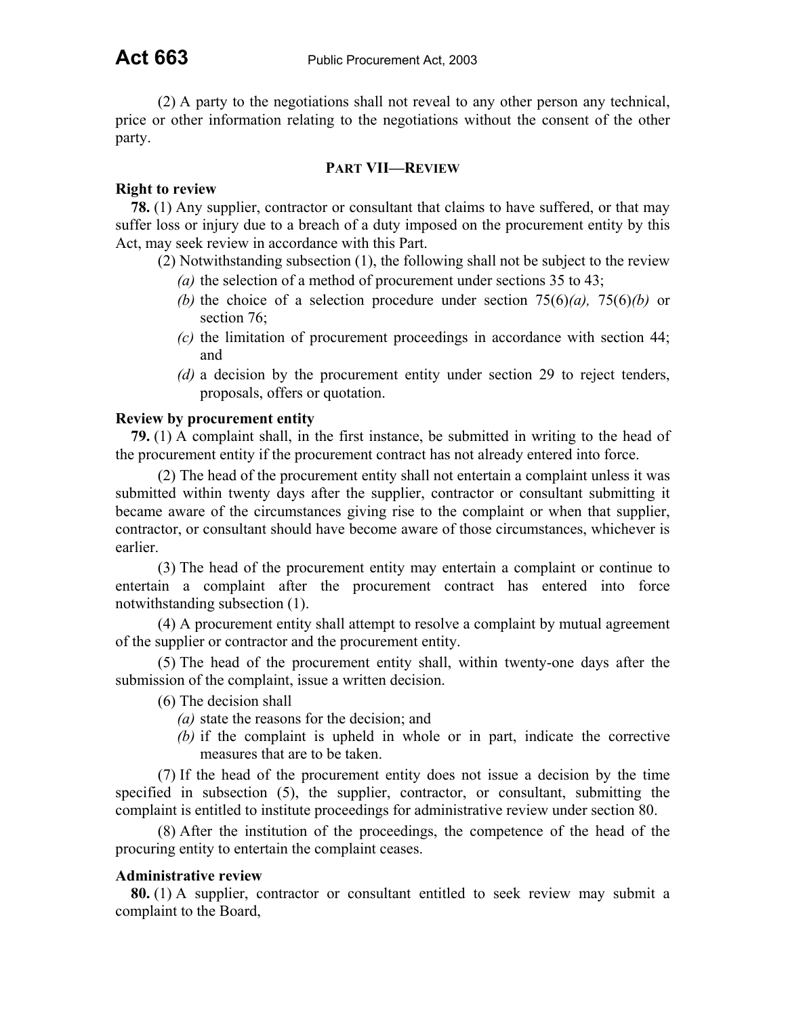(2) A party to the negotiations shall not reveal to any other person any technical, price or other information relating to the negotiations without the consent of the other party.

#### **PART VII—REVIEW**

## **Right to review**

**78.** (1) Any supplier, contractor or consultant that claims to have suffered, or that may suffer loss or injury due to a breach of a duty imposed on the procurement entity by this Act, may seek review in accordance with this Part.

(2) Notwithstanding subsection (1), the following shall not be subject to the review

- *(a)* the selection of a method of procurement under sections 35 to 43;
- *(b)* the choice of a selection procedure under section 75(6)*(a),* 75(6)*(b)* or section 76;
- *(c)* the limitation of procurement proceedings in accordance with section 44; and
- *(d)* a decision by the procurement entity under section 29 to reject tenders, proposals, offers or quotation.

## **Review by procurement entity**

**79.** (1) A complaint shall, in the first instance, be submitted in writing to the head of the procurement entity if the procurement contract has not already entered into force.

(2) The head of the procurement entity shall not entertain a complaint unless it was submitted within twenty days after the supplier, contractor or consultant submitting it became aware of the circumstances giving rise to the complaint or when that supplier, contractor, or consultant should have become aware of those circumstances, whichever is earlier.

(3) The head of the procurement entity may entertain a complaint or continue to entertain a complaint after the procurement contract has entered into force notwithstanding subsection (1).

(4) A procurement entity shall attempt to resolve a complaint by mutual agreement of the supplier or contractor and the procurement entity.

(5) The head of the procurement entity shall, within twenty-one days after the submission of the complaint, issue a written decision.

(6) The decision shall

- *(a)* state the reasons for the decision; and
- *(b)* if the complaint is upheld in whole or in part, indicate the corrective measures that are to be taken.

(7) If the head of the procurement entity does not issue a decision by the time specified in subsection (5), the supplier, contractor, or consultant, submitting the complaint is entitled to institute proceedings for administrative review under section 80.

(8) After the institution of the proceedings, the competence of the head of the procuring entity to entertain the complaint ceases.

## **Administrative review**

**80.** (1) A supplier, contractor or consultant entitled to seek review may submit a complaint to the Board,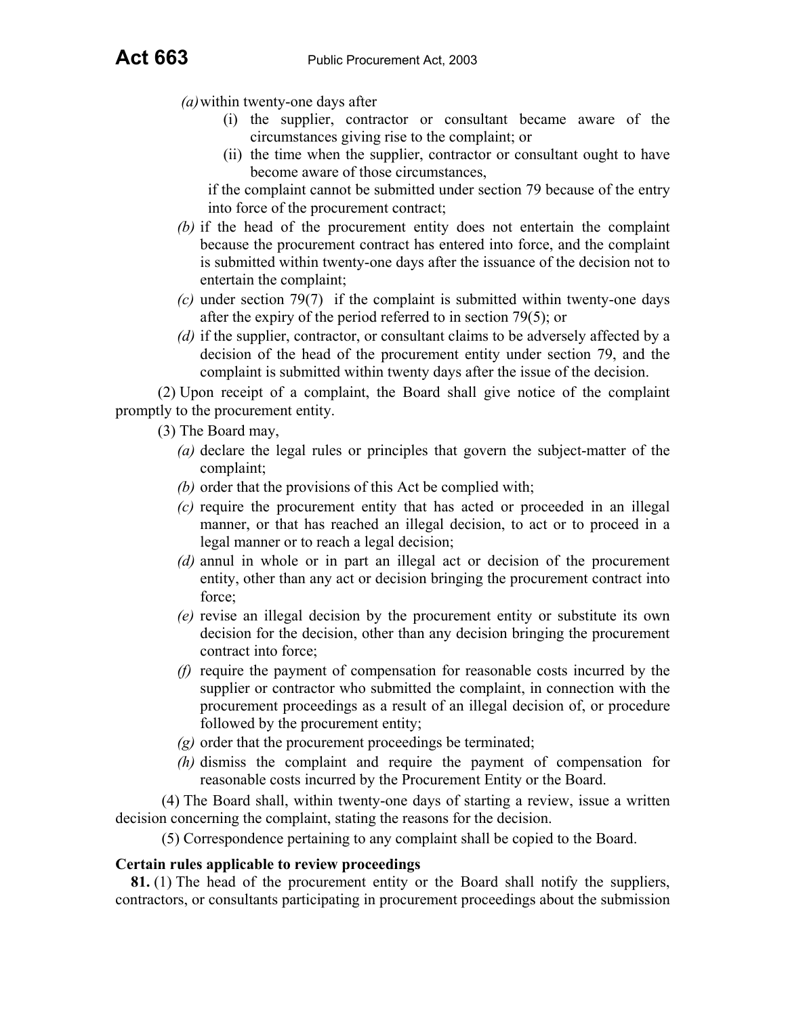- *(a)* within twenty-one days after
	- (i) the supplier, contractor or consultant became aware of the circumstances giving rise to the complaint; or
	- (ii) the time when the supplier, contractor or consultant ought to have become aware of those circumstances,

if the complaint cannot be submitted under section 79 because of the entry into force of the procurement contract;

- *(b)* if the head of the procurement entity does not entertain the complaint because the procurement contract has entered into force, and the complaint is submitted within twenty-one days after the issuance of the decision not to entertain the complaint;
- *(c)* under section 79(7) if the complaint is submitted within twenty-one days after the expiry of the period referred to in section 79(5); or
- *(d)* if the supplier, contractor, or consultant claims to be adversely affected by a decision of the head of the procurement entity under section 79, and the complaint is submitted within twenty days after the issue of the decision.

(2) Upon receipt of a complaint, the Board shall give notice of the complaint promptly to the procurement entity.

(3) The Board may,

- *(a)* declare the legal rules or principles that govern the subject-matter of the complaint;
- *(b)* order that the provisions of this Act be complied with;
- *(c)* require the procurement entity that has acted or proceeded in an illegal manner, or that has reached an illegal decision, to act or to proceed in a legal manner or to reach a legal decision;
- *(d)* annul in whole or in part an illegal act or decision of the procurement entity, other than any act or decision bringing the procurement contract into force;
- *(e)* revise an illegal decision by the procurement entity or substitute its own decision for the decision, other than any decision bringing the procurement contract into force;
- *(f)* require the payment of compensation for reasonable costs incurred by the supplier or contractor who submitted the complaint, in connection with the procurement proceedings as a result of an illegal decision of, or procedure followed by the procurement entity;
- *(g)* order that the procurement proceedings be terminated;
- *(h)* dismiss the complaint and require the payment of compensation for reasonable costs incurred by the Procurement Entity or the Board.

(4) The Board shall, within twenty-one days of starting a review, issue a written decision concerning the complaint, stating the reasons for the decision.

(5) Correspondence pertaining to any complaint shall be copied to the Board.

#### **Certain rules applicable to review proceedings**

**81.** (1) The head of the procurement entity or the Board shall notify the suppliers, contractors, or consultants participating in procurement proceedings about the submission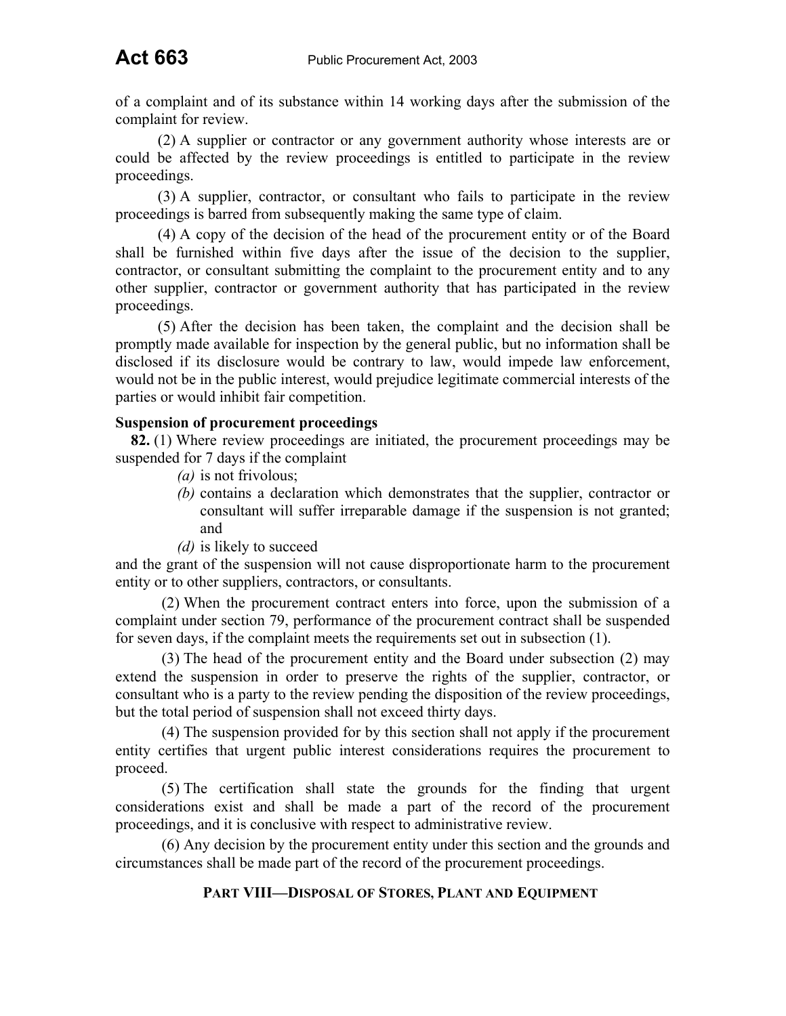of a complaint and of its substance within 14 working days after the submission of the complaint for review.

(2) A supplier or contractor or any government authority whose interests are or could be affected by the review proceedings is entitled to participate in the review proceedings.

(3) A supplier, contractor, or consultant who fails to participate in the review proceedings is barred from subsequently making the same type of claim.

(4) A copy of the decision of the head of the procurement entity or of the Board shall be furnished within five days after the issue of the decision to the supplier, contractor, or consultant submitting the complaint to the procurement entity and to any other supplier, contractor or government authority that has participated in the review proceedings.

(5) After the decision has been taken, the complaint and the decision shall be promptly made available for inspection by the general public, but no information shall be disclosed if its disclosure would be contrary to law, would impede law enforcement, would not be in the public interest, would prejudice legitimate commercial interests of the parties or would inhibit fair competition.

## **Suspension of procurement proceedings**

**82.** (1) Where review proceedings are initiated, the procurement proceedings may be suspended for 7 days if the complaint

- *(a)* is not frivolous;
- *(b)* contains a declaration which demonstrates that the supplier, contractor or consultant will suffer irreparable damage if the suspension is not granted; and
- *(d)* is likely to succeed

and the grant of the suspension will not cause disproportionate harm to the procurement entity or to other suppliers, contractors, or consultants.

(2) When the procurement contract enters into force, upon the submission of a complaint under section 79, performance of the procurement contract shall be suspended for seven days, if the complaint meets the requirements set out in subsection (1).

(3) The head of the procurement entity and the Board under subsection (2) may extend the suspension in order to preserve the rights of the supplier, contractor, or consultant who is a party to the review pending the disposition of the review proceedings, but the total period of suspension shall not exceed thirty days.

(4) The suspension provided for by this section shall not apply if the procurement entity certifies that urgent public interest considerations requires the procurement to proceed.

(5) The certification shall state the grounds for the finding that urgent considerations exist and shall be made a part of the record of the procurement proceedings, and it is conclusive with respect to administrative review.

(6) Any decision by the procurement entity under this section and the grounds and circumstances shall be made part of the record of the procurement proceedings.

## **PART VIII—DISPOSAL OF STORES, PLANT AND EQUIPMENT**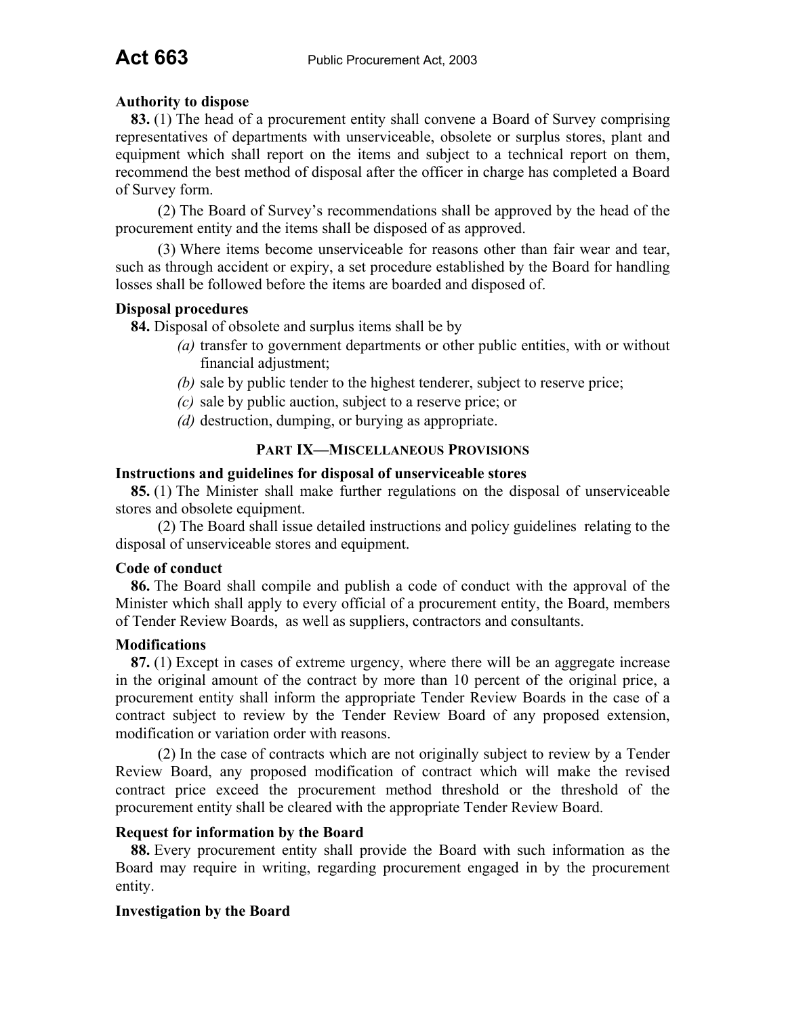## **Authority to dispose**

**83.** (1) The head of a procurement entity shall convene a Board of Survey comprising representatives of departments with unserviceable, obsolete or surplus stores, plant and equipment which shall report on the items and subject to a technical report on them, recommend the best method of disposal after the officer in charge has completed a Board of Survey form.

(2) The Board of Survey's recommendations shall be approved by the head of the procurement entity and the items shall be disposed of as approved.

(3) Where items become unserviceable for reasons other than fair wear and tear, such as through accident or expiry, a set procedure established by the Board for handling losses shall be followed before the items are boarded and disposed of.

## **Disposal procedures**

**84.** Disposal of obsolete and surplus items shall be by

- *(a)* transfer to government departments or other public entities, with or without financial adjustment;
- *(b)* sale by public tender to the highest tenderer, subject to reserve price;
- *(c)* sale by public auction, subject to a reserve price; or
- *(d)* destruction, dumping, or burying as appropriate.

## **PART IX—MISCELLANEOUS PROVISIONS**

## **Instructions and guidelines for disposal of unserviceable stores**

**85.** (1) The Minister shall make further regulations on the disposal of unserviceable stores and obsolete equipment.

(2) The Board shall issue detailed instructions and policy guidelines relating to the disposal of unserviceable stores and equipment.

## **Code of conduct**

**86.** The Board shall compile and publish a code of conduct with the approval of the Minister which shall apply to every official of a procurement entity, the Board, members of Tender Review Boards, as well as suppliers, contractors and consultants.

## **Modifications**

**87.** (1) Except in cases of extreme urgency, where there will be an aggregate increase in the original amount of the contract by more than 10 percent of the original price, a procurement entity shall inform the appropriate Tender Review Boards in the case of a contract subject to review by the Tender Review Board of any proposed extension, modification or variation order with reasons.

(2) In the case of contracts which are not originally subject to review by a Tender Review Board, any proposed modification of contract which will make the revised contract price exceed the procurement method threshold or the threshold of the procurement entity shall be cleared with the appropriate Tender Review Board.

## **Request for information by the Board**

**88.** Every procurement entity shall provide the Board with such information as the Board may require in writing, regarding procurement engaged in by the procurement entity.

## **Investigation by the Board**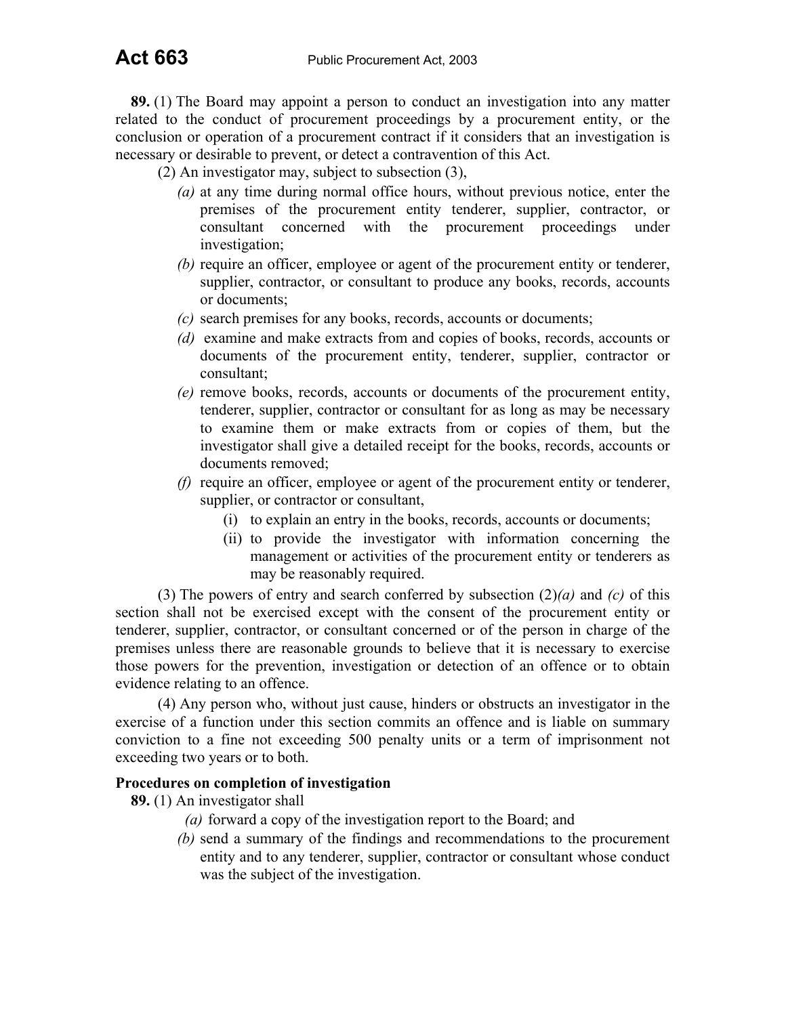**89.** (1) The Board may appoint a person to conduct an investigation into any matter related to the conduct of procurement proceedings by a procurement entity, or the conclusion or operation of a procurement contract if it considers that an investigation is necessary or desirable to prevent, or detect a contravention of this Act.

(2) An investigator may, subject to subsection (3),

- *(a)* at any time during normal office hours, without previous notice, enter the premises of the procurement entity tenderer, supplier, contractor, or consultant concerned with the procurement proceedings under investigation;
- *(b)* require an officer, employee or agent of the procurement entity or tenderer, supplier, contractor, or consultant to produce any books, records, accounts or documents;
- *(c)* search premises for any books, records, accounts or documents;
- *(d)* examine and make extracts from and copies of books, records, accounts or documents of the procurement entity, tenderer, supplier, contractor or consultant;
- *(e)* remove books, records, accounts or documents of the procurement entity, tenderer, supplier, contractor or consultant for as long as may be necessary to examine them or make extracts from or copies of them, but the investigator shall give a detailed receipt for the books, records, accounts or documents removed;
- *(f)* require an officer, employee or agent of the procurement entity or tenderer, supplier, or contractor or consultant,
	- (i) to explain an entry in the books, records, accounts or documents;
	- (ii) to provide the investigator with information concerning the management or activities of the procurement entity or tenderers as may be reasonably required.

(3) The powers of entry and search conferred by subsection (2)*(a)* and *(c)* of this section shall not be exercised except with the consent of the procurement entity or tenderer, supplier, contractor, or consultant concerned or of the person in charge of the premises unless there are reasonable grounds to believe that it is necessary to exercise those powers for the prevention, investigation or detection of an offence or to obtain evidence relating to an offence.

(4) Any person who, without just cause, hinders or obstructs an investigator in the exercise of a function under this section commits an offence and is liable on summary conviction to a fine not exceeding 500 penalty units or a term of imprisonment not exceeding two years or to both.

## **Procedures on completion of investigation**

**89.** (1) An investigator shall

- *(a)* forward a copy of the investigation report to the Board; and
- *(b)* send a summary of the findings and recommendations to the procurement entity and to any tenderer, supplier, contractor or consultant whose conduct was the subject of the investigation.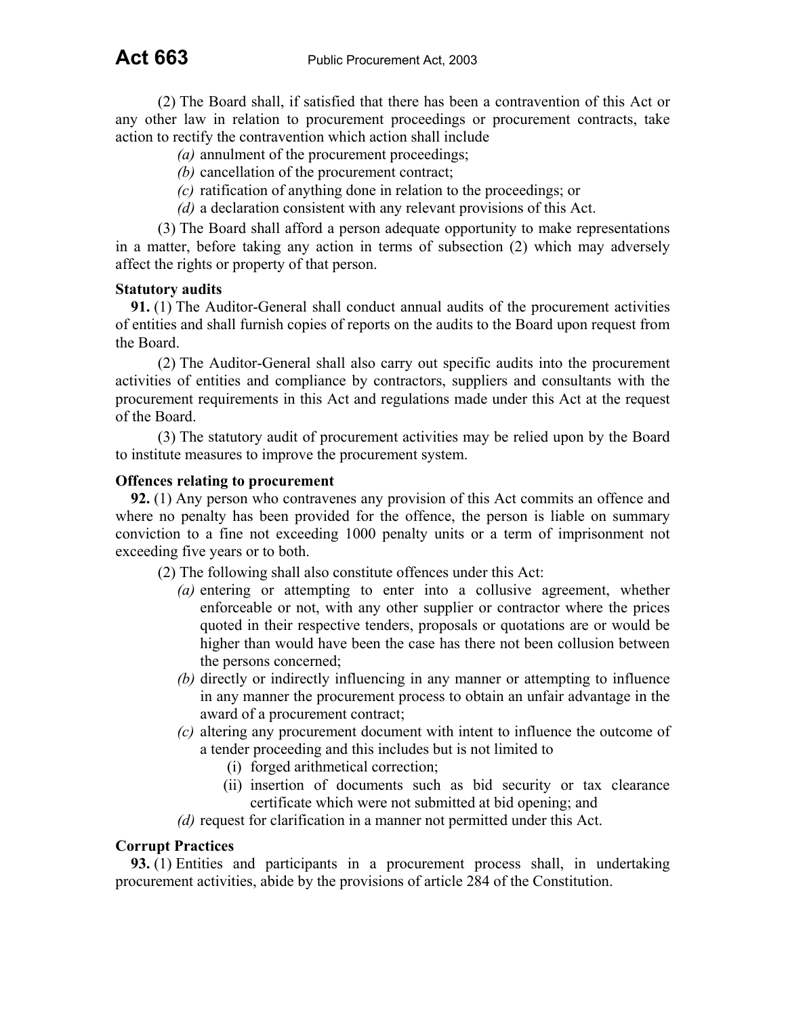(2) The Board shall, if satisfied that there has been a contravention of this Act or any other law in relation to procurement proceedings or procurement contracts, take action to rectify the contravention which action shall include

- *(a)* annulment of the procurement proceedings;
- *(b)* cancellation of the procurement contract;
- *(c)* ratification of anything done in relation to the proceedings; or
- *(d)* a declaration consistent with any relevant provisions of this Act.

(3) The Board shall afford a person adequate opportunity to make representations in a matter, before taking any action in terms of subsection (2) which may adversely affect the rights or property of that person.

## **Statutory audits**

**91.** (1) The Auditor-General shall conduct annual audits of the procurement activities of entities and shall furnish copies of reports on the audits to the Board upon request from the Board.

(2) The Auditor-General shall also carry out specific audits into the procurement activities of entities and compliance by contractors, suppliers and consultants with the procurement requirements in this Act and regulations made under this Act at the request of the Board.

(3) The statutory audit of procurement activities may be relied upon by the Board to institute measures to improve the procurement system.

#### **Offences relating to procurement**

**92.** (1) Any person who contravenes any provision of this Act commits an offence and where no penalty has been provided for the offence, the person is liable on summary conviction to a fine not exceeding 1000 penalty units or a term of imprisonment not exceeding five years or to both.

(2) The following shall also constitute offences under this Act:

- *(a)* entering or attempting to enter into a collusive agreement, whether enforceable or not, with any other supplier or contractor where the prices quoted in their respective tenders, proposals or quotations are or would be higher than would have been the case has there not been collusion between the persons concerned;
- *(b)* directly or indirectly influencing in any manner or attempting to influence in any manner the procurement process to obtain an unfair advantage in the award of a procurement contract;
- *(c)* altering any procurement document with intent to influence the outcome of a tender proceeding and this includes but is not limited to
	- (i) forged arithmetical correction;
	- (ii) insertion of documents such as bid security or tax clearance certificate which were not submitted at bid opening; and

*(d)* request for clarification in a manner not permitted under this Act.

#### **Corrupt Practices**

**93.** (1) Entities and participants in a procurement process shall, in undertaking procurement activities, abide by the provisions of article 284 of the Constitution.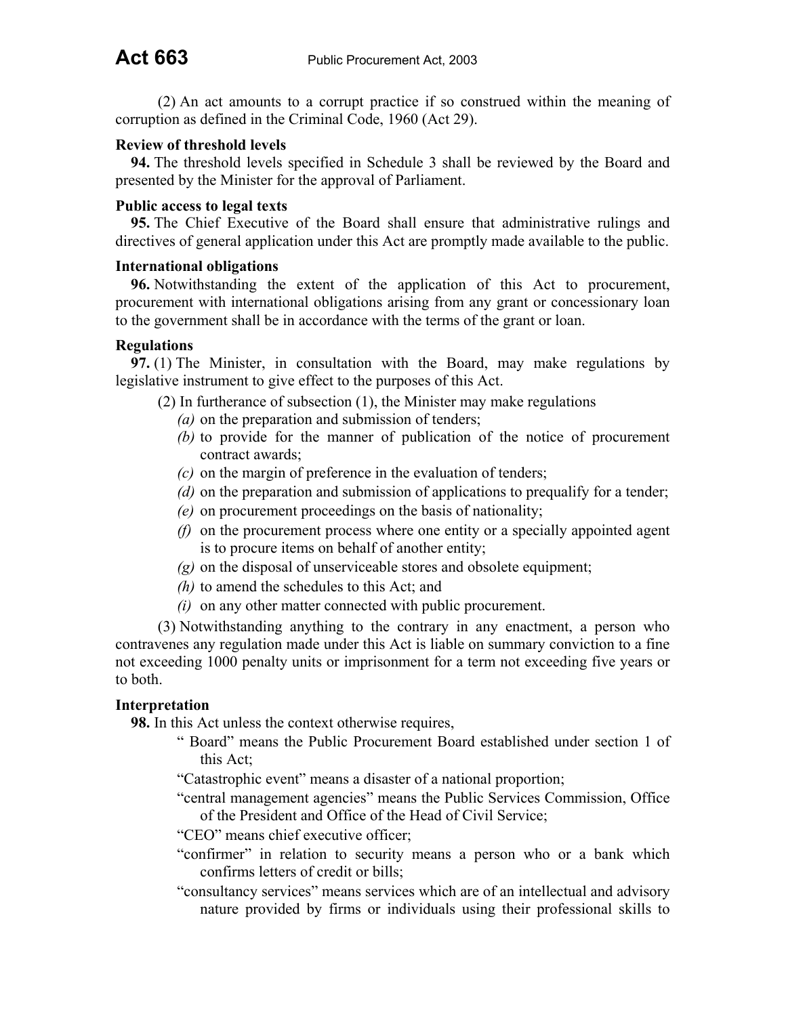(2) An act amounts to a corrupt practice if so construed within the meaning of corruption as defined in the Criminal Code, 1960 (Act 29).

## **Review of threshold levels**

**94.** The threshold levels specified in Schedule 3 shall be reviewed by the Board and presented by the Minister for the approval of Parliament.

### **Public access to legal texts**

**95.** The Chief Executive of the Board shall ensure that administrative rulings and directives of general application under this Act are promptly made available to the public.

#### **International obligations**

**96.** Notwithstanding the extent of the application of this Act to procurement, procurement with international obligations arising from any grant or concessionary loan to the government shall be in accordance with the terms of the grant or loan.

## **Regulations**

**97.** (1) The Minister, in consultation with the Board, may make regulations by legislative instrument to give effect to the purposes of this Act.

- (2) In furtherance of subsection (1), the Minister may make regulations
	- *(a)* on the preparation and submission of tenders;
	- *(b)* to provide for the manner of publication of the notice of procurement contract awards;
	- *(c)* on the margin of preference in the evaluation of tenders;
	- *(d)* on the preparation and submission of applications to prequalify for a tender;
	- *(e)* on procurement proceedings on the basis of nationality;
	- *(f)* on the procurement process where one entity or a specially appointed agent is to procure items on behalf of another entity;
	- *(g)* on the disposal of unserviceable stores and obsolete equipment;
	- *(h)* to amend the schedules to this Act; and
	- *(i)* on any other matter connected with public procurement.

(3) Notwithstanding anything to the contrary in any enactment, a person who contravenes any regulation made under this Act is liable on summary conviction to a fine not exceeding 1000 penalty units or imprisonment for a term not exceeding five years or to both.

## **Interpretation**

**98.** In this Act unless the context otherwise requires,

- " Board" means the Public Procurement Board established under section 1 of this Act;
- "Catastrophic event" means a disaster of a national proportion;
- "central management agencies" means the Public Services Commission, Office of the President and Office of the Head of Civil Service;
- "CEO" means chief executive officer;
- "confirmer" in relation to security means a person who or a bank which confirms letters of credit or bills;
- "consultancy services" means services which are of an intellectual and advisory nature provided by firms or individuals using their professional skills to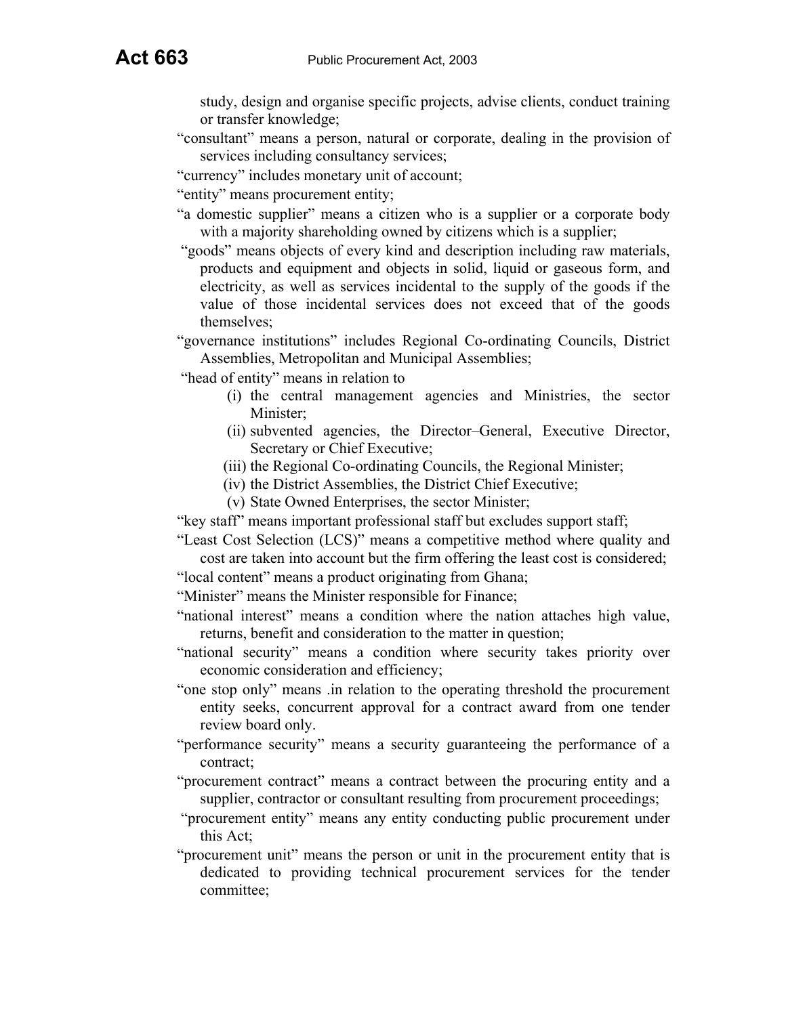study, design and organise specific projects, advise clients, conduct training or transfer knowledge;

- "consultant" means a person, natural or corporate, dealing in the provision of services including consultancy services;
- "currency" includes monetary unit of account;
- "entity" means procurement entity;
- "a domestic supplier" means a citizen who is a supplier or a corporate body with a majority shareholding owned by citizens which is a supplier;
- "goods" means objects of every kind and description including raw materials, products and equipment and objects in solid, liquid or gaseous form, and electricity, as well as services incidental to the supply of the goods if the value of those incidental services does not exceed that of the goods themselves;
- "governance institutions" includes Regional Co-ordinating Councils, District Assemblies, Metropolitan and Municipal Assemblies;
- "head of entity" means in relation to
	- (i) the central management agencies and Ministries, the sector Minister;
	- (ii) subvented agencies, the Director–General, Executive Director, Secretary or Chief Executive;
	- (iii) the Regional Co-ordinating Councils, the Regional Minister;
	- (iv) the District Assemblies, the District Chief Executive;
	- (v) State Owned Enterprises, the sector Minister;
- "key staff" means important professional staff but excludes support staff;
- "Least Cost Selection (LCS)" means a competitive method where quality and cost are taken into account but the firm offering the least cost is considered;
- "local content" means a product originating from Ghana;
- "Minister" means the Minister responsible for Finance;
- "national interest" means a condition where the nation attaches high value, returns, benefit and consideration to the matter in question;
- "national security" means a condition where security takes priority over economic consideration and efficiency;
- "one stop only" means .in relation to the operating threshold the procurement entity seeks, concurrent approval for a contract award from one tender review board only.
- "performance security" means a security guaranteeing the performance of a contract;
- "procurement contract" means a contract between the procuring entity and a supplier, contractor or consultant resulting from procurement proceedings;
- "procurement entity" means any entity conducting public procurement under this Act;
- "procurement unit" means the person or unit in the procurement entity that is dedicated to providing technical procurement services for the tender committee;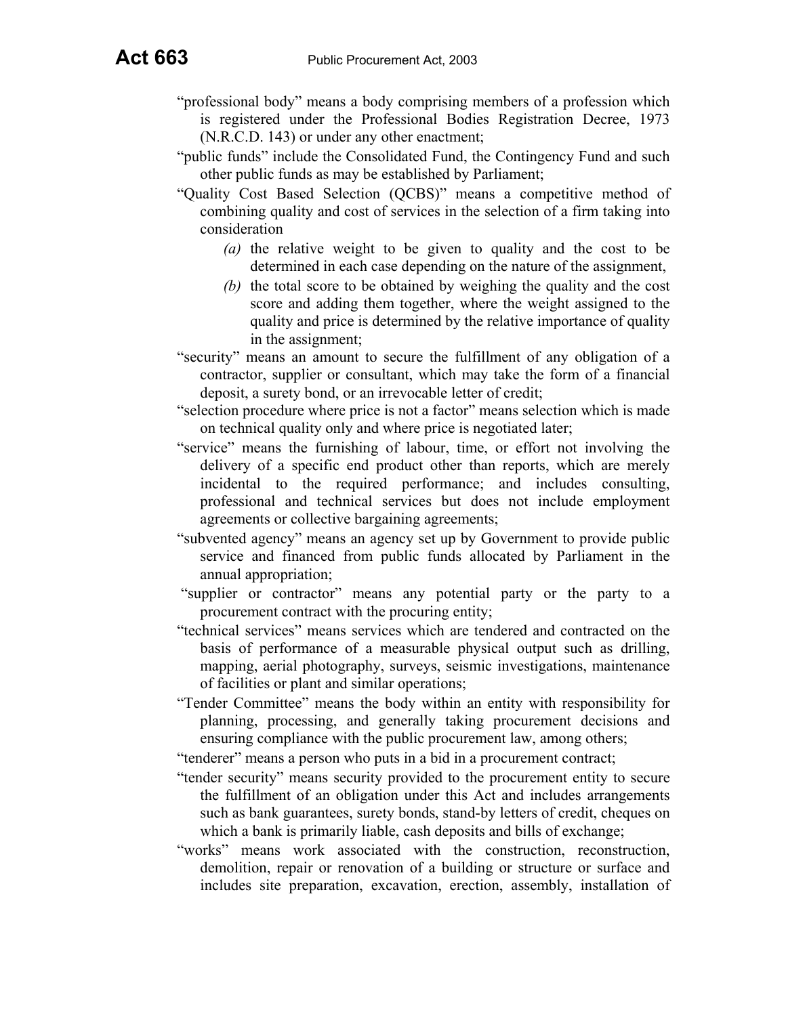- "professional body" means a body comprising members of a profession which is registered under the Professional Bodies Registration Decree, 1973 (N.R.C.D. 143) or under any other enactment;
- "public funds" include the Consolidated Fund, the Contingency Fund and such other public funds as may be established by Parliament;
- "Quality Cost Based Selection (QCBS)" means a competitive method of combining quality and cost of services in the selection of a firm taking into consideration
	- *(a)* the relative weight to be given to quality and the cost to be determined in each case depending on the nature of the assignment,
	- *(b)* the total score to be obtained by weighing the quality and the cost score and adding them together, where the weight assigned to the quality and price is determined by the relative importance of quality in the assignment;
- "security" means an amount to secure the fulfillment of any obligation of a contractor, supplier or consultant, which may take the form of a financial deposit, a surety bond, or an irrevocable letter of credit;
- "selection procedure where price is not a factor" means selection which is made on technical quality only and where price is negotiated later;
- "service" means the furnishing of labour, time, or effort not involving the delivery of a specific end product other than reports, which are merely incidental to the required performance; and includes consulting, professional and technical services but does not include employment agreements or collective bargaining agreements;
- "subvented agency" means an agency set up by Government to provide public service and financed from public funds allocated by Parliament in the annual appropriation;
- "supplier or contractor" means any potential party or the party to a procurement contract with the procuring entity;
- "technical services" means services which are tendered and contracted on the basis of performance of a measurable physical output such as drilling, mapping, aerial photography, surveys, seismic investigations, maintenance of facilities or plant and similar operations;
- "Tender Committee" means the body within an entity with responsibility for planning, processing, and generally taking procurement decisions and ensuring compliance with the public procurement law, among others;

"tenderer" means a person who puts in a bid in a procurement contract;

- "tender security" means security provided to the procurement entity to secure the fulfillment of an obligation under this Act and includes arrangements such as bank guarantees, surety bonds, stand-by letters of credit, cheques on which a bank is primarily liable, cash deposits and bills of exchange;
- "works" means work associated with the construction, reconstruction, demolition, repair or renovation of a building or structure or surface and includes site preparation, excavation, erection, assembly, installation of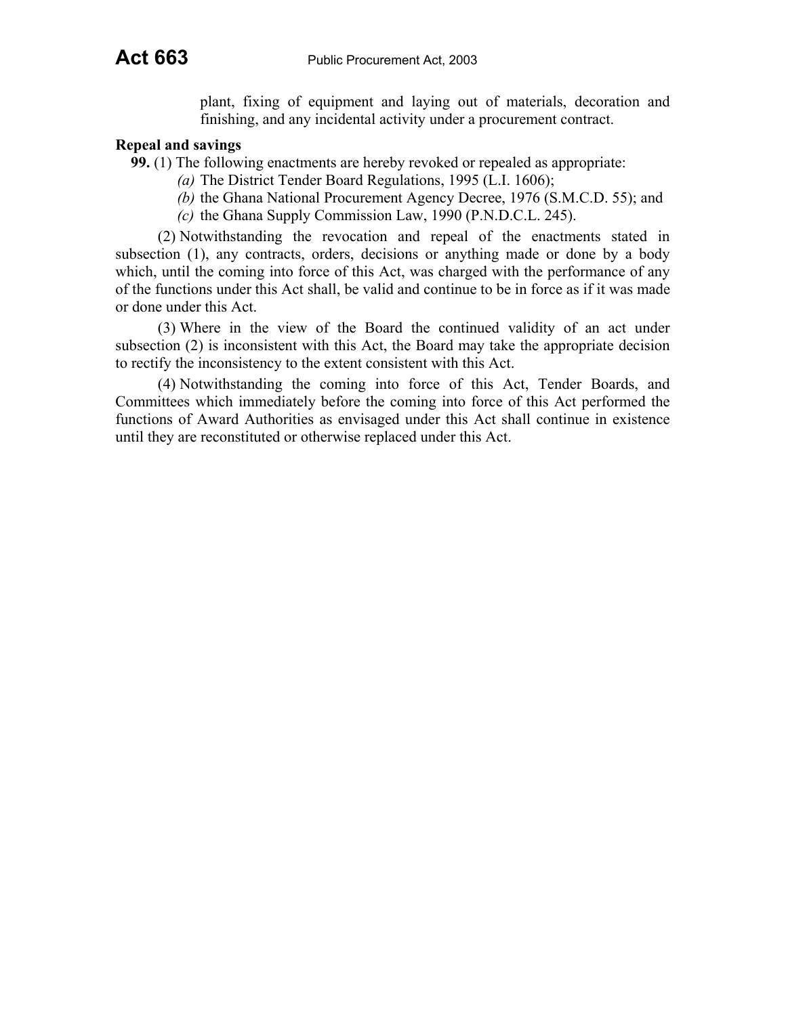plant, fixing of equipment and laying out of materials, decoration and finishing, and any incidental activity under a procurement contract.

#### **Repeal and savings**

**99.** (1) The following enactments are hereby revoked or repealed as appropriate:

- *(a)* The District Tender Board Regulations, 1995 (L.I. 1606);
- *(b)* the Ghana National Procurement Agency Decree, 1976 (S.M.C.D. 55); and
- *(c)* the Ghana Supply Commission Law, 1990 (P.N.D.C.L. 245).

(2) Notwithstanding the revocation and repeal of the enactments stated in subsection (1), any contracts, orders, decisions or anything made or done by a body which, until the coming into force of this Act, was charged with the performance of any of the functions under this Act shall, be valid and continue to be in force as if it was made or done under this Act.

(3) Where in the view of the Board the continued validity of an act under subsection (2) is inconsistent with this Act, the Board may take the appropriate decision to rectify the inconsistency to the extent consistent with this Act.

(4) Notwithstanding the coming into force of this Act, Tender Boards, and Committees which immediately before the coming into force of this Act performed the functions of Award Authorities as envisaged under this Act shall continue in existence until they are reconstituted or otherwise replaced under this Act.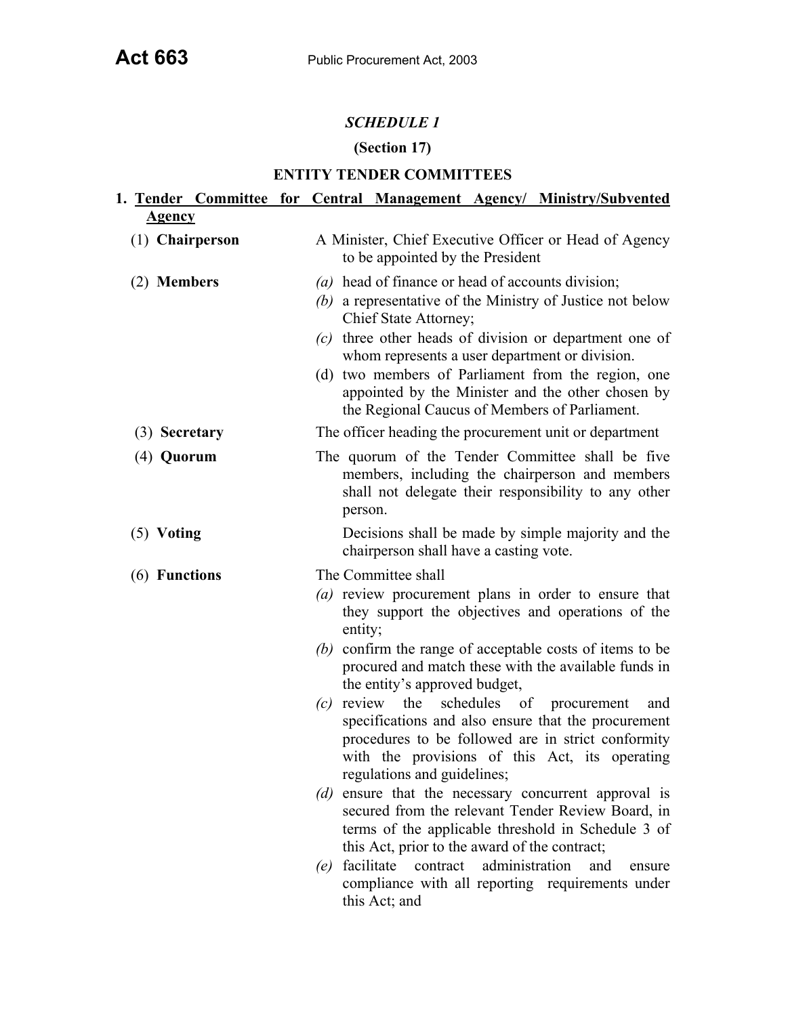## *SCHEDULE 1*

# **(Section 17)**

## **ENTITY TENDER COMMITTEES**

| 1. Tender Committee for Central Management Agency/ Ministry/Subvented |                                                                                           |                                                                                                                                                                                                                                                                                                                                                                                                                 |                |                          |        |
|-----------------------------------------------------------------------|-------------------------------------------------------------------------------------------|-----------------------------------------------------------------------------------------------------------------------------------------------------------------------------------------------------------------------------------------------------------------------------------------------------------------------------------------------------------------------------------------------------------------|----------------|--------------------------|--------|
| <b>Agency</b>                                                         |                                                                                           |                                                                                                                                                                                                                                                                                                                                                                                                                 |                |                          |        |
| (1) Chairperson                                                       | A Minister, Chief Executive Officer or Head of Agency<br>to be appointed by the President |                                                                                                                                                                                                                                                                                                                                                                                                                 |                |                          |        |
| (2) Members                                                           |                                                                                           | (a) head of finance or head of accounts division;<br>(b) a representative of the Ministry of Justice not below<br>Chief State Attorney;<br>(c) three other heads of division or department one of<br>whom represents a user department or division.<br>(d) two members of Parliament from the region, one<br>appointed by the Minister and the other chosen by<br>the Regional Caucus of Members of Parliament. |                |                          |        |
| (3) Secretary                                                         |                                                                                           | The officer heading the procurement unit or department                                                                                                                                                                                                                                                                                                                                                          |                |                          |        |
| (4) Quorum                                                            | person.                                                                                   | The quorum of the Tender Committee shall be five<br>members, including the chairperson and members<br>shall not delegate their responsibility to any other                                                                                                                                                                                                                                                      |                |                          |        |
| $(5)$ Voting                                                          |                                                                                           | Decisions shall be made by simple majority and the<br>chairperson shall have a casting vote.                                                                                                                                                                                                                                                                                                                    |                |                          |        |
| (6) Functions                                                         |                                                                                           | The Committee shall                                                                                                                                                                                                                                                                                                                                                                                             |                |                          |        |
|                                                                       | entity;<br>(b)                                                                            | (a) review procurement plans in order to ensure that<br>they support the objectives and operations of the<br>confirm the range of acceptable costs of items to be<br>procured and match these with the available funds in<br>the entity's approved budget,                                                                                                                                                      |                |                          |        |
|                                                                       | review<br>(c)<br>(d)                                                                      | the<br>specifications and also ensure that the procurement<br>procedures to be followed are in strict conformity<br>with the provisions of this Act, its operating<br>regulations and guidelines;<br>ensure that the necessary concurrent approval is                                                                                                                                                           |                | schedules of procurement | and    |
|                                                                       |                                                                                           | secured from the relevant Tender Review Board, in<br>terms of the applicable threshold in Schedule 3 of<br>this Act, prior to the award of the contract;                                                                                                                                                                                                                                                        |                |                          |        |
|                                                                       | (e)                                                                                       | facilitate<br>contract<br>compliance with all reporting requirements under<br>this Act; and                                                                                                                                                                                                                                                                                                                     | administration | and                      | ensure |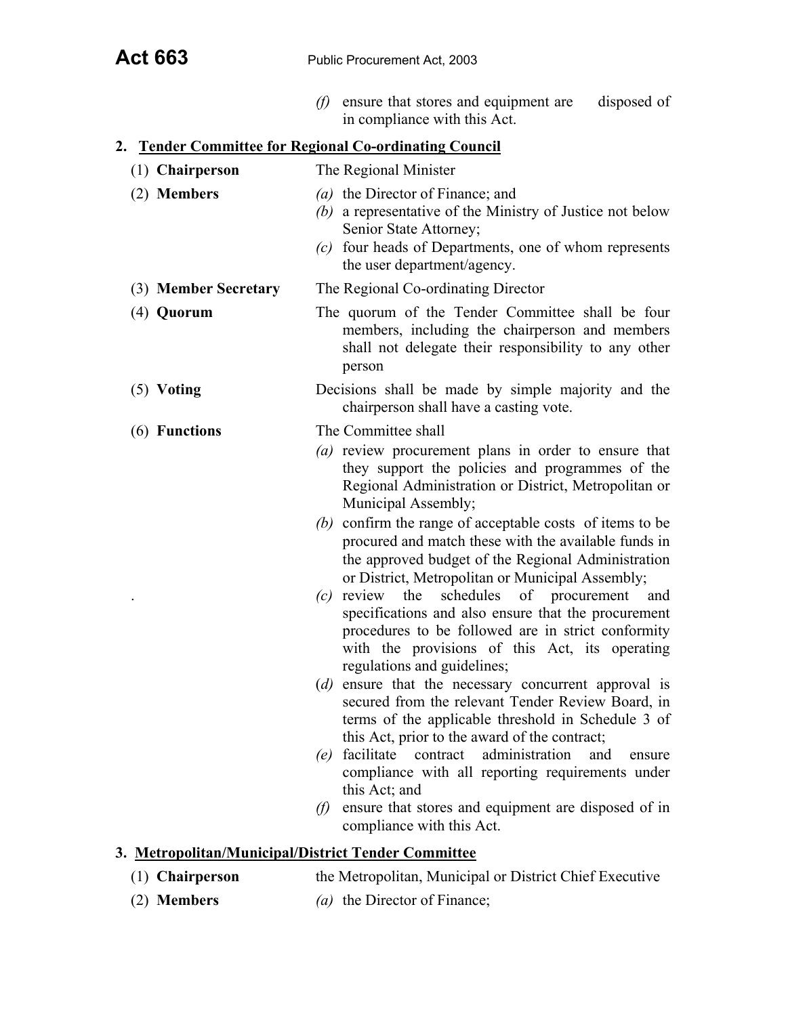*(f)* ensure that stores and equipment are disposed of in compliance with this Act.

# **2. Tender Committee for Regional Co-ordinating Council**

| (1) Chairperson                                     | The Regional Minister                                                                                                                                                                                                                                       |
|-----------------------------------------------------|-------------------------------------------------------------------------------------------------------------------------------------------------------------------------------------------------------------------------------------------------------------|
| (2) Members                                         | (a) the Director of Finance; and<br>(b) a representative of the Ministry of Justice not below<br>Senior State Attorney;<br>four heads of Departments, one of whom represents<br>(c)<br>the user department/agency.                                          |
| (3) Member Secretary                                | The Regional Co-ordinating Director                                                                                                                                                                                                                         |
| $(4)$ Quorum                                        | The quorum of the Tender Committee shall be four<br>members, including the chairperson and members<br>shall not delegate their responsibility to any other<br>person                                                                                        |
| $(5)$ Voting                                        | Decisions shall be made by simple majority and the<br>chairperson shall have a casting vote.                                                                                                                                                                |
| (6) Functions                                       | The Committee shall                                                                                                                                                                                                                                         |
|                                                     | (a) review procurement plans in order to ensure that<br>they support the policies and programmes of the<br>Regional Administration or District, Metropolitan or<br>Municipal Assembly;                                                                      |
|                                                     | $(b)$ confirm the range of acceptable costs of items to be<br>procured and match these with the available funds in<br>the approved budget of the Regional Administration<br>or District, Metropolitan or Municipal Assembly;                                |
|                                                     | schedules<br>of<br>review<br>the<br>procurement<br>and<br>(c)<br>specifications and also ensure that the procurement<br>procedures to be followed are in strict conformity<br>with the provisions of this Act, its operating<br>regulations and guidelines; |
|                                                     | (d) ensure that the necessary concurrent approval is<br>secured from the relevant Tender Review Board, in<br>terms of the applicable threshold in Schedule 3 of<br>this Act, prior to the award of the contract;                                            |
|                                                     | facilitate<br>administration<br>contract<br>and<br>(e)<br>ensure<br>compliance with all reporting requirements under<br>this Act; and                                                                                                                       |
|                                                     | ensure that stores and equipment are disposed of in<br>$\theta$<br>compliance with this Act.                                                                                                                                                                |
| 3. Metropolitan/Municipal/District Tender Committee |                                                                                                                                                                                                                                                             |
| (1) Chairperson                                     | the Metropolitan, Municipal or District Chief Executive                                                                                                                                                                                                     |

(2) **Members** *(a)* the Director of Finance;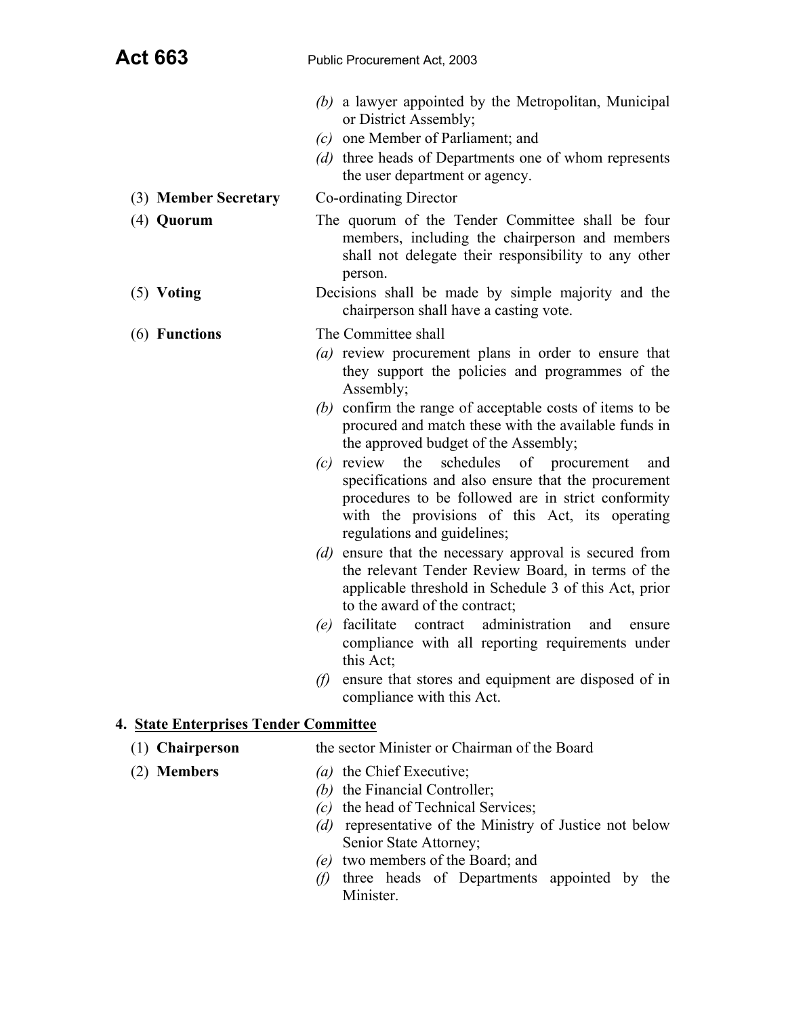- *(b)* a lawyer appointed by the Metropolitan, Municipal or District Assembly;
- *(c)* one Member of Parliament; and
- *(d)* three heads of Departments one of whom represents the user department or agency.
- (3) **Member Secretary** Co-ordinating Director
	-
- (4) **Quorum** The quorum of the Tender Committee shall be four members, including the chairperson and members shall not delegate their responsibility to any other person.
- (5) **Voting** Decisions shall be made by simple majority and the chairperson shall have a casting vote.
- (6) **Functions** The Committee shall
	- *(a)* review procurement plans in order to ensure that they support the policies and programmes of the Assembly;
	- *(b)* confirm the range of acceptable costs of items to be procured and match these with the available funds in the approved budget of the Assembly;
	- *(c)* review the schedules of procurement and specifications and also ensure that the procurement procedures to be followed are in strict conformity with the provisions of this Act, its operating regulations and guidelines;
	- *(d)* ensure that the necessary approval is secured from the relevant Tender Review Board, in terms of the applicable threshold in Schedule 3 of this Act, prior to the award of the contract;
	- *(e)* facilitate contract administration and ensure compliance with all reporting requirements under this Act;
	- *(f)* ensure that stores and equipment are disposed of in compliance with this Act.

# **4. State Enterprises Tender Committee**

- (1) **Chairperson** the sector Minister or Chairman of the Board
- (2) **Members** *(a)* the Chief Executive;
	- *(b)* the Financial Controller;
	- *(c)* the head of Technical Services;
	- *(d)* representative of the Ministry of Justice not below Senior State Attorney;
	- *(e)* two members of the Board; and
	- *(f)* three heads of Departments appointed by the **Minister**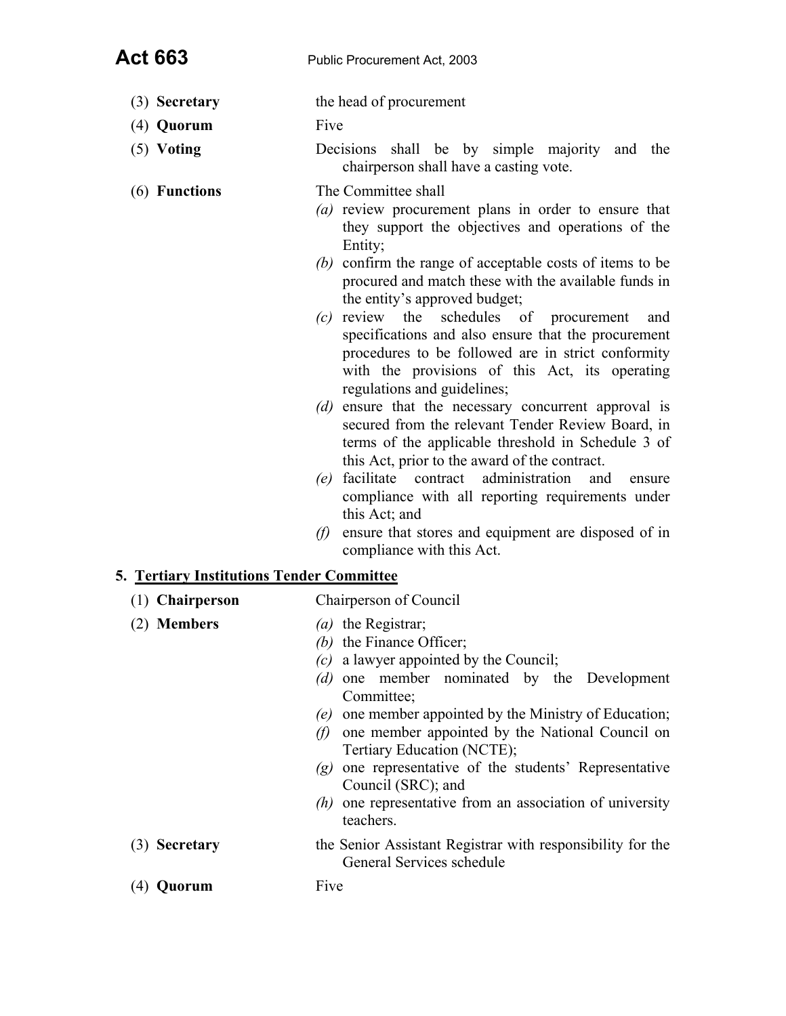- (3) **Secretary** the head of procurement
- (4) **Quorum** Five
- (5) **Voting** Decisions shall be by simple majority and the chairperson shall have a casting vote.
- (6) **Functions** The Committee shall
	- *(a)* review procurement plans in order to ensure that they support the objectives and operations of the Entity;
	- *(b)* confirm the range of acceptable costs of items to be procured and match these with the available funds in the entity's approved budget;
	- *(c)* review the schedules of procurement and specifications and also ensure that the procurement procedures to be followed are in strict conformity with the provisions of this Act, its operating regulations and guidelines;
	- *(d)* ensure that the necessary concurrent approval is secured from the relevant Tender Review Board, in terms of the applicable threshold in Schedule 3 of this Act, prior to the award of the contract.
	- *(e)* facilitate contract administration and ensure compliance with all reporting requirements under this Act; and
	- *(f)* ensure that stores and equipment are disposed of in compliance with this Act.

## **5. Tertiary Institutions Tender Committee**

| $(1)$ Chairperson | Chairperson of Council                                                                                                                                                                                                                                                                                                                                                                                                                                                           |  |  |  |
|-------------------|----------------------------------------------------------------------------------------------------------------------------------------------------------------------------------------------------------------------------------------------------------------------------------------------------------------------------------------------------------------------------------------------------------------------------------------------------------------------------------|--|--|--|
| (2) Members       | $(a)$ the Registrar;<br>(b) the Finance Officer;<br>$(c)$ a lawyer appointed by the Council;<br>(d) one member nominated by the Development<br>Committee;<br>one member appointed by the Ministry of Education;<br>(e)<br>one member appointed by the National Council on<br>$\theta$<br>Tertiary Education (NCTE);<br>$(g)$ one representative of the students' Representative<br>Council (SRC); and<br>$(h)$ one representative from an association of university<br>teachers. |  |  |  |
| (3) Secretary     | the Senior Assistant Registrar with responsibility for the<br>General Services schedule                                                                                                                                                                                                                                                                                                                                                                                          |  |  |  |
| uorum             | Five                                                                                                                                                                                                                                                                                                                                                                                                                                                                             |  |  |  |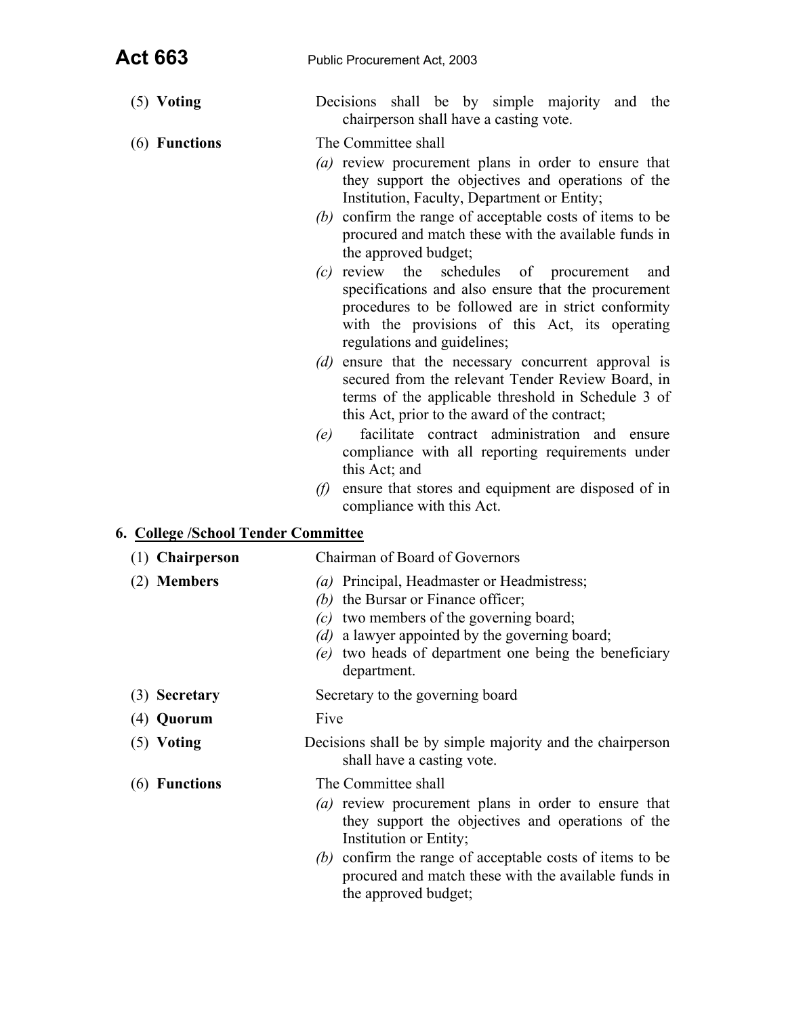| <b>Act 663</b>                      | Public Procurement Act, 2003                                                                                                                                                                                                                                                                                                                                                                                                                                                                                                                                                                                                                                                                                                                                                                                                                                                                                                                                                                    |  |  |  |  |  |
|-------------------------------------|-------------------------------------------------------------------------------------------------------------------------------------------------------------------------------------------------------------------------------------------------------------------------------------------------------------------------------------------------------------------------------------------------------------------------------------------------------------------------------------------------------------------------------------------------------------------------------------------------------------------------------------------------------------------------------------------------------------------------------------------------------------------------------------------------------------------------------------------------------------------------------------------------------------------------------------------------------------------------------------------------|--|--|--|--|--|
| $(5)$ Voting                        | Decisions shall be by simple majority and the<br>chairperson shall have a casting vote.                                                                                                                                                                                                                                                                                                                                                                                                                                                                                                                                                                                                                                                                                                                                                                                                                                                                                                         |  |  |  |  |  |
| (6) Functions                       | The Committee shall<br>(a) review procurement plans in order to ensure that<br>they support the objectives and operations of the<br>Institution, Faculty, Department or Entity;<br>(b) confirm the range of acceptable costs of items to be<br>procured and match these with the available funds in<br>the approved budget;<br>$(c)$ review the<br>schedules of procurement<br>and<br>specifications and also ensure that the procurement<br>procedures to be followed are in strict conformity<br>with the provisions of this Act, its operating<br>regulations and guidelines;<br>(d) ensure that the necessary concurrent approval is<br>secured from the relevant Tender Review Board, in<br>terms of the applicable threshold in Schedule 3 of<br>this Act, prior to the award of the contract;<br>facilitate contract administration and ensure<br>(e)<br>compliance with all reporting requirements under<br>this Act; and<br>ensure that stores and equipment are disposed of in<br>(f) |  |  |  |  |  |
| 6. College /School Tender Committee | compliance with this Act.                                                                                                                                                                                                                                                                                                                                                                                                                                                                                                                                                                                                                                                                                                                                                                                                                                                                                                                                                                       |  |  |  |  |  |
| $(1)$ Chairperson                   | Chairman of Board of Governors                                                                                                                                                                                                                                                                                                                                                                                                                                                                                                                                                                                                                                                                                                                                                                                                                                                                                                                                                                  |  |  |  |  |  |
| (2) Members                         | (a) Principal, Headmaster or Headmistress;<br>(b) the Bursar or Finance officer;<br>$(c)$ two members of the governing board;<br>(d) a lawyer appointed by the governing board;<br>(e) two heads of department one being the beneficiary<br>department.                                                                                                                                                                                                                                                                                                                                                                                                                                                                                                                                                                                                                                                                                                                                         |  |  |  |  |  |
| (3) Secretary                       | Secretary to the governing board                                                                                                                                                                                                                                                                                                                                                                                                                                                                                                                                                                                                                                                                                                                                                                                                                                                                                                                                                                |  |  |  |  |  |
| (4) Quorum                          | Five                                                                                                                                                                                                                                                                                                                                                                                                                                                                                                                                                                                                                                                                                                                                                                                                                                                                                                                                                                                            |  |  |  |  |  |
| $(5)$ Voting                        | Decisions shall be by simple majority and the chairperson<br>shall have a casting vote.                                                                                                                                                                                                                                                                                                                                                                                                                                                                                                                                                                                                                                                                                                                                                                                                                                                                                                         |  |  |  |  |  |
| (6) Functions                       | The Committee shall<br>(a) review procurement plans in order to ensure that<br>they support the objectives and operations of the<br>Institution or Entity;<br>(b) confirm the range of acceptable costs of items to be                                                                                                                                                                                                                                                                                                                                                                                                                                                                                                                                                                                                                                                                                                                                                                          |  |  |  |  |  |

procured and match these with the available funds in the approved budget;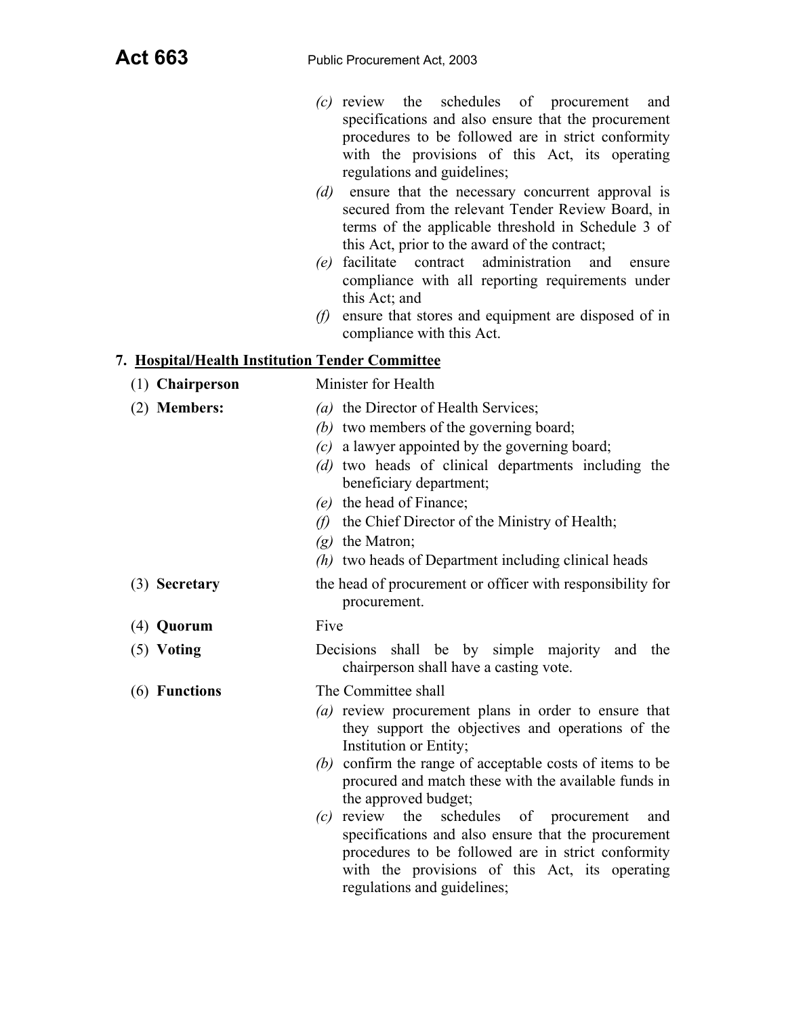- *(c)* review the schedules of procurement and specifications and also ensure that the procurement procedures to be followed are in strict conformity with the provisions of this Act, its operating regulations and guidelines;
- *(d)* ensure that the necessary concurrent approval is secured from the relevant Tender Review Board, in terms of the applicable threshold in Schedule 3 of this Act, prior to the award of the contract;
- *(e)* facilitate contract administration and ensure compliance with all reporting requirements under this Act; and
- *(f)* ensure that stores and equipment are disposed of in compliance with this Act.

## **7. Hospital/Health Institution Tender Committee**

| (1) Chairperson | Minister for Health                                                                                                                                                                                                                                                                                                                                                                                                                                                                                                                                         |  |  |  |
|-----------------|-------------------------------------------------------------------------------------------------------------------------------------------------------------------------------------------------------------------------------------------------------------------------------------------------------------------------------------------------------------------------------------------------------------------------------------------------------------------------------------------------------------------------------------------------------------|--|--|--|
| (2) Members:    | (a) the Director of Health Services;<br>(b) two members of the governing board;<br>$(c)$ a lawyer appointed by the governing board;<br>(d) two heads of clinical departments including the<br>beneficiary department;<br>(e) the head of Finance;<br>(f) the Chief Director of the Ministry of Health;<br>$(g)$ the Matron;<br>$(h)$ two heads of Department including clinical heads                                                                                                                                                                       |  |  |  |
| (3) Secretary   | the head of procurement or officer with responsibility for<br>procurement.                                                                                                                                                                                                                                                                                                                                                                                                                                                                                  |  |  |  |
| $(4)$ Quorum    | Five                                                                                                                                                                                                                                                                                                                                                                                                                                                                                                                                                        |  |  |  |
| $(5)$ Voting    | Decisions shall be by simple majority and<br>the<br>chairperson shall have a casting vote.                                                                                                                                                                                                                                                                                                                                                                                                                                                                  |  |  |  |
| (6) Functions   | The Committee shall<br>(a) review procurement plans in order to ensure that<br>they support the objectives and operations of the<br>Institution or Entity;<br>(b) confirm the range of acceptable costs of items to be<br>procured and match these with the available funds in<br>the approved budget;<br>$(c)$ review the<br>schedules of procurement<br>and<br>specifications and also ensure that the procurement<br>procedures to be followed are in strict conformity<br>with the provisions of this Act, its operating<br>regulations and guidelines; |  |  |  |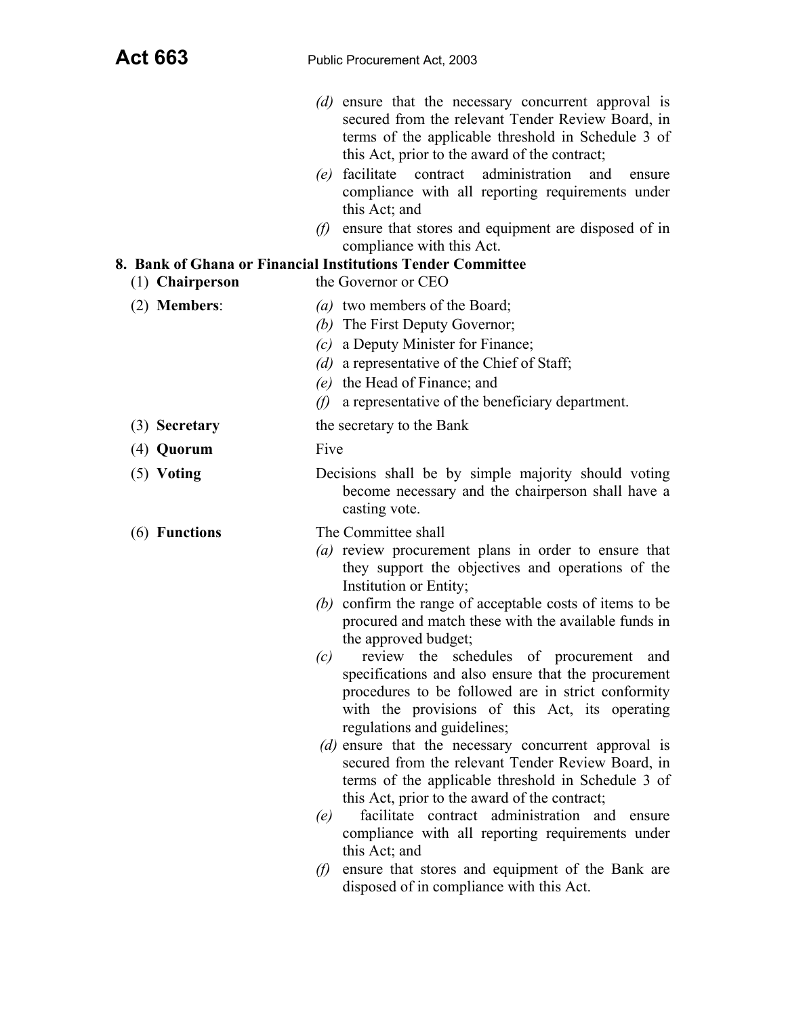| (d) ensure that the necessary concurrent approval is |
|------------------------------------------------------|
| secured from the relevant Tender Review Board, in    |
| terms of the applicable threshold in Schedule 3 of   |
| this Act, prior to the award of the contract;        |

- *(e)* facilitate contract administration and ensure compliance with all reporting requirements under this Act; and
- *(f)* ensure that stores and equipment are disposed of in compliance with this Act.

# **8. Bank of Ghana or Financial Institutions Tender Committee**

| (1) Chairperson | the Governor or CEO                                                                                                                                                                                                                                                                                                                                                                                                                                                                                                                                                                                                                                                                                                                                                                                                                                                                                                                                                                                                    |
|-----------------|------------------------------------------------------------------------------------------------------------------------------------------------------------------------------------------------------------------------------------------------------------------------------------------------------------------------------------------------------------------------------------------------------------------------------------------------------------------------------------------------------------------------------------------------------------------------------------------------------------------------------------------------------------------------------------------------------------------------------------------------------------------------------------------------------------------------------------------------------------------------------------------------------------------------------------------------------------------------------------------------------------------------|
| $(2)$ Members:  | (a) two members of the Board;<br>(b) The First Deputy Governor;<br>a Deputy Minister for Finance;<br>(c)<br>(d) a representative of the Chief of Staff;<br>(e) the Head of Finance; and<br>a representative of the beneficiary department.<br>(f)                                                                                                                                                                                                                                                                                                                                                                                                                                                                                                                                                                                                                                                                                                                                                                      |
| (3) Secretary   | the secretary to the Bank                                                                                                                                                                                                                                                                                                                                                                                                                                                                                                                                                                                                                                                                                                                                                                                                                                                                                                                                                                                              |
| $(4)$ Quorum    | Five                                                                                                                                                                                                                                                                                                                                                                                                                                                                                                                                                                                                                                                                                                                                                                                                                                                                                                                                                                                                                   |
| $(5)$ Voting    | Decisions shall be by simple majority should voting<br>become necessary and the chairperson shall have a<br>casting vote.                                                                                                                                                                                                                                                                                                                                                                                                                                                                                                                                                                                                                                                                                                                                                                                                                                                                                              |
| (6) Functions   | The Committee shall<br>(a) review procurement plans in order to ensure that<br>they support the objectives and operations of the<br>Institution or Entity;<br>(b) confirm the range of acceptable costs of items to be<br>procured and match these with the available funds in<br>the approved budget;<br>review the schedules of procurement and<br>(c)<br>specifications and also ensure that the procurement<br>procedures to be followed are in strict conformity<br>with the provisions of this Act, its operating<br>regulations and guidelines;<br>(d) ensure that the necessary concurrent approval is<br>secured from the relevant Tender Review Board, in<br>terms of the applicable threshold in Schedule 3 of<br>this Act, prior to the award of the contract;<br>facilitate contract administration and<br>(e)<br>ensure<br>compliance with all reporting requirements under<br>this Act; and<br>ensure that stores and equipment of the Bank are<br>$\theta$<br>disposed of in compliance with this Act. |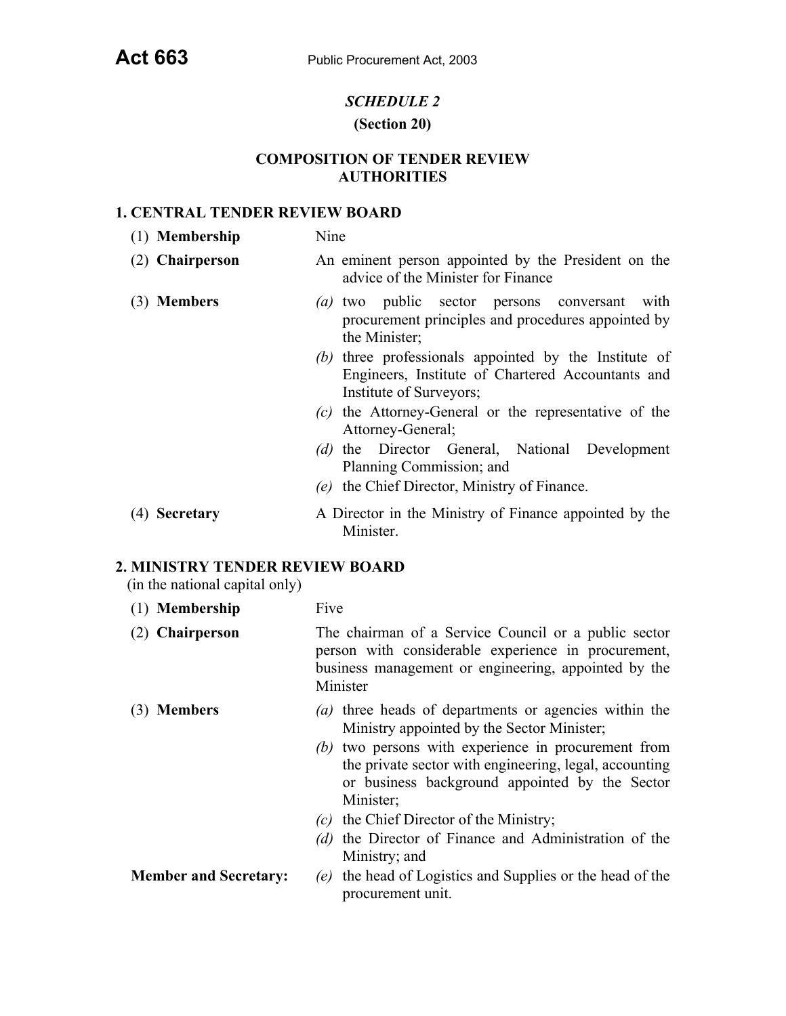## *SCHEDULE 2*

#### **(Section 20)**

## **COMPOSITION OF TENDER REVIEW AUTHORITIES**

#### **1. CENTRAL TENDER REVIEW BOARD**

| (1) Membership  | Nine                                                                                      |
|-----------------|-------------------------------------------------------------------------------------------|
| (2) Chairperson | An eminent person appointed by the President on the<br>advice of the Minister for Finance |
| (3) Members     | (a) two public sector persons conversant with                                             |

- procurement principles and procedures appointed by the Minister;
- *(b)* three professionals appointed by the Institute of Engineers, Institute of Chartered Accountants and Institute of Surveyors;
- *(c)* the Attorney-General or the representative of the Attorney-General;
- *(d)* the Director General, National Development Planning Commission; and
- *(e)* the Chief Director, Ministry of Finance.
- (4) **Secretary** A Director in the Ministry of Finance appointed by the Minister.

## **2. MINISTRY TENDER REVIEW BOARD**

(in the national capital only)

- (1) **Membership** Five
- (2) **Chairperson** The chairman of a Service Council or a public sector person with considerable experience in procurement, business management or engineering, appointed by the Minister
- (3) **Members** *(a)* three heads of departments or agencies within the Ministry appointed by the Sector Minister;
	- *(b)* two persons with experience in procurement from the private sector with engineering, legal, accounting or business background appointed by the Sector Minister;
	- *(c)* the Chief Director of the Ministry;
	- *(d)* the Director of Finance and Administration of the Ministry; and
- **Member and Secretary:** *(e)* the head of Logistics and Supplies or the head of the procurement unit.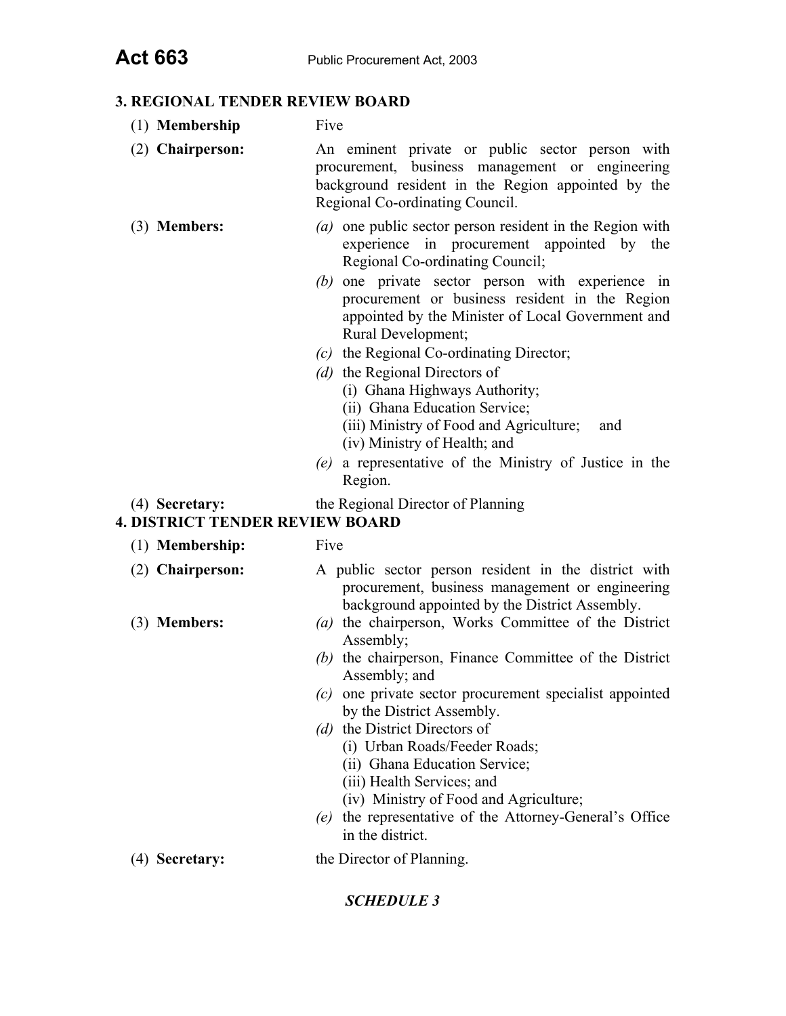## **3. REGIONAL TENDER REVIEW BOARD**

- (1) **Membership** Five
- (2) **Chairperson:** An eminent private or public sector person with procurement, business management or engineering background resident in the Region appointed by the Regional Co-ordinating Council.
- (3) **Members:** *(a)* one public sector person resident in the Region with experience in procurement appointed by the Regional Co-ordinating Council;
	- *(b)* one private sector person with experience in procurement or business resident in the Region appointed by the Minister of Local Government and Rural Development;
	- *(c)* the Regional Co-ordinating Director;
	- *(d)* the Regional Directors of
		- (i) Ghana Highways Authority;
		- (ii) Ghana Education Service;
		- (iii) Ministry of Food and Agriculture; and
		- (iv) Ministry of Health; and
	- *(e)* a representative of the Ministry of Justice in the Region.
- (4) **Secretary:** the Regional Director of Planning
- **4. DISTRICT TENDER REVIEW BOARD** 
	- (1) **Membership:** Five
	-
	- (2) **Chairperson:** A public sector person resident in the district with procurement, business management or engineering background appointed by the District Assembly.
	- (3) **Members:** *(a)* the chairperson, Works Committee of the District Assembly;
		- *(b)* the chairperson, Finance Committee of the District Assembly; and
		- *(c)* one private sector procurement specialist appointed by the District Assembly.
		- *(d)* the District Directors of
			- (i) Urban Roads/Feeder Roads;
			- (ii) Ghana Education Service;
			- (iii) Health Services; and
			- (iv) Ministry of Food and Agriculture;
		- *(e)* the representative of the Attorney-General's Office in the district.
	- (4) **Secretary:** the Director of Planning.

## *SCHEDULE 3*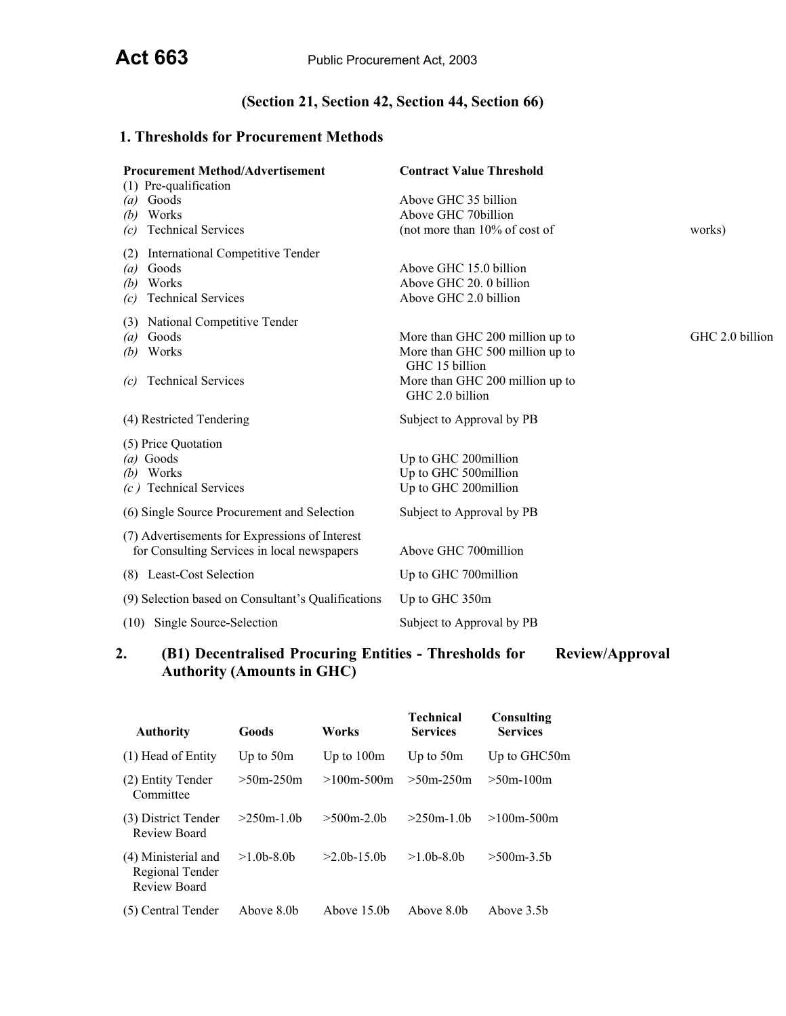# **(Section 21, Section 42, Section 44, Section 66)**

# **1. Thresholds for Procurement Methods**

| <b>Procurement Method/Advertisement</b>            | <b>Contract Value Threshold</b>                    |                 |
|----------------------------------------------------|----------------------------------------------------|-----------------|
| (1) Pre-qualification                              | Above GHC 35 billion                               |                 |
| Goods<br>$\left(a\right)$<br>Works<br>(b)          | Above GHC 70billion                                |                 |
| <b>Technical Services</b><br>(c)                   | (not more than 10% of cost of                      | works)          |
| <b>International Competitive Tender</b><br>(2)     |                                                    |                 |
| Goods<br>(a)                                       | Above GHC 15.0 billion                             |                 |
| Works<br>(b)                                       | Above GHC 20. 0 billion                            |                 |
| <b>Technical Services</b><br>(c)                   | Above GHC 2.0 billion                              |                 |
| National Competitive Tender<br>(3)                 |                                                    |                 |
| Goods<br>(a)                                       | More than GHC 200 million up to                    | GHC 2.0 billion |
| Works<br>(b)                                       | More than GHC 500 million up to<br>GHC 15 billion  |                 |
| <b>Technical Services</b><br>(c)                   | More than GHC 200 million up to<br>GHC 2.0 billion |                 |
| (4) Restricted Tendering                           | Subject to Approval by PB                          |                 |
| (5) Price Quotation                                |                                                    |                 |
| $(a)$ Goods                                        | Up to GHC 200million                               |                 |
| Works<br>(b)                                       | Up to GHC 500million                               |                 |
| $(c)$ Technical Services                           | Up to GHC 200million                               |                 |
| (6) Single Source Procurement and Selection        | Subject to Approval by PB                          |                 |
| (7) Advertisements for Expressions of Interest     |                                                    |                 |
| for Consulting Services in local newspapers        | Above GHC 700million                               |                 |
| (8) Least-Cost Selection                           | Up to GHC 700million                               |                 |
| (9) Selection based on Consultant's Qualifications | Up to GHC 350m                                     |                 |
| (10) Single Source-Selection                       | Subject to Approval by PB                          |                 |
|                                                    |                                                    |                 |

## **2. (B1) Decentralised Procuring Entities - Thresholds for Review/Approval Authority (Amounts in GHC)**

| <b>Authority</b>                                       | Goods         | Works         | Technical<br><b>Services</b> | Consulting<br><b>Services</b> |
|--------------------------------------------------------|---------------|---------------|------------------------------|-------------------------------|
| $(1)$ Head of Entity                                   | Up to $50m$   | Up to $100m$  | Up to $50m$                  | Up to GHC50m                  |
| (2) Entity Tender<br>Committee                         | $>50m-250m$   | $>100$ m-500m | $>50m-250m$                  | $>50m-100m$                   |
| (3) District Tender<br>Review Board                    | $>250$ m-1.0b | $>500$ m-2.0b | $>250$ m-10b                 | $>100$ m-500m                 |
| (4) Ministerial and<br>Regional Tender<br>Review Board | $>1.0b-8.0b$  | $>2.0b-15.0b$ | $>1.0b-8.0b$                 | $>500m-3.5b$                  |
| (5) Central Tender                                     | Above 8.0b    | Above 15.0b   | Above 8 0b                   | Above 3.5b                    |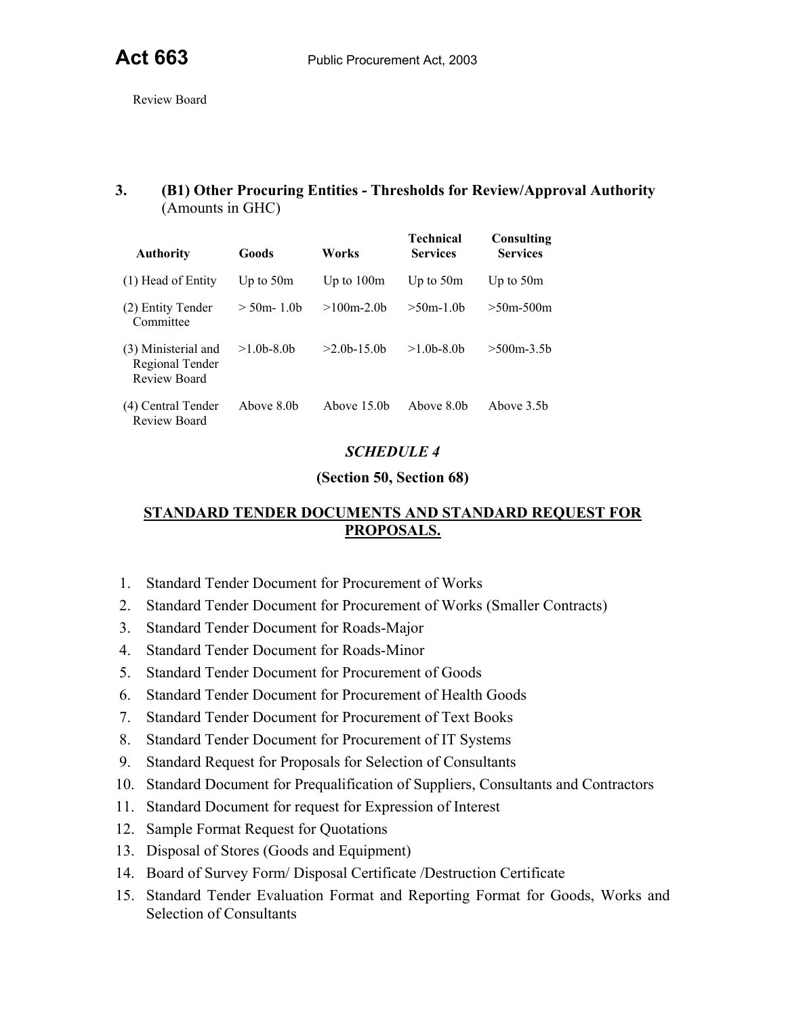Review Board

## **3. (B1) Other Procuring Entities - Thresholds for Review/Approval Authority**  (Amounts in GHC)

| <b>Authority</b>                                       | Goods          | Works          | <b>Technical</b><br><b>Services</b> | Consulting<br><b>Services</b> |
|--------------------------------------------------------|----------------|----------------|-------------------------------------|-------------------------------|
| $(1)$ Head of Entity                                   | Up to $50m$    | Up to $100m$   | Up to $50m$                         | Up to $50m$                   |
| (2) Entity Tender<br>Committee                         | $>$ 50m- 1 0b  | $>100$ m-20b   | $>50m-1$ 0b                         | $>50m-500m$                   |
| (3) Ministerial and<br>Regional Tender<br>Review Board | $>1.0b - 8.0b$ | $>2.0b$ -15.0b | $>1$ 0b-8 0b                        | $>500m-3.5b$                  |
| (4) Central Tender<br>Review Board                     | Above 8 0b     | Above 15 0b    | Above 8.0b                          | Above 3.5b                    |

## *SCHEDULE 4*

## **(Section 50, Section 68)**

## **STANDARD TENDER DOCUMENTS AND STANDARD REQUEST FOR PROPOSALS.**

- 1. Standard Tender Document for Procurement of Works
- 2. Standard Tender Document for Procurement of Works (Smaller Contracts)
- 3. Standard Tender Document for Roads-Major
- 4. Standard Tender Document for Roads-Minor
- 5. Standard Tender Document for Procurement of Goods
- 6. Standard Tender Document for Procurement of Health Goods
- 7. Standard Tender Document for Procurement of Text Books
- 8. Standard Tender Document for Procurement of IT Systems
- 9. Standard Request for Proposals for Selection of Consultants
- 10. Standard Document for Prequalification of Suppliers, Consultants and Contractors
- 11. Standard Document for request for Expression of Interest
- 12. Sample Format Request for Quotations
- 13. Disposal of Stores (Goods and Equipment)
- 14. Board of Survey Form/ Disposal Certificate /Destruction Certificate
- 15. Standard Tender Evaluation Format and Reporting Format for Goods, Works and Selection of Consultants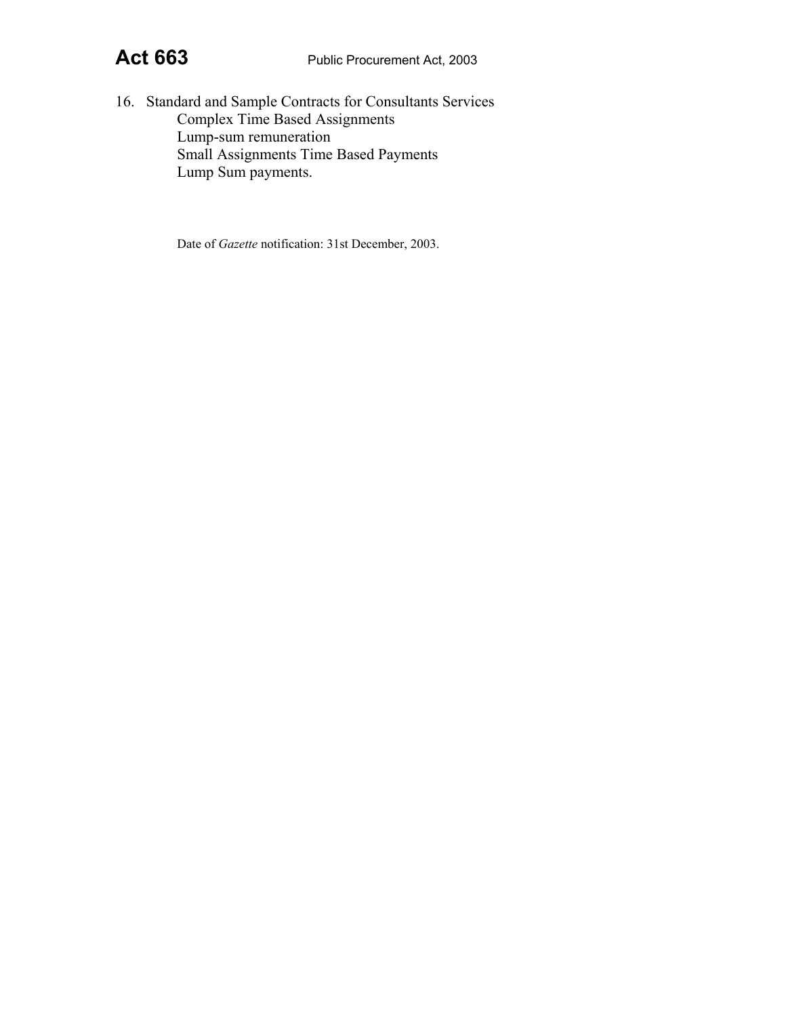16. Standard and Sample Contracts for Consultants Services Complex Time Based Assignments Lump-sum remuneration Small Assignments Time Based Payments Lump Sum payments.

Date of *Gazette* notification: 31st December, 2003.